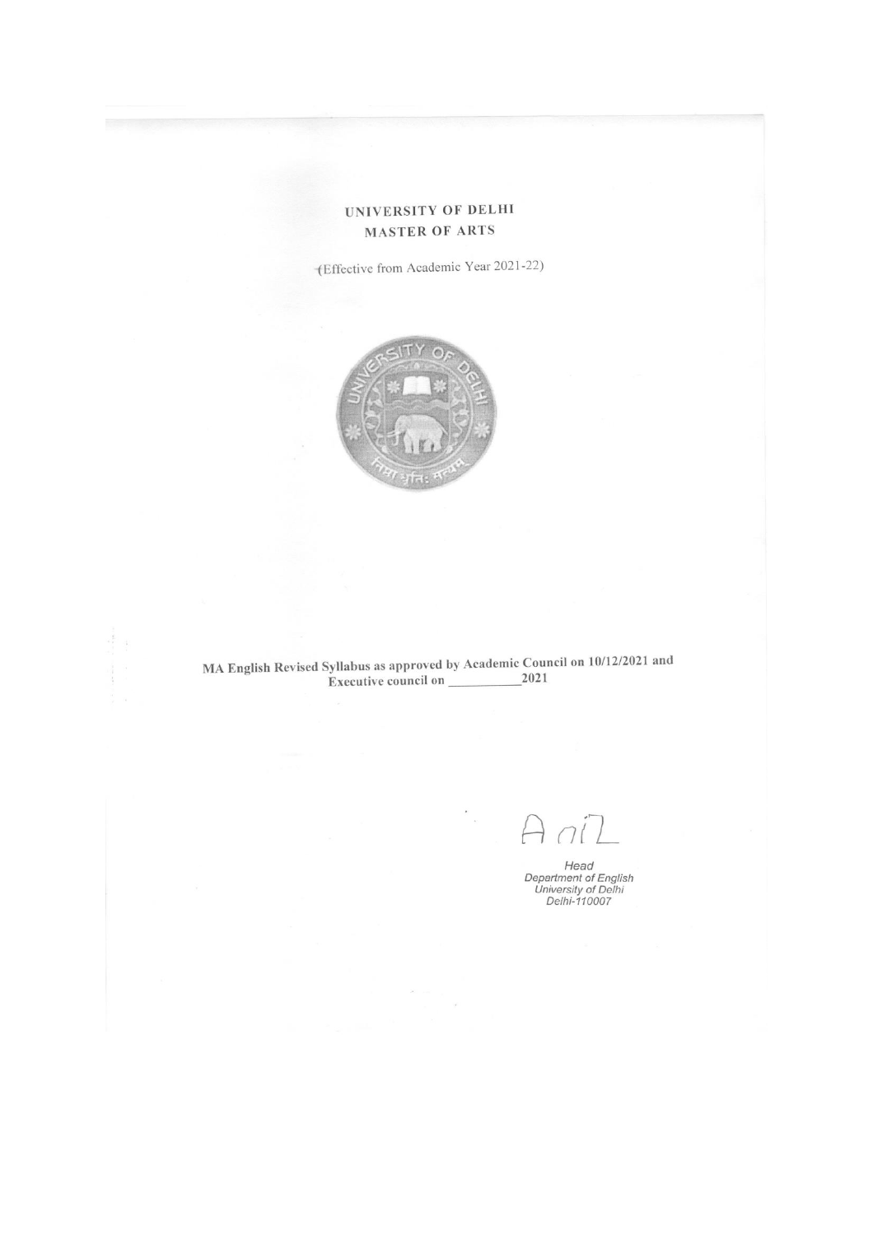## UNIVERSITY OF DELHI **MASTER OF ARTS**

(Effective from Academic Year 2021-22)



 $\lambda$ 

 $\bar{\Sigma}$ 

 $\bigcap$ 

Head<br>Department of English<br>University of Delhi<br>Delhi-110007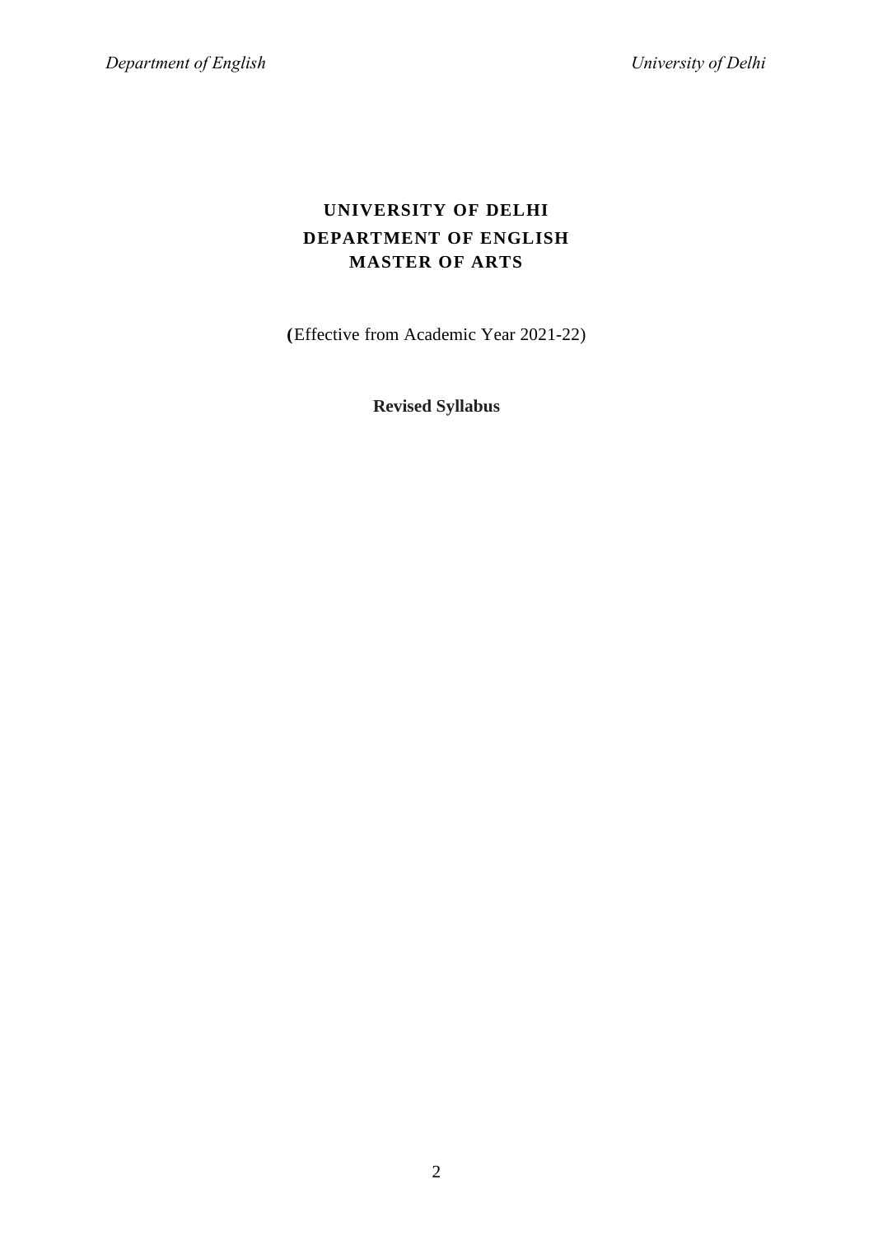## **UNIVERSITY OF DELHI DEPARTMENT OF ENGLISH MASTER OF ARTS**

**(**Effective from Academic Year 2021-22)

**Revised Syllabus**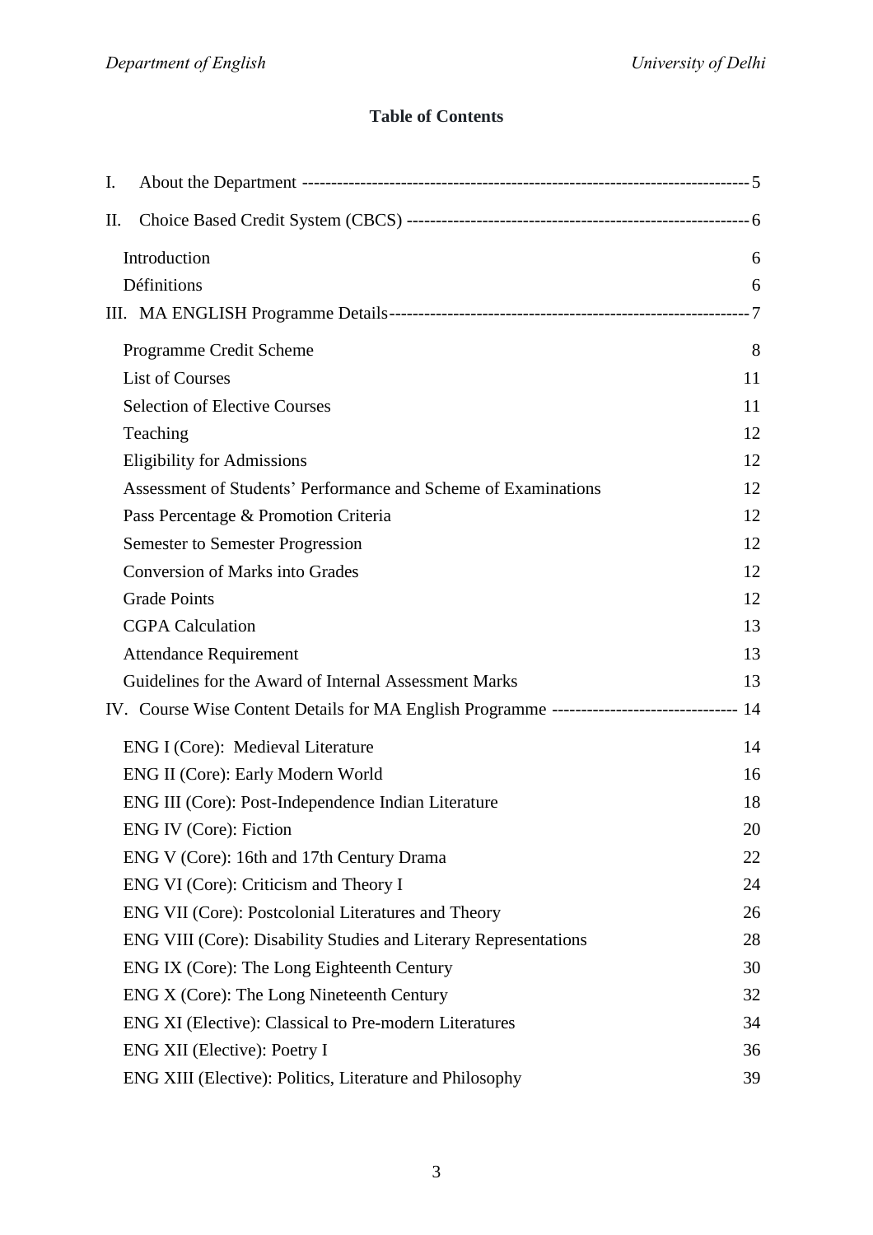## **Table of Contents**

| Ι. |                                                                                             |     |
|----|---------------------------------------------------------------------------------------------|-----|
| П. |                                                                                             |     |
|    | Introduction                                                                                | 6   |
|    | Définitions                                                                                 | 6   |
|    |                                                                                             | - 7 |
|    | Programme Credit Scheme                                                                     | 8   |
|    | <b>List of Courses</b>                                                                      | 11  |
|    | <b>Selection of Elective Courses</b>                                                        | 11  |
|    | Teaching                                                                                    | 12  |
|    | <b>Eligibility for Admissions</b>                                                           | 12  |
|    | Assessment of Students' Performance and Scheme of Examinations                              | 12  |
|    | Pass Percentage & Promotion Criteria                                                        | 12  |
|    | <b>Semester to Semester Progression</b>                                                     | 12  |
|    | <b>Conversion of Marks into Grades</b>                                                      | 12  |
|    | <b>Grade Points</b>                                                                         | 12  |
|    | <b>CGPA Calculation</b>                                                                     | 13  |
|    | <b>Attendance Requirement</b>                                                               | 13  |
|    | Guidelines for the Award of Internal Assessment Marks                                       | 13  |
|    | IV. Course Wise Content Details for MA English Programme ------------------------------- 14 |     |
|    | ENG I (Core): Medieval Literature                                                           | 14  |
|    | ENG II (Core): Early Modern World                                                           | 16  |
|    | ENG III (Core): Post-Independence Indian Literature                                         | 18  |
|    | <b>ENG IV (Core): Fiction</b>                                                               | 20  |
|    | ENG V (Core): 16th and 17th Century Drama                                                   | 22  |
|    | ENG VI (Core): Criticism and Theory I                                                       | 24  |
|    | ENG VII (Core): Postcolonial Literatures and Theory                                         | 26  |
|    | ENG VIII (Core): Disability Studies and Literary Representations                            | 28  |
|    | ENG IX (Core): The Long Eighteenth Century                                                  | 30  |
|    | ENG X (Core): The Long Nineteenth Century                                                   | 32  |
|    | ENG XI (Elective): Classical to Pre-modern Literatures                                      | 34  |
|    | ENG XII (Elective): Poetry I                                                                | 36  |
|    | ENG XIII (Elective): Politics, Literature and Philosophy                                    | 39  |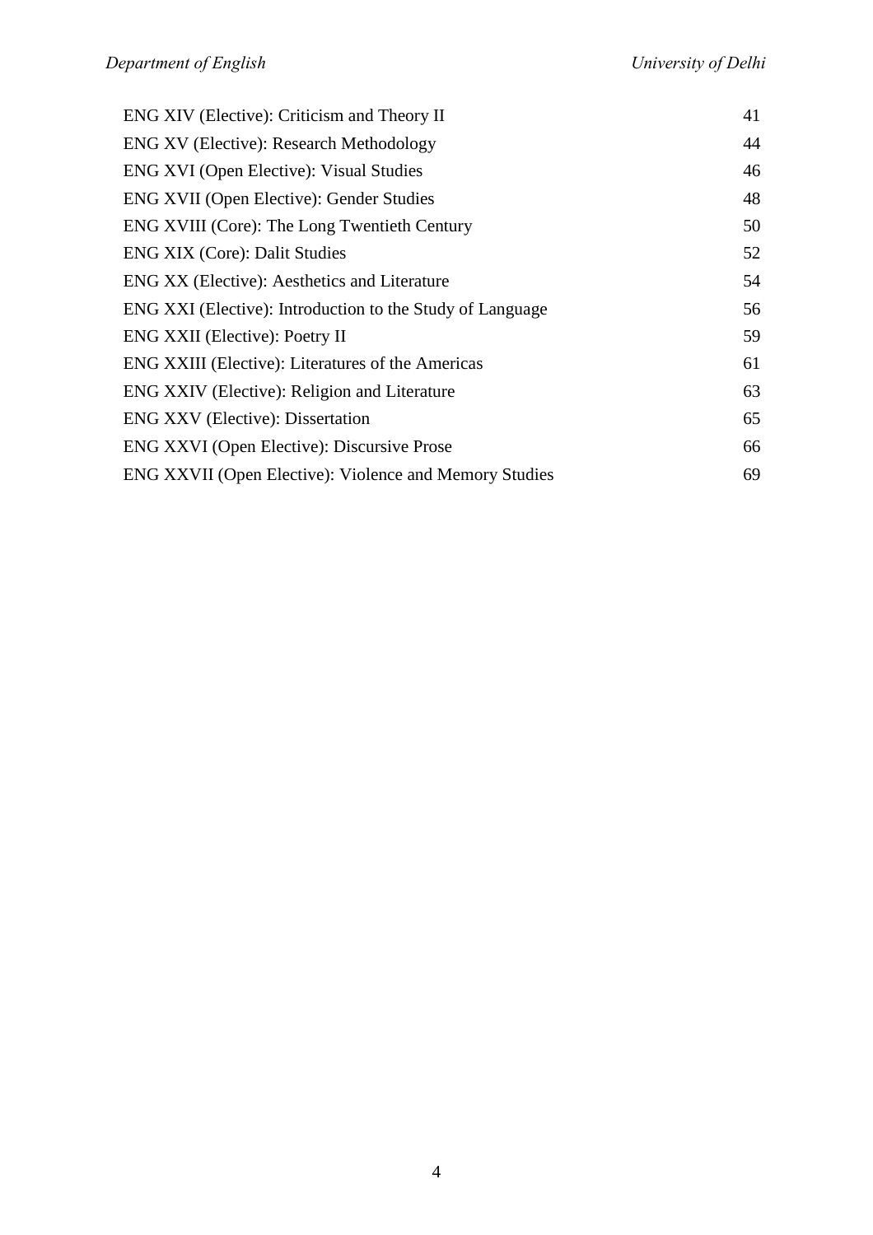| ENG XIV (Elective): Criticism and Theory II               | 41 |
|-----------------------------------------------------------|----|
| <b>ENG XV</b> (Elective): Research Methodology            | 44 |
| <b>ENG XVI</b> (Open Elective): Visual Studies            | 46 |
| <b>ENG XVII (Open Elective): Gender Studies</b>           | 48 |
| ENG XVIII (Core): The Long Twentieth Century              | 50 |
| <b>ENG XIX (Core): Dalit Studies</b>                      | 52 |
| ENG XX (Elective): Aesthetics and Literature              | 54 |
| ENG XXI (Elective): Introduction to the Study of Language | 56 |
| <b>ENG XXII</b> (Elective): Poetry II                     | 59 |
| ENG XXIII (Elective): Literatures of the Americas         | 61 |
| ENG XXIV (Elective): Religion and Literature              | 63 |
| <b>ENG XXV</b> (Elective): Dissertation                   | 65 |
| ENG XXVI (Open Elective): Discursive Prose                | 66 |
| ENG XXVII (Open Elective): Violence and Memory Studies    | 69 |
|                                                           |    |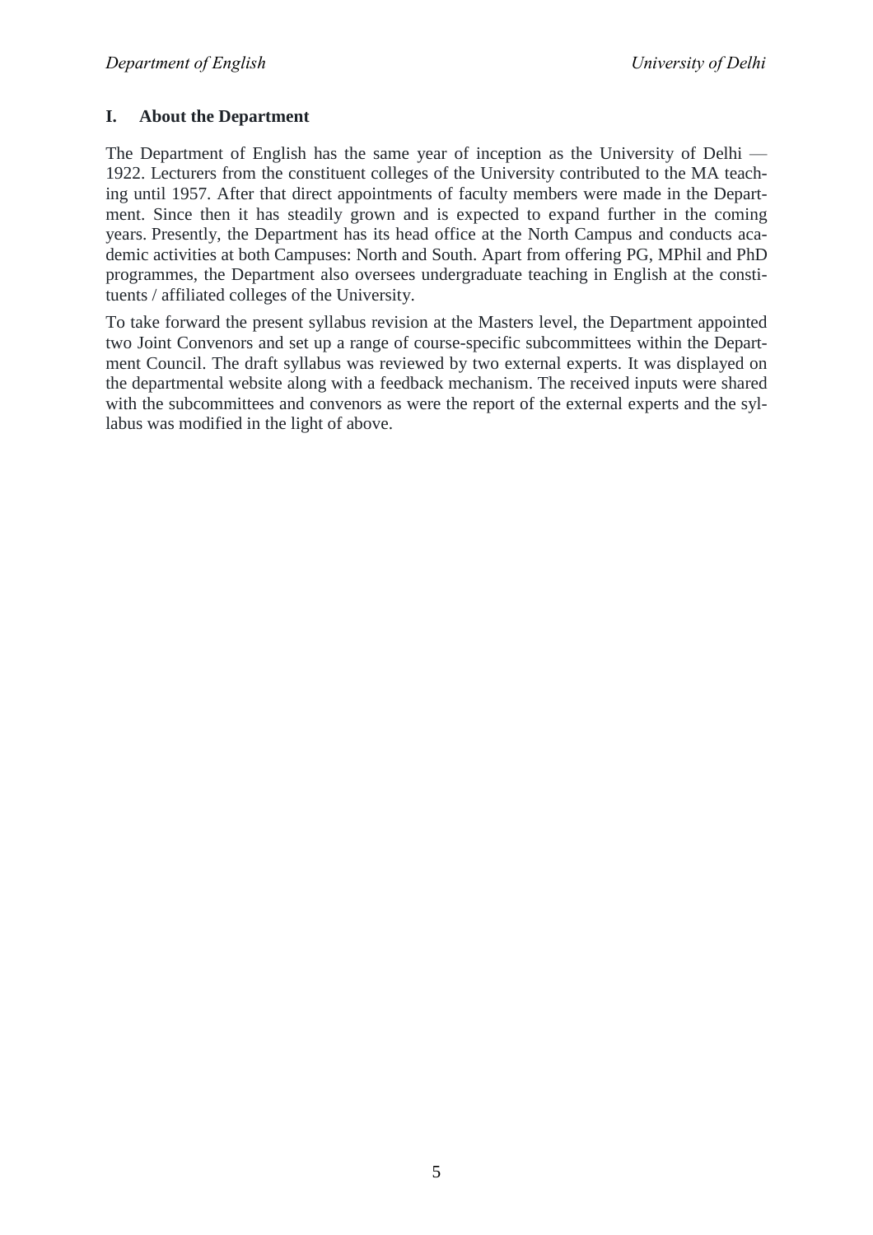## **I. About the Department**

The Department of English has the same year of inception as the University of Delhi — 1922. Lecturers from the constituent colleges of the University contributed to the MA teaching until 1957. After that direct appointments of faculty members were made in the Department. Since then it has steadily grown and is expected to expand further in the coming years. Presently, the Department has its head office at the North Campus and conducts academic activities at both Campuses: North and South. Apart from offering PG, MPhil and PhD programmes, the Department also oversees undergraduate teaching in English at the constituents / affiliated colleges of the University.

To take forward the present syllabus revision at the Masters level, the Department appointed two Joint Convenors and set up a range of course-specific subcommittees within the Department Council. The draft syllabus was reviewed by two external experts. It was displayed on the departmental website along with a feedback mechanism. The received inputs were shared with the subcommittees and convenors as were the report of the external experts and the syllabus was modified in the light of above.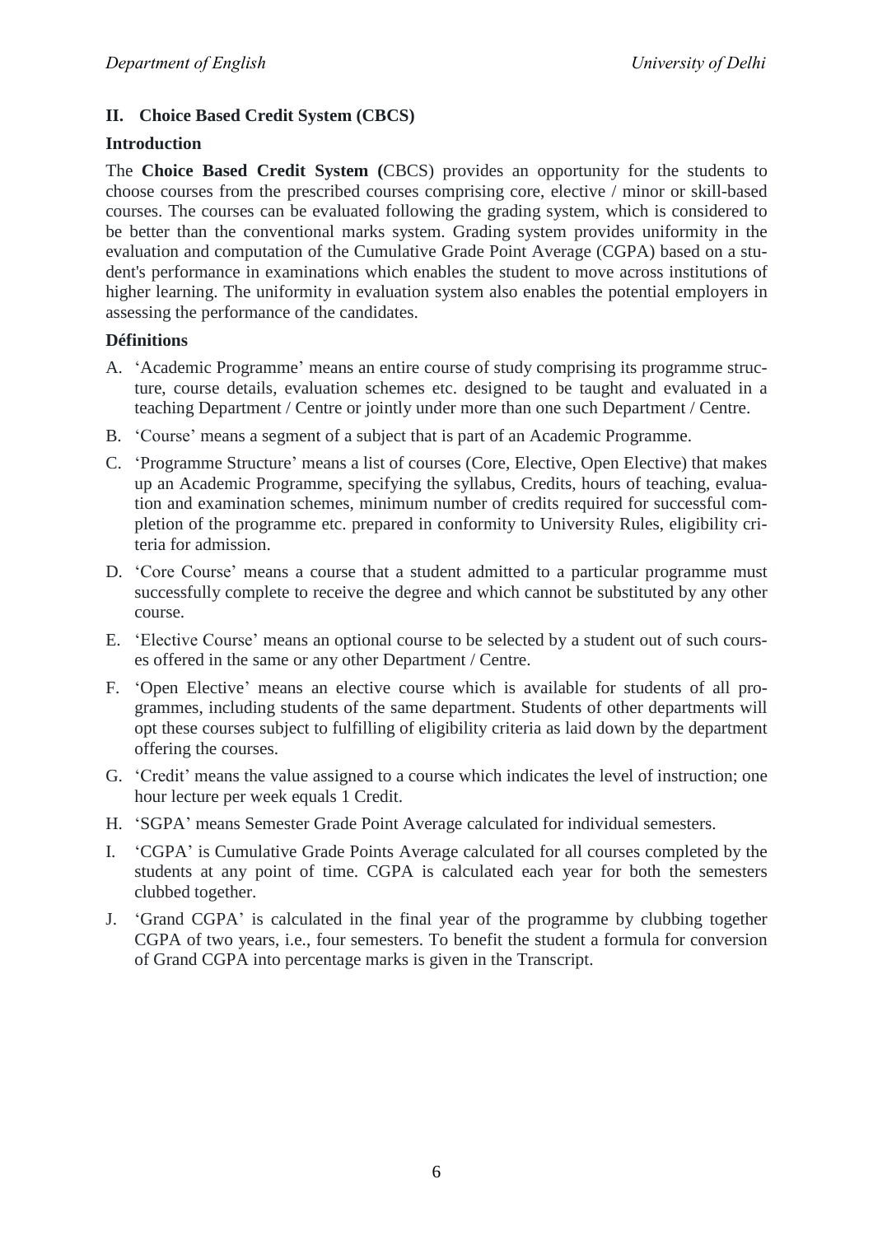## **II. Choice Based Credit System (CBCS)**

## **Introduction**

The **Choice Based Credit System (**CBCS) provides an opportunity for the students to choose courses from the prescribed courses comprising core, elective / minor or skill-based courses. The courses can be evaluated following the grading system, which is considered to be better than the conventional marks system. Grading system provides uniformity in the evaluation and computation of the Cumulative Grade Point Average (CGPA) based on a student's performance in examinations which enables the student to move across institutions of higher learning. The uniformity in evaluation system also enables the potential employers in assessing the performance of the candidates.

## **Définitions**

- A. ‗Academic Programme' means an entire course of study comprising its programme structure, course details, evaluation schemes etc. designed to be taught and evaluated in a teaching Department / Centre or jointly under more than one such Department / Centre.
- B. ‗Course' means a segment of a subject that is part of an Academic Programme.
- C. ‗Programme Structure' means a list of courses (Core, Elective, Open Elective) that makes up an Academic Programme, specifying the syllabus, Credits, hours of teaching, evaluation and examination schemes, minimum number of credits required for successful completion of the programme etc. prepared in conformity to University Rules, eligibility criteria for admission.
- D. 'Core Course' means a course that a student admitted to a particular programme must successfully complete to receive the degree and which cannot be substituted by any other course.
- E. ‗Elective Course' means an optional course to be selected by a student out of such courses offered in the same or any other Department / Centre.
- F. ‗Open Elective' means an elective course which is available for students of all programmes, including students of the same department. Students of other departments will opt these courses subject to fulfilling of eligibility criteria as laid down by the department offering the courses.
- G. ‗Credit' means the value assigned to a course which indicates the level of instruction; one hour lecture per week equals 1 Credit.
- H. ‗SGPA' means Semester Grade Point Average calculated for individual semesters.
- I. ‗CGPA' is Cumulative Grade Points Average calculated for all courses completed by the students at any point of time. CGPA is calculated each year for both the semesters clubbed together.
- J. ‗Grand CGPA' is calculated in the final year of the programme by clubbing together CGPA of two years, i.e., four semesters. To benefit the student a formula for conversion of Grand CGPA into percentage marks is given in the Transcript.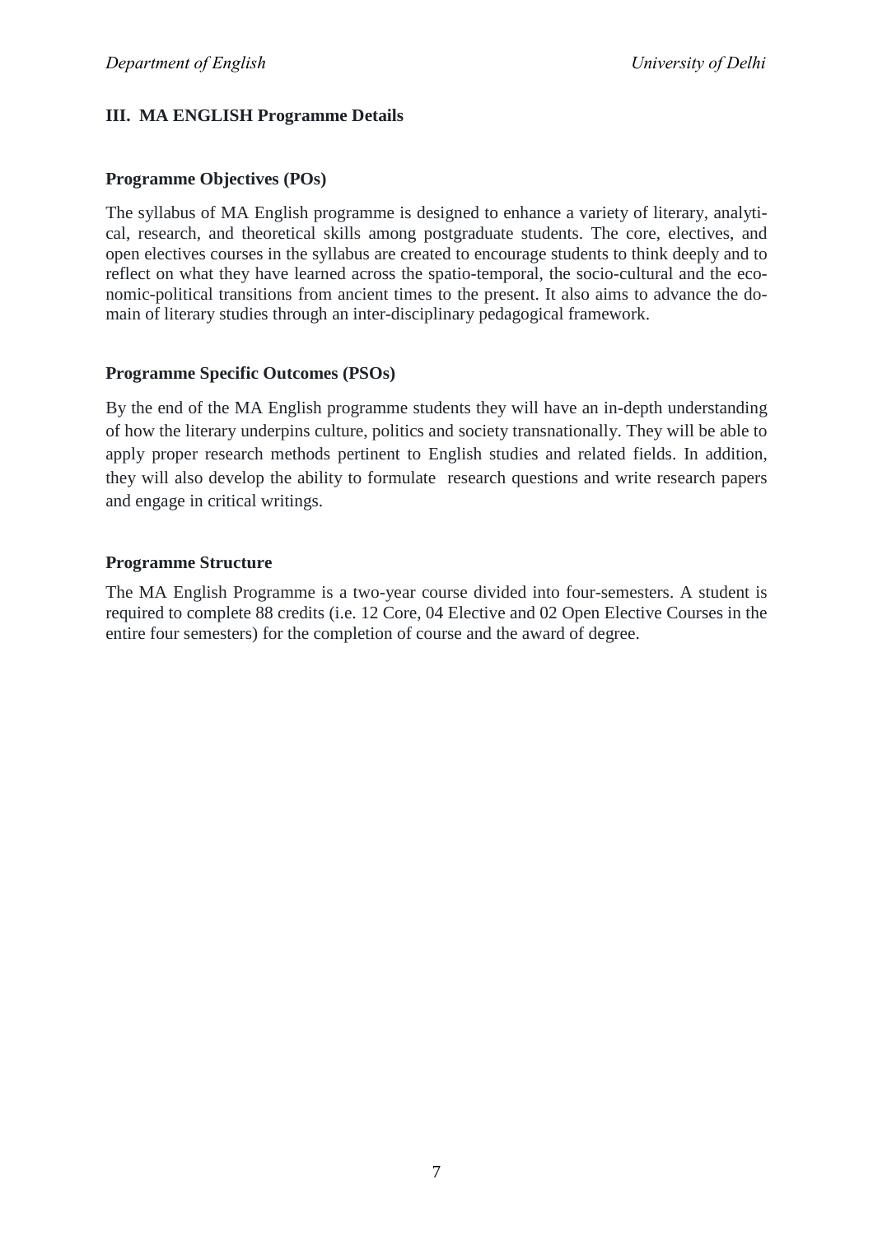## **III. MA ENGLISH Programme Details**

## **Programme Objectives (POs)**

The syllabus of MA English programme is designed to enhance a variety of literary, analytical, research, and theoretical skills among postgraduate students. The core, electives, and open electives courses in the syllabus are created to encourage students to think deeply and to reflect on what they have learned across the spatio-temporal, the socio-cultural and the economic-political transitions from ancient times to the present. It also aims to advance the domain of literary studies through an inter-disciplinary pedagogical framework.

## **Programme Specific Outcomes (PSOs)**

By the end of the MA English programme students they will have an in-depth understanding of how the literary underpins culture, politics and society transnationally. They will be able to apply proper research methods pertinent to English studies and related fields. In addition, they will also develop the ability to formulate research questions and write research papers and engage in critical writings.

## **Programme Structure**

The MA English Programme is a two-year course divided into four-semesters. A student is required to complete 88 credits (i.e. 12 Core, 04 Elective and 02 Open Elective Courses in the entire four semesters) for the completion of course and the award of degree.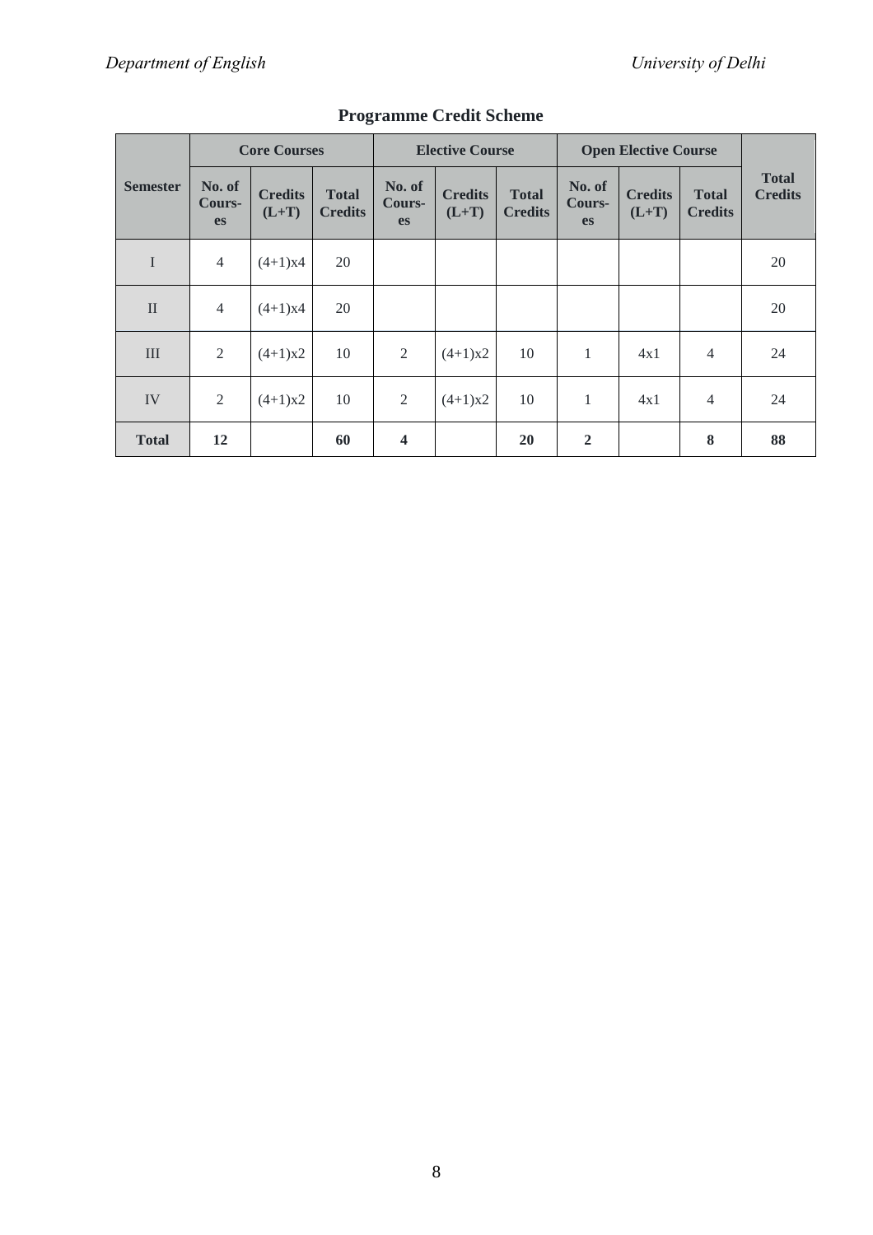|                 | <b>Core Courses</b>           |                           |                                | <b>Elective Course</b>        |                           |                                | <b>Open Elective Course</b>   |                           |                                |                                |
|-----------------|-------------------------------|---------------------------|--------------------------------|-------------------------------|---------------------------|--------------------------------|-------------------------------|---------------------------|--------------------------------|--------------------------------|
| <b>Semester</b> | No. of<br>Cours-<br><b>es</b> | <b>Credits</b><br>$(L+T)$ | <b>Total</b><br><b>Credits</b> | No. of<br>Cours-<br><b>es</b> | <b>Credits</b><br>$(L+T)$ | <b>Total</b><br><b>Credits</b> | No. of<br>Cours-<br><b>es</b> | <b>Credits</b><br>$(L+T)$ | <b>Total</b><br><b>Credits</b> | <b>Total</b><br><b>Credits</b> |
| $\mathbf I$     | $\overline{4}$                | $(4+1)x4$                 | 20                             |                               |                           |                                |                               |                           |                                | 20                             |
| $\mathbf{I}$    | $\overline{4}$                | $(4+1)x4$                 | 20                             |                               |                           |                                |                               |                           |                                | 20                             |
| III             | $\overline{2}$                | $(4+1)x2$                 | 10                             | 2                             | $(4+1)x2$                 | 10                             | $\mathbf{1}$                  | 4x1                       | $\overline{4}$                 | 24                             |
| IV              | $\overline{2}$                | $(4+1)x2$                 | 10                             | 2                             | $(4+1)x2$                 | 10                             | $\mathbf{1}$                  | 4x1                       | $\overline{4}$                 | 24                             |
| <b>Total</b>    | 12                            |                           | 60                             | $\overline{\mathbf{4}}$       |                           | <b>20</b>                      | $\overline{2}$                |                           | 8                              | 88                             |

## **Programme Credit Scheme**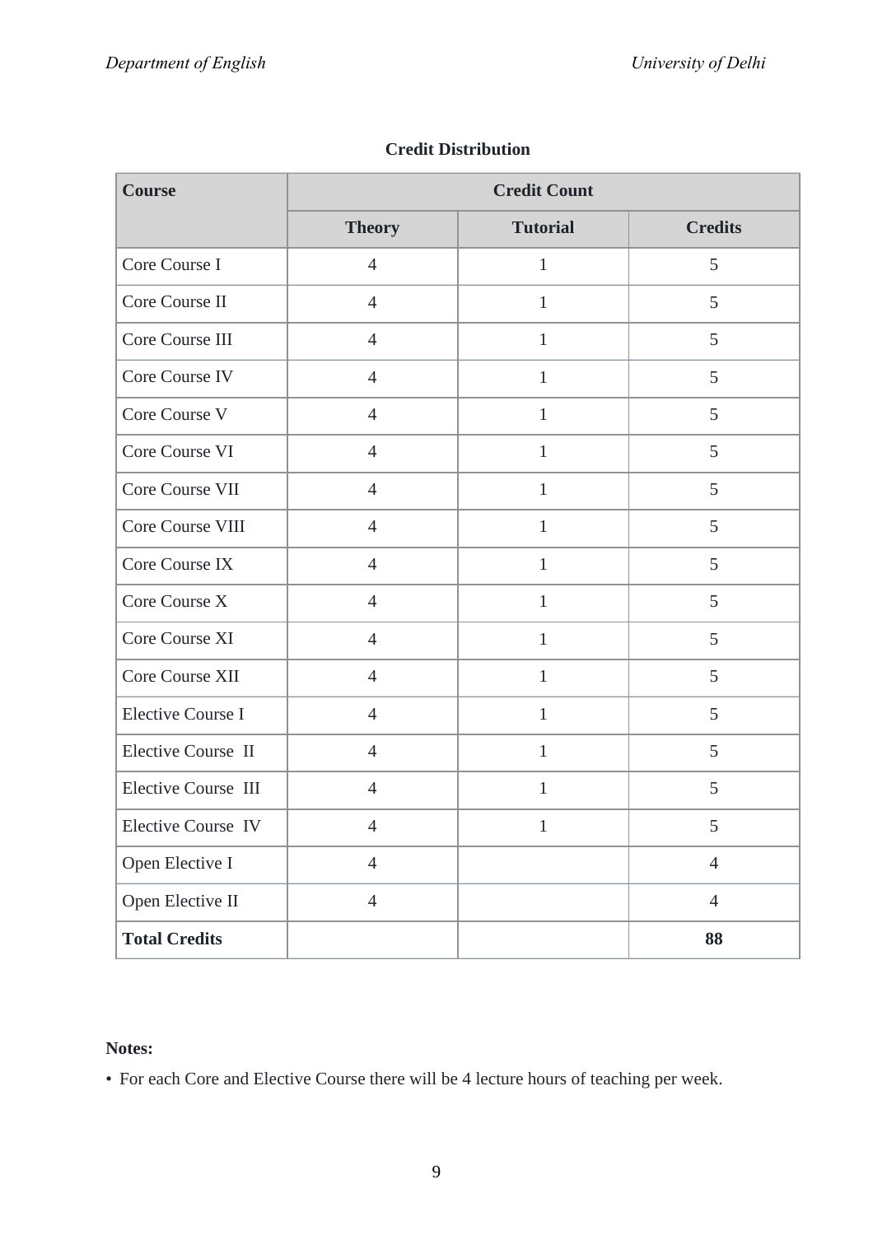| <b>Course</b>              | <b>Credit Count</b> |                 |                |  |  |  |
|----------------------------|---------------------|-----------------|----------------|--|--|--|
|                            | <b>Theory</b>       | <b>Tutorial</b> | <b>Credits</b> |  |  |  |
| Core Course I              | $\overline{4}$      | $\mathbf{1}$    | 5              |  |  |  |
| Core Course II             | $\overline{4}$      | $\mathbf{1}$    | 5              |  |  |  |
| Core Course III            | $\overline{4}$      | $\mathbf{1}$    | 5              |  |  |  |
| Core Course IV             | $\overline{4}$      | $\mathbf{1}$    | 5              |  |  |  |
| Core Course V              | $\overline{4}$      | $\mathbbm{1}$   | 5              |  |  |  |
| Core Course VI             | $\overline{4}$      | $\mathbf{1}$    | 5              |  |  |  |
| Core Course VII            | $\overline{4}$      | $\mathbf{1}$    | 5              |  |  |  |
| Core Course VIII           | $\overline{4}$      | $\mathbf{1}$    | 5              |  |  |  |
| Core Course IX             | $\overline{4}$      | $\mathbf{1}$    | 5              |  |  |  |
| Core Course X              | $\overline{4}$      | $\mathbf{1}$    | 5              |  |  |  |
| Core Course XI             | $\overline{4}$      | $\mathbf{1}$    | 5              |  |  |  |
| Core Course XII            | $\overline{4}$      | $\mathbf{1}$    | 5              |  |  |  |
| <b>Elective Course I</b>   | $\overline{4}$      | $\mathbf{1}$    | 5              |  |  |  |
| Elective Course II         | $\overline{4}$      | $\mathbf{1}$    | 5              |  |  |  |
| <b>Elective Course III</b> | $\overline{4}$      | $\mathbf{1}$    | 5              |  |  |  |
| Elective Course IV         | $\overline{4}$      | $\mathbf{1}$    | 5              |  |  |  |
| Open Elective I            | $\overline{4}$      |                 | $\overline{4}$ |  |  |  |
| Open Elective II           | $\overline{4}$      |                 | $\overline{4}$ |  |  |  |
| <b>Total Credits</b>       |                     |                 | 88             |  |  |  |

## **Credit Distribution**

## **Notes:**

• For each Core and Elective Course there will be 4 lecture hours of teaching per week.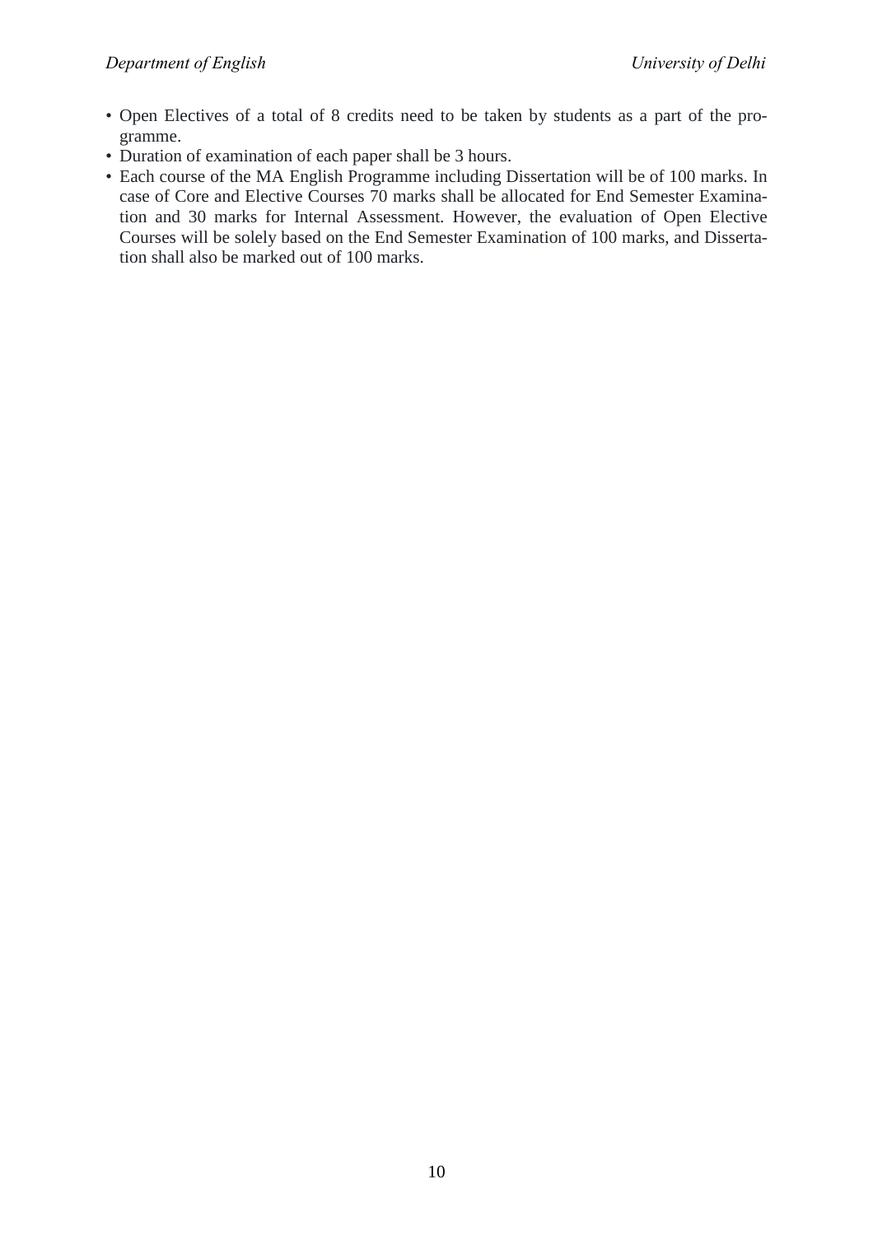- Open Electives of a total of 8 credits need to be taken by students as a part of the programme.
- Duration of examination of each paper shall be 3 hours.
- Each course of the MA English Programme including Dissertation will be of 100 marks. In case of Core and Elective Courses 70 marks shall be allocated for End Semester Examination and 30 marks for Internal Assessment. However, the evaluation of Open Elective Courses will be solely based on the End Semester Examination of 100 marks, and Dissertation shall also be marked out of 100 marks.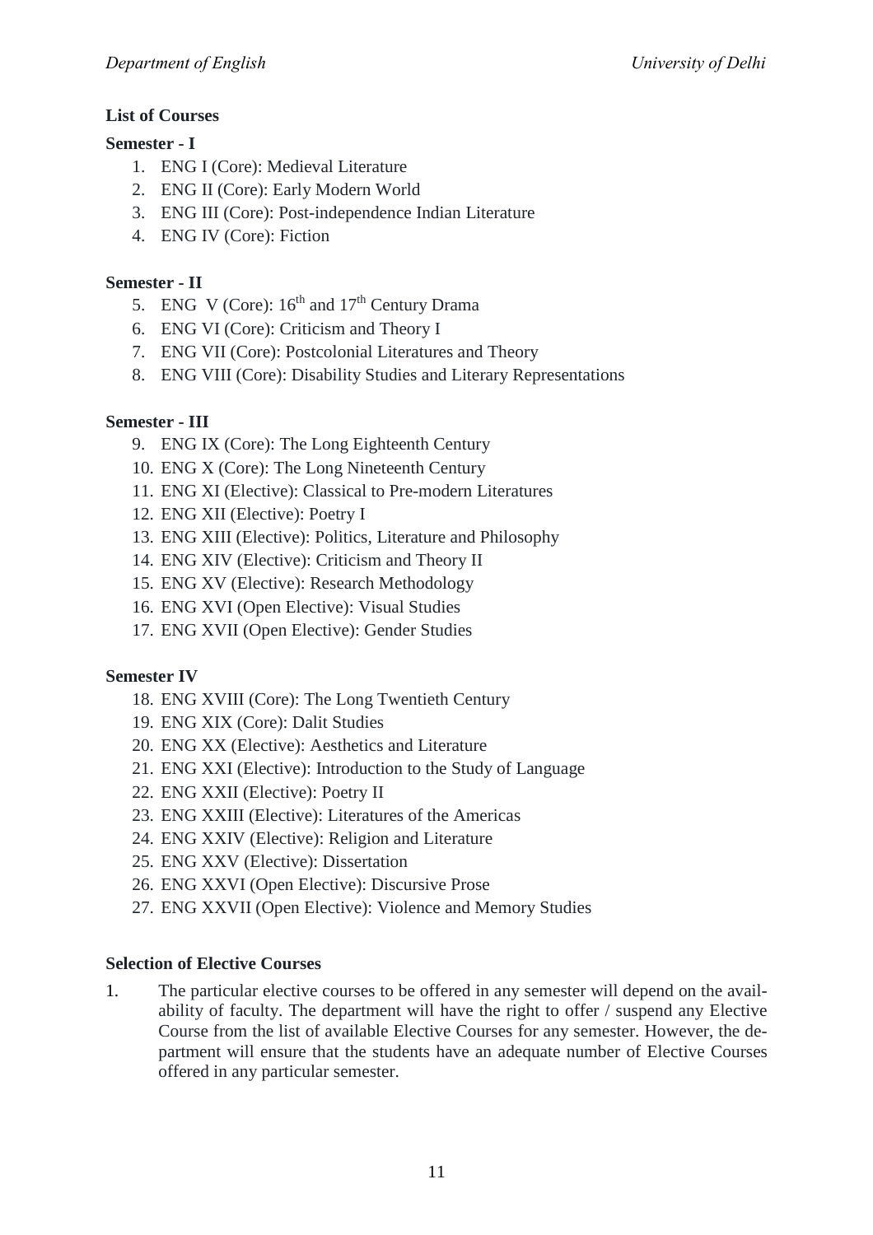## **List of Courses**

## **Semester - I**

- 1. ENG I (Core): Medieval Literature
- 2. ENG II (Core): Early Modern World
- 3. ENG III (Core): Post-independence Indian Literature
- 4. ENG IV (Core): Fiction

## **Semester - II**

- 5. ENG V (Core):  $16<sup>th</sup>$  and  $17<sup>th</sup>$  Century Drama
- 6. ENG VI (Core): Criticism and Theory I
- 7. ENG VII (Core): Postcolonial Literatures and Theory
- 8. ENG VIII (Core): Disability Studies and Literary Representations

## **Semester - III**

- 9. ENG IX (Core): The Long Eighteenth Century
- 10. ENG X (Core): The Long Nineteenth Century
- 11. ENG XI (Elective): Classical to Pre-modern Literatures
- 12. ENG XII (Elective): Poetry I
- 13. ENG XIII (Elective): Politics, Literature and Philosophy
- 14. ENG XIV (Elective): Criticism and Theory II
- 15. ENG XV (Elective): Research Methodology
- 16. ENG XVI (Open Elective): Visual Studies
- 17. ENG XVII (Open Elective): Gender Studies

## **Semester IV**

- 18. ENG XVIII (Core): The Long Twentieth Century
- 19. ENG XIX (Core): Dalit Studies
- 20. ENG XX (Elective): Aesthetics and Literature
- 21. ENG XXI (Elective): Introduction to the Study of Language
- 22. ENG XXII (Elective): Poetry II
- 23. ENG XXIII (Elective): Literatures of the Americas
- 24. ENG XXIV (Elective): Religion and Literature
- 25. ENG XXV (Elective): Dissertation
- 26. ENG XXVI (Open Elective): Discursive Prose
- 27. ENG XXVII (Open Elective): Violence and Memory Studies

## **Selection of Elective Courses**

1. The particular elective courses to be offered in any semester will depend on the availability of faculty. The department will have the right to offer / suspend any Elective Course from the list of available Elective Courses for any semester. However, the department will ensure that the students have an adequate number of Elective Courses offered in any particular semester.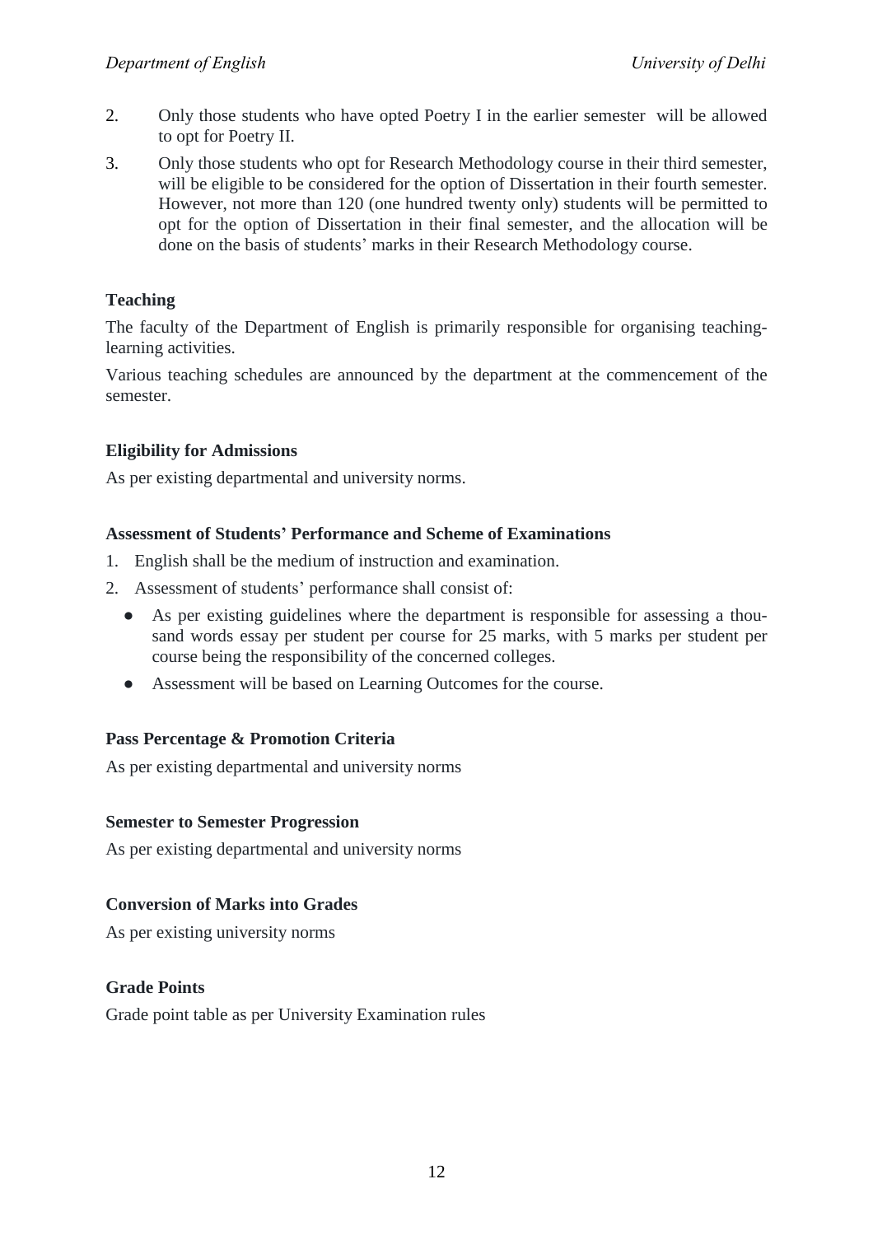- 2. Only those students who have opted Poetry I in the earlier semester will be allowed to opt for Poetry II.
- 3. Only those students who opt for Research Methodology course in their third semester, will be eligible to be considered for the option of Dissertation in their fourth semester. However, not more than 120 (one hundred twenty only) students will be permitted to opt for the option of Dissertation in their final semester, and the allocation will be done on the basis of students' marks in their Research Methodology course.

## **Teaching**

The faculty of the Department of English is primarily responsible for organising teachinglearning activities.

Various teaching schedules are announced by the department at the commencement of the semester.

## **Eligibility for Admissions**

As per existing departmental and university norms.

## **Assessment of Students' Performance and Scheme of Examinations**

- 1. English shall be the medium of instruction and examination.
- 2. Assessment of students' performance shall consist of:
	- As per existing guidelines where the department is responsible for assessing a thousand words essay per student per course for 25 marks, with 5 marks per student per course being the responsibility of the concerned colleges.
	- Assessment will be based on Learning Outcomes for the course.

## **Pass Percentage & Promotion Criteria**

As per existing departmental and university norms

## **Semester to Semester Progression**

As per existing departmental and university norms

## **Conversion of Marks into Grades**

As per existing university norms

## **Grade Points**

Grade point table as per University Examination rules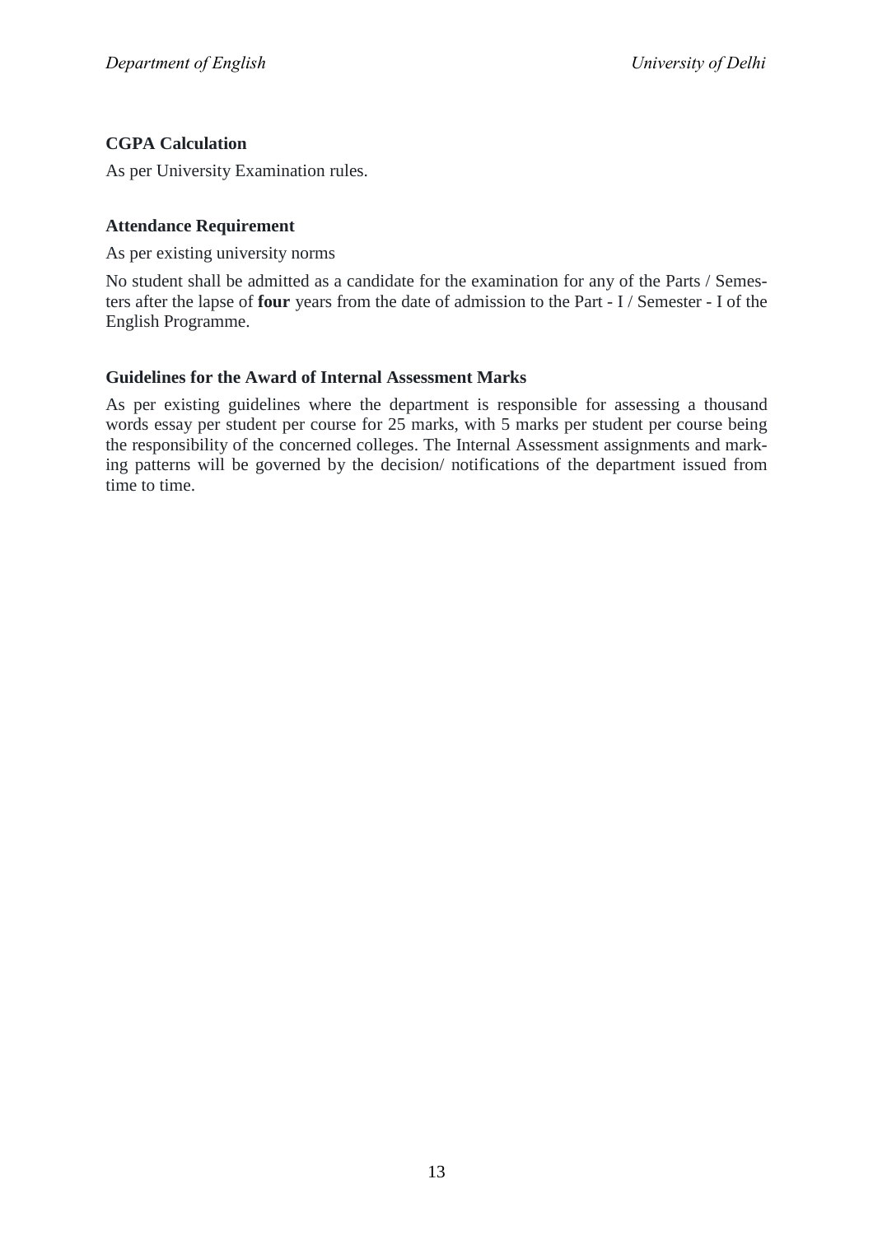## **CGPA Calculation**

As per University Examination rules.

## **Attendance Requirement**

As per existing university norms

No student shall be admitted as a candidate for the examination for any of the Parts / Semesters after the lapse of **four** years from the date of admission to the Part - I / Semester - I of the English Programme.

## **Guidelines for the Award of Internal Assessment Marks**

As per existing guidelines where the department is responsible for assessing a thousand words essay per student per course for 25 marks, with 5 marks per student per course being the responsibility of the concerned colleges. The Internal Assessment assignments and marking patterns will be governed by the decision/ notifications of the department issued from time to time.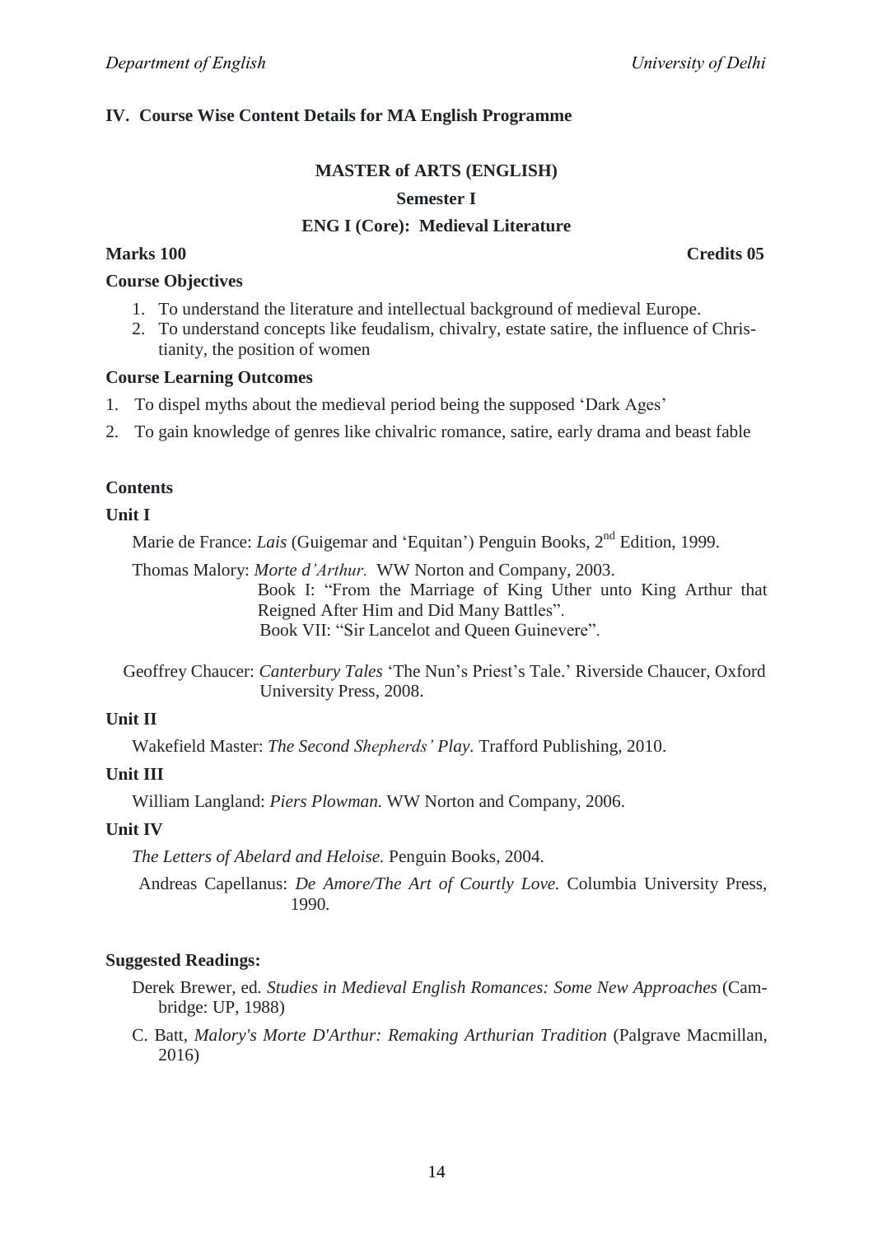## **IV. Course Wise Content Details for MA English Programme**

## **MASTER of ARTS (ENGLISH) Semester I ENG I (Core): Medieval Literature**

**Marks 100 Credits 05**

## **Course Objectives**

- 1. To understand the literature and intellectual background of medieval Europe.
- 2. To understand concepts like feudalism, chivalry, estate satire, the influence of Christianity, the position of women

### **Course Learning Outcomes**

- 1. To dispel myths about the medieval period being the supposed 'Dark Ages'
- 2. To gain knowledge of genres like chivalric romance, satire, early drama and beast fable

## **Contents**

#### **Unit I**

Marie de France: *Lais* (Guigemar and 'Equitan') Penguin Books, 2<sup>nd</sup> Edition, 1999.

Thomas Malory: *Morte d'Arthur.* WW Norton and Company, 2003. Book I: "From the Marriage of King Uther unto King Arthur that Reigned After Him and Did Many Battles". Book VII: "Sir Lancelot and Queen Guinevere".

Geoffrey Chaucer: *Canterbury Tales* 'The Nun's Priest's Tale.' Riverside Chaucer, Oxford University Press, 2008.

### **Unit II**

Wakefield Master: *The Second Shepherds' Play.* Trafford Publishing, 2010.

## **Unit III**

William Langland: *Piers Plowman.* WW Norton and Company, 2006.

#### **Unit IV**

*The Letters of Abelard and Heloise.* Penguin Books, 2004.

Andreas Capellanus: *De Amore/The Art of Courtly Love.* Columbia University Press, 1990*.*

#### **Suggested Readings:**

- Derek Brewer, ed*. Studies in Medieval English Romances: Some New Approaches* (Cambridge: UP, 1988)
- C. Batt, *Malory's Morte D'Arthur: Remaking Arthurian Tradition* (Palgrave Macmillan, 2016)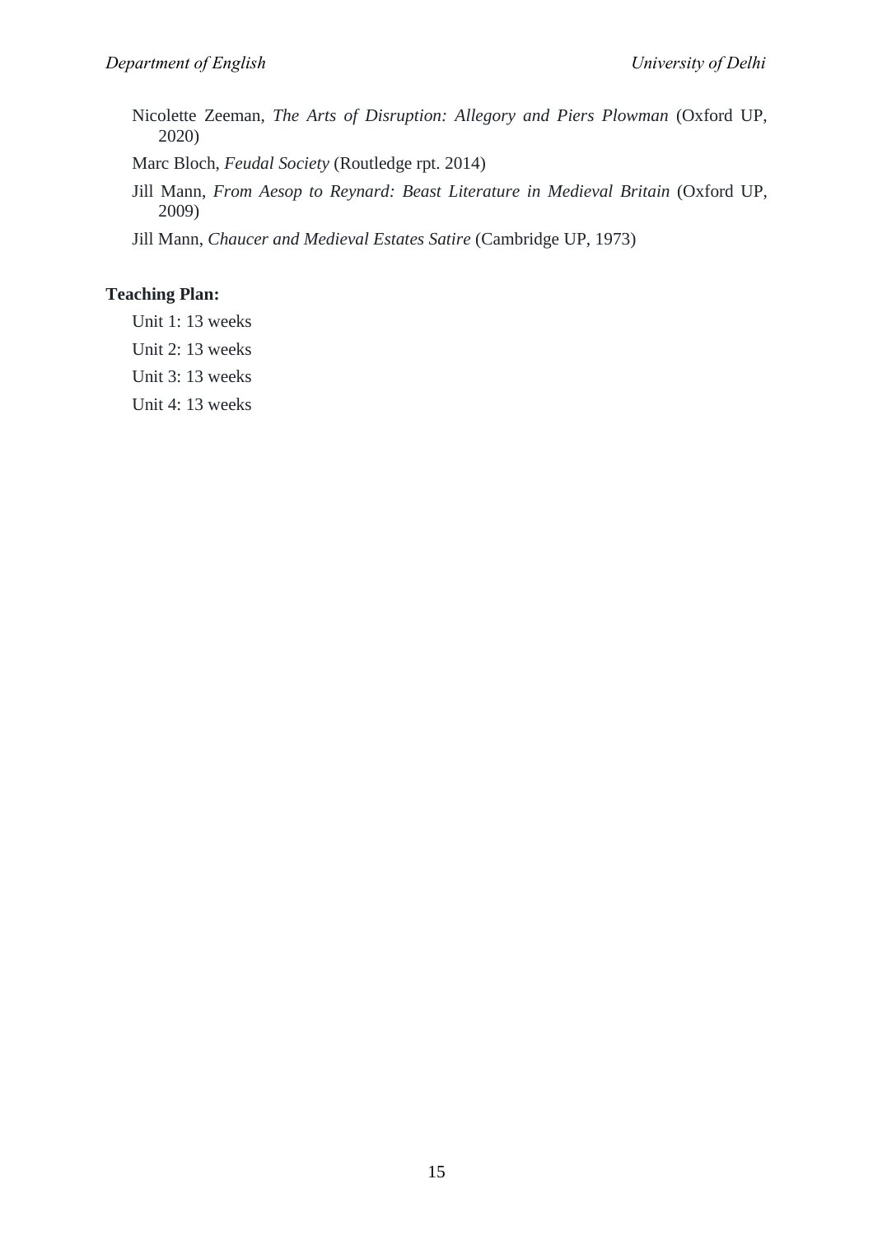Nicolette Zeeman, *The Arts of Disruption: Allegory and Piers Plowman* (Oxford UP, 2020)

Marc Bloch, *Feudal Society* (Routledge rpt. 2014)

Jill Mann, *From Aesop to Reynard: Beast Literature in Medieval Britain* (Oxford UP, 2009)

Jill Mann, *Chaucer and Medieval Estates Satire* (Cambridge UP, 1973)

## **Teaching Plan:**

Unit 1: 13 weeks

Unit 2: 13 weeks

Unit 3: 13 weeks

Unit 4: 13 weeks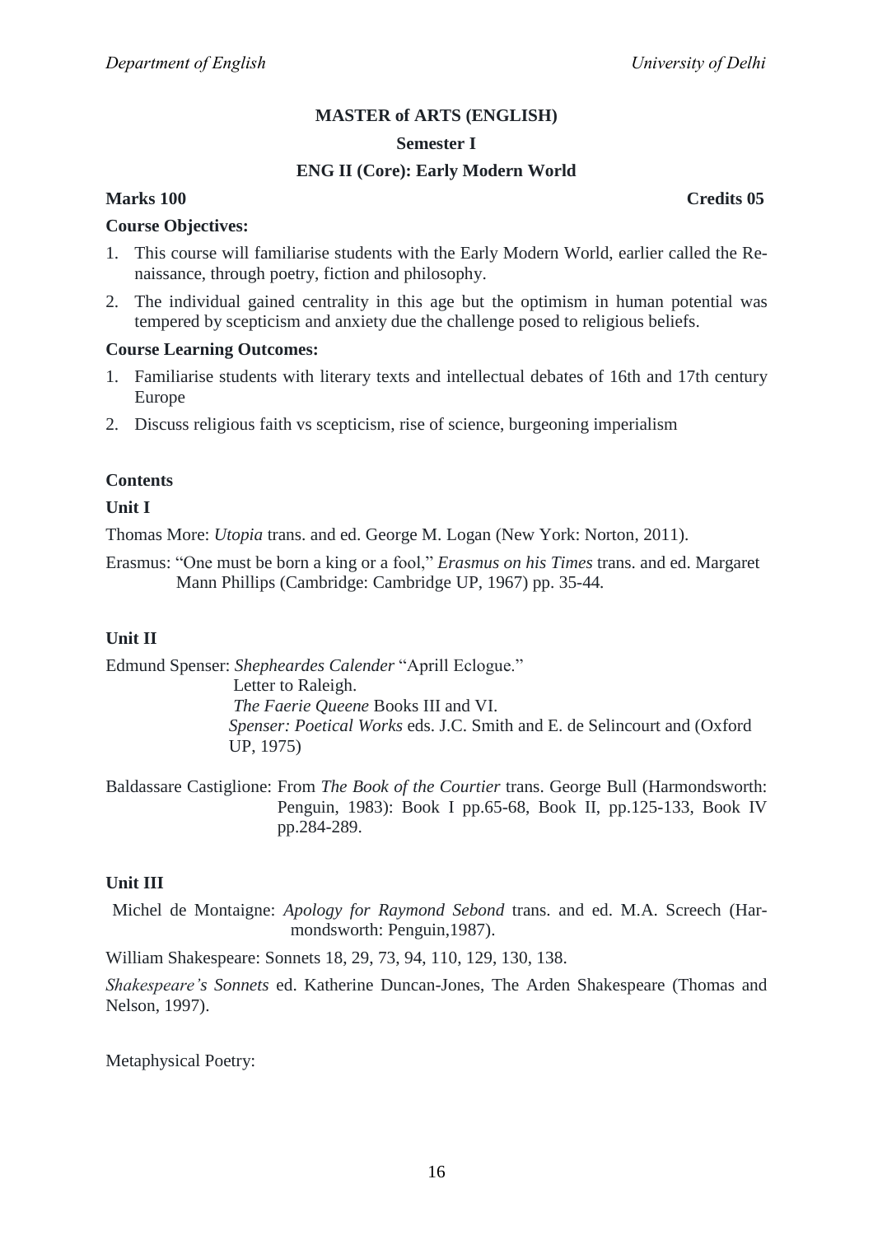#### **Semester I**

## **ENG II (Core): Early Modern World**

## **Marks 100 Credits 05**

#### **Course Objectives:**

- 1. This course will familiarise students with the Early Modern World, earlier called the Renaissance, through poetry, fiction and philosophy.
- 2. The individual gained centrality in this age but the optimism in human potential was tempered by scepticism and anxiety due the challenge posed to religious beliefs.

#### **Course Learning Outcomes:**

- 1. Familiarise students with literary texts and intellectual debates of 16th and 17th century Europe
- 2. Discuss religious faith vs scepticism, rise of science, burgeoning imperialism

#### **Contents**

#### **Unit I**

Thomas More: *Utopia* trans. and ed. George M. Logan (New York: Norton, 2011).

Erasmus: "One must be born a king or a fool," *Erasmus on his Times* trans. and ed. Margaret Mann Phillips (Cambridge: Cambridge UP, 1967) pp. 35-44*.*

#### **Unit II**

Edmund Spenser: *Shepheardes Calender* "Aprill Eclogue." Letter to Raleigh.  *The Faerie Queene* Books III and VI.  *Spenser: Poetical Works* eds. J.C. Smith and E. de Selincourt and (Oxford UP, 1975)

Baldassare Castiglione: From *The Book of the Courtier* trans. George Bull (Harmondsworth: Penguin, 1983): Book I pp.65-68, Book II, pp.125-133, Book IV pp.284-289.

#### **Unit III**

Michel de Montaigne: *Apology for Raymond Sebond* trans. and ed. M.A. Screech (Harmondsworth: Penguin,1987).

William Shakespeare: Sonnets 18, 29, 73, 94, 110, 129, 130, 138.

*Shakespeare's Sonnets* ed. Katherine Duncan-Jones, The Arden Shakespeare (Thomas and Nelson, 1997).

Metaphysical Poetry: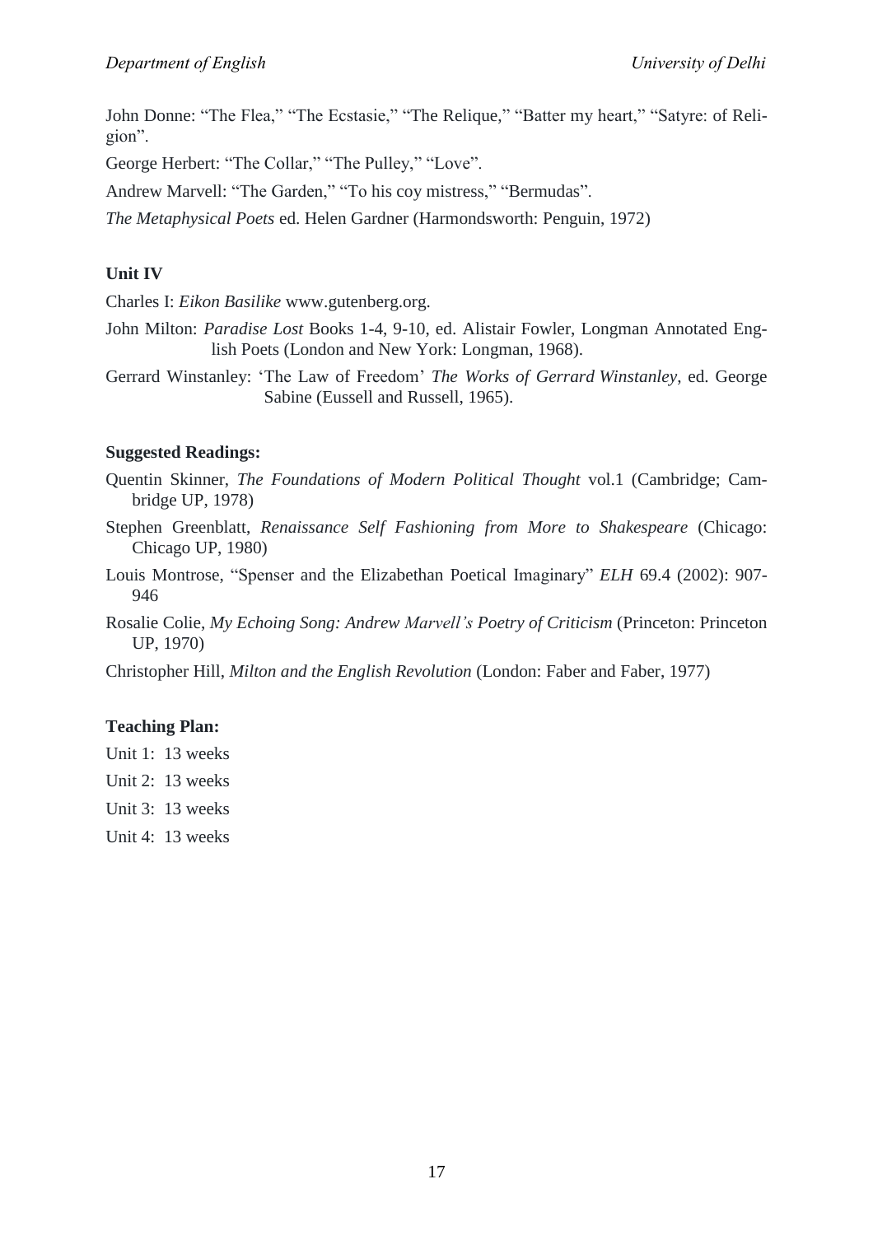John Donne: "The Flea," "The Ecstasie," "The Relique," "Batter my heart," "Satyre: of Religion".

George Herbert: "The Collar," "The Pulley," "Love".

Andrew Marvell: "The Garden," "To his coy mistress," "Bermudas".

*The Metaphysical Poets* ed. Helen Gardner (Harmondsworth: Penguin, 1972)

## **Unit IV**

Charles I: *Eikon Basilike* www.gutenberg.org.

John Milton: *Paradise Lost* Books 1-4, 9-10, ed. Alistair Fowler, Longman Annotated English Poets (London and New York: Longman, 1968).

Gerrard Winstanley: ‗The Law of Freedom' *The Works of Gerrard Winstanley*, ed. George Sabine (Eussell and Russell, 1965).

## **Suggested Readings:**

- Quentin Skinner, *The Foundations of Modern Political Thought* vol.1 (Cambridge; Cambridge UP, 1978)
- Stephen Greenblatt, *Renaissance Self Fashioning from More to Shakespeare* (Chicago: Chicago UP, 1980)
- Louis Montrose, "Spenser and the Elizabethan Poetical Imaginary" *ELH* 69.4 (2002): 907-946
- Rosalie Colie, *My Echoing Song: Andrew Marvell's Poetry of Criticism* (Princeton: Princeton UP, 1970)

Christopher Hill, *Milton and the English Revolution* (London: Faber and Faber, 1977)

## **Teaching Plan:**

- Unit 1: 13 weeks
- Unit 2: 13 weeks
- Unit 3: 13 weeks
- Unit 4: 13 weeks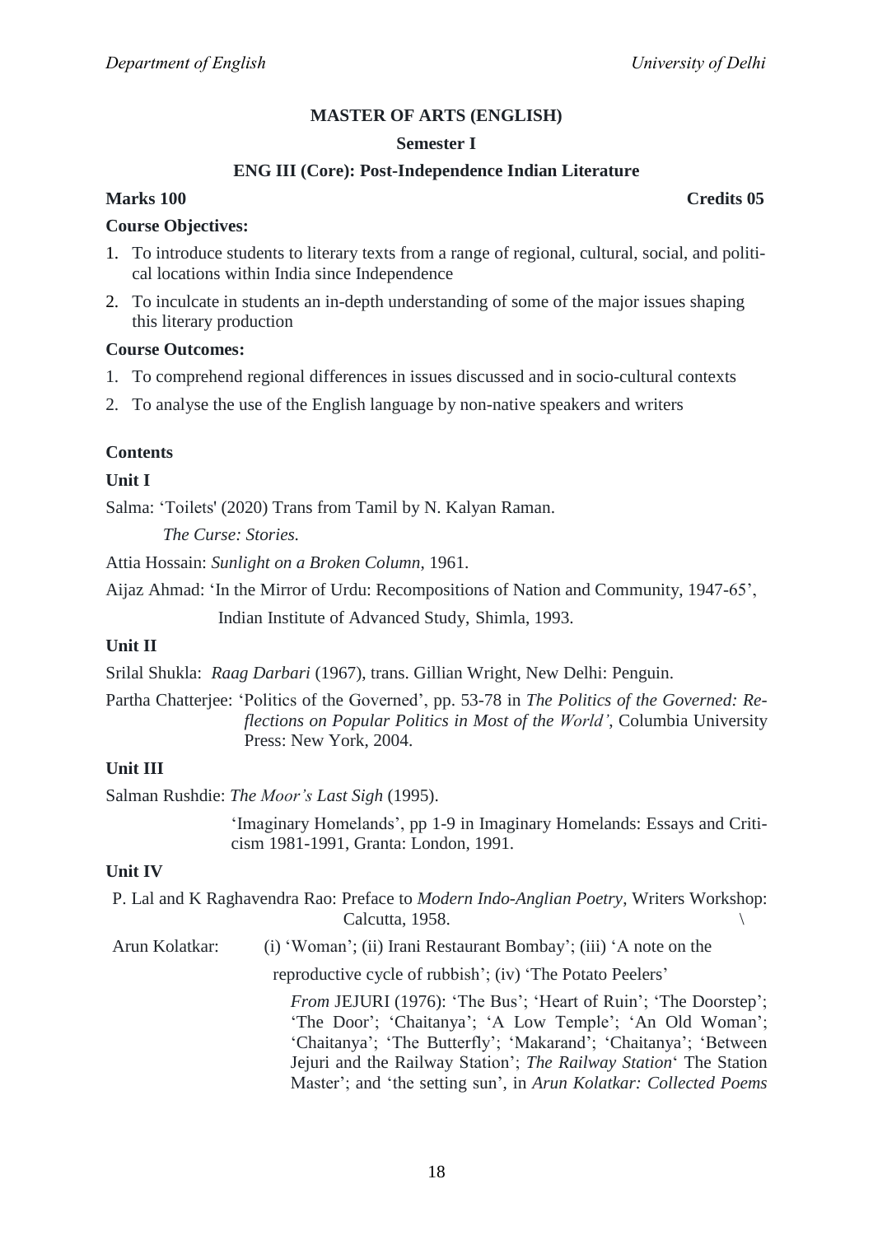#### **Semester I**

## **ENG III (Core): Post-Independence Indian Literature**

## **Marks 100 Credits 05**

#### **Course Objectives:**

- 1. To introduce students to literary texts from a range of regional, cultural, social, and political locations within India since Independence
- 2. To inculcate in students an in-depth understanding of some of the major issues shaping this literary production

## **Course Outcomes:**

- 1. To comprehend regional differences in issues discussed and in socio-cultural contexts
- 2. To analyse the use of the English language by non-native speakers and writers

## **Contents**

## **Unit I**

Salma: 'Toilets' (2020) Trans from Tamil by N. Kalyan Raman.

*The Curse: Stories.*

Attia Hossain: *Sunlight on a Broken Column*, 1961.

Aijaz Ahmad: 'In the Mirror of Urdu: Recompositions of Nation and Community, 1947-65',

Indian Institute of Advanced Study, Shimla, 1993.

### **Unit II**

Srilal Shukla: *Raag Darbari* (1967), trans. Gillian Wright, New Delhi: Penguin.

Partha Chatterjee: 'Politics of the Governed', pp. 53-78 in *The Politics of the Governed: Reflections on Popular Politics in Most of the World'*, Columbia University Press: New York, 2004.

## **Unit III**

Salman Rushdie: *The Moor's Last Sigh* (1995).

'Imaginary Homelands', pp 1-9 in Imaginary Homelands: Essays and Criticism 1981-1991, Granta: London, 1991.

#### **Unit IV**

|                | P. Lal and K Raghavendra Rao: Preface to Modern Indo-Anglian Poetry, Writers Workshop:<br>Calcutta, 1958.                                                                                                                                                                                                                                |  |
|----------------|------------------------------------------------------------------------------------------------------------------------------------------------------------------------------------------------------------------------------------------------------------------------------------------------------------------------------------------|--|
| Arun Kolatkar: | (i) 'Woman'; (ii) Irani Restaurant Bombay'; (iii) 'A note on the                                                                                                                                                                                                                                                                         |  |
|                | reproductive cycle of rubbish'; (iv) 'The Potato Peelers'                                                                                                                                                                                                                                                                                |  |
|                | From JEJURI (1976): 'The Bus'; 'Heart of Ruin'; 'The Doorstep';<br>'The Door'; 'Chaitanya'; 'A Low Temple'; 'An Old Woman';<br>'Chaitanya'; 'The Butterfly'; 'Makarand'; 'Chaitanya'; 'Between<br>Jejuri and the Railway Station'; The Railway Station' The Station<br>Master'; and 'the setting sun', in Arun Kolatkar: Collected Poems |  |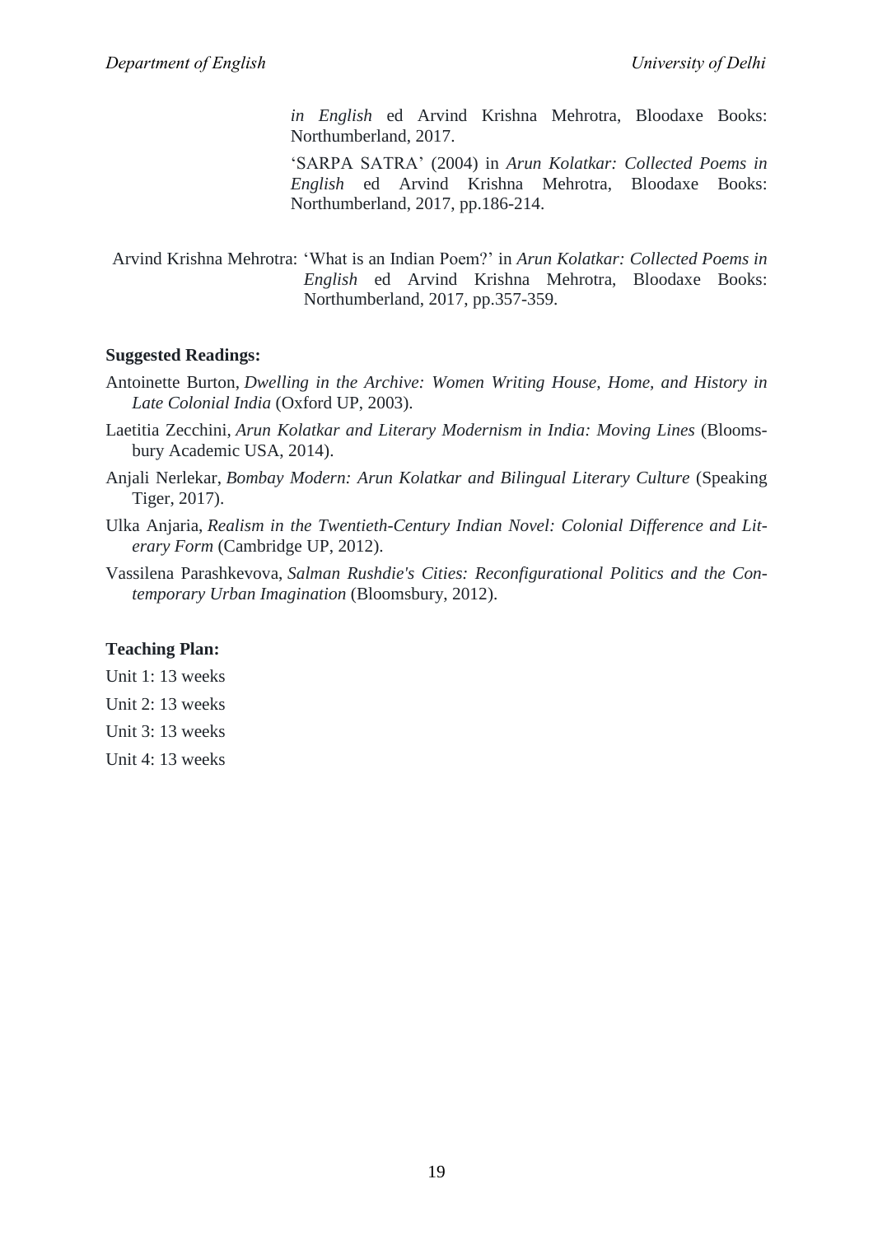*in English* ed Arvind Krishna Mehrotra, Bloodaxe Books: Northumberland, 2017.

‗SARPA SATRA' (2004) in *Arun Kolatkar: Collected Poems in English* ed Arvind Krishna Mehrotra, Bloodaxe Books: Northumberland, 2017, pp.186-214.

Arvind Krishna Mehrotra: ‗What is an Indian Poem?' in *Arun Kolatkar: Collected Poems in English* ed Arvind Krishna Mehrotra, Bloodaxe Books: Northumberland, 2017, pp.357-359.

#### **Suggested Readings:**

- Antoinette Burton, *Dwelling in the Archive: Women Writing House, Home, and History in Late Colonial India* (Oxford UP, 2003).
- Laetitia Zecchini, *Arun Kolatkar and Literary Modernism in India: Moving Lines* (Bloomsbury Academic USA, 2014).
- Anjali Nerlekar, *Bombay Modern: Arun Kolatkar and Bilingual Literary Culture* (Speaking Tiger, 2017).
- Ulka Anjaria, *Realism in the Twentieth-Century Indian Novel: Colonial Difference and Literary Form* (Cambridge UP, 2012).
- Vassilena Parashkevova, *Salman Rushdie's Cities: Reconfigurational Politics and the Contemporary Urban Imagination* (Bloomsbury, 2012).

## **Teaching Plan:**

Unit 1: 13 weeks

Unit 2: 13 weeks

Unit 3: 13 weeks

Unit 4: 13 weeks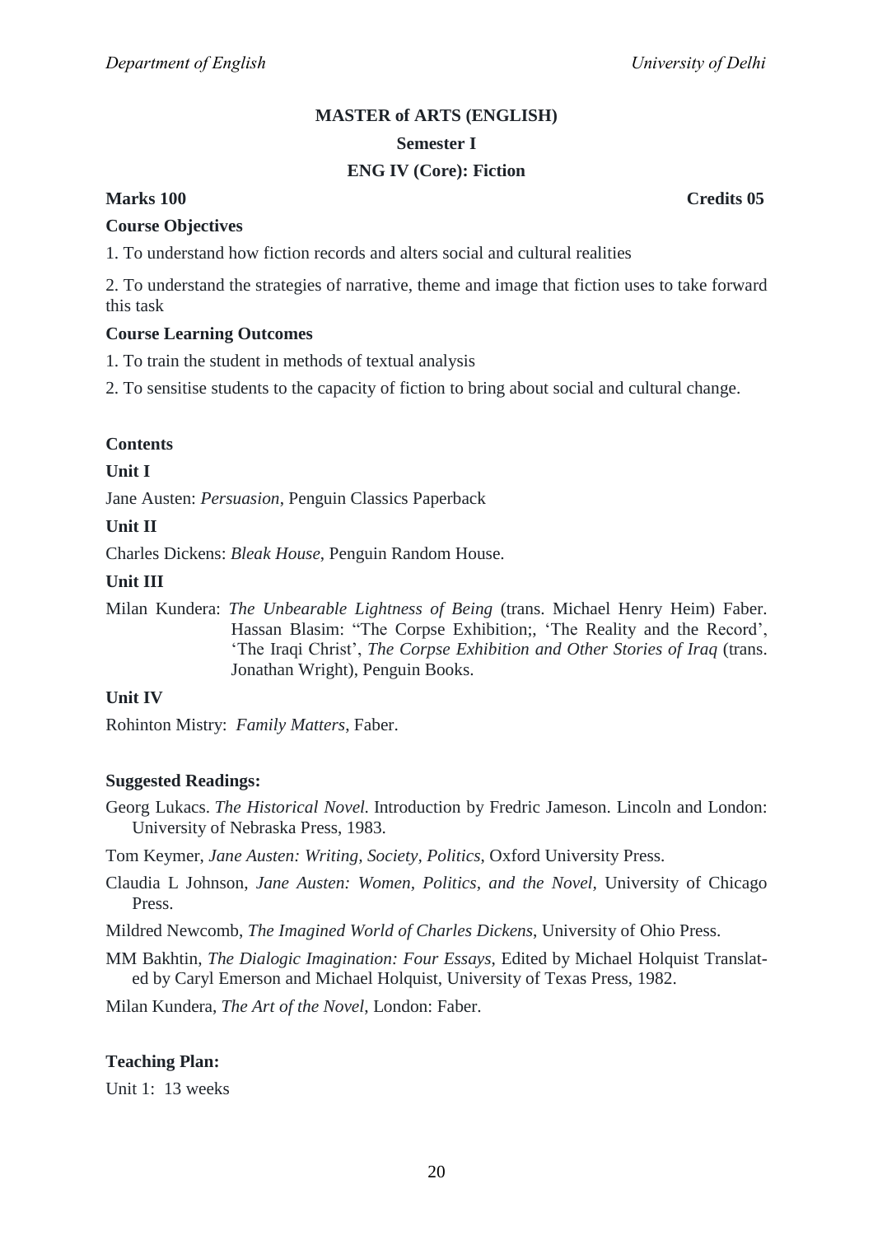## **MASTER of ARTS (ENGLISH) Semester I ENG IV (Core): Fiction**

## **Marks 100 Credits 05**

#### **Course Objectives**

1. To understand how fiction records and alters social and cultural realities

2. To understand the strategies of narrative, theme and image that fiction uses to take forward this task

#### **Course Learning Outcomes**

1. To train the student in methods of textual analysis

2. To sensitise students to the capacity of fiction to bring about social and cultural change.

#### **Contents**

#### **Unit I**

Jane Austen: *Persuasion*, Penguin Classics Paperback

#### **Unit II**

Charles Dickens: *Bleak House*, Penguin Random House.

#### **Unit III**

Milan Kundera: *The Unbearable Lightness of Being* (trans. Michael Henry Heim) Faber. Hassan Blasim: "The Corpse Exhibition;, 'The Reality and the Record', ‗The Iraqi Christ', *The Corpse Exhibition and Other Stories of Iraq* (trans. Jonathan Wright), Penguin Books.

## **Unit IV**

Rohinton Mistry: *Family Matters*, Faber.

#### **Suggested Readings:**

- Georg Lukacs. *The Historical Novel.* Introduction by Fredric Jameson. Lincoln and London: University of Nebraska Press, 1983.
- Tom Keymer, *Jane Austen: Writing, Society, Politics*, Oxford University Press.
- Claudia L Johnson, *Jane Austen: Women, Politics, and the Novel,* University of Chicago Press.

Mildred Newcomb, *The Imagined World of Charles Dickens*, University of Ohio Press.

MM Bakhtin, *The Dialogic Imagination: Four Essays*, Edited by Michael Holquist Translated by Caryl Emerson and Michael Holquist, University of Texas Press, 1982.

Milan Kundera, *The Art of the Novel*, London: Faber.

#### **Teaching Plan:**

Unit 1: 13 weeks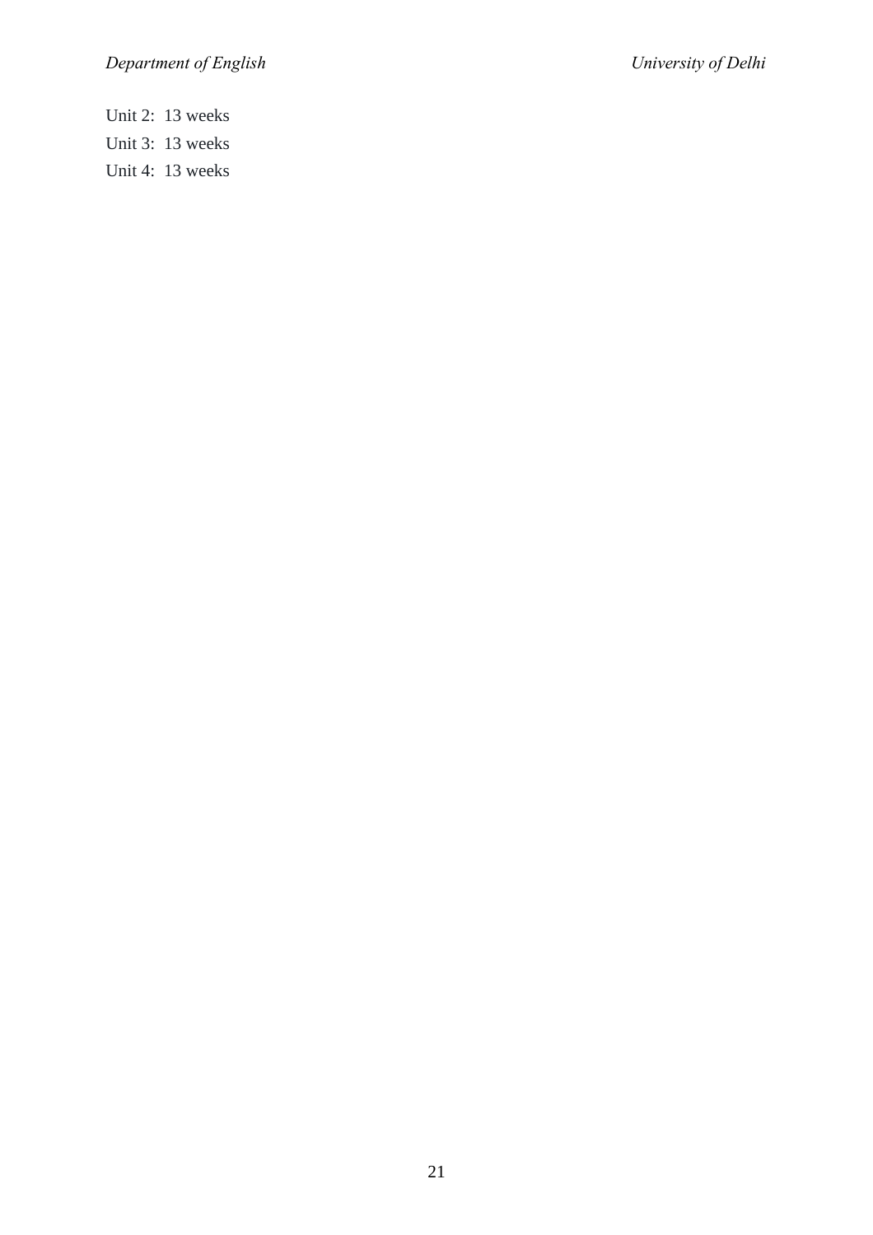Unit 2: 13 weeks Unit 3: 13 weeks Unit 4: 13 weeks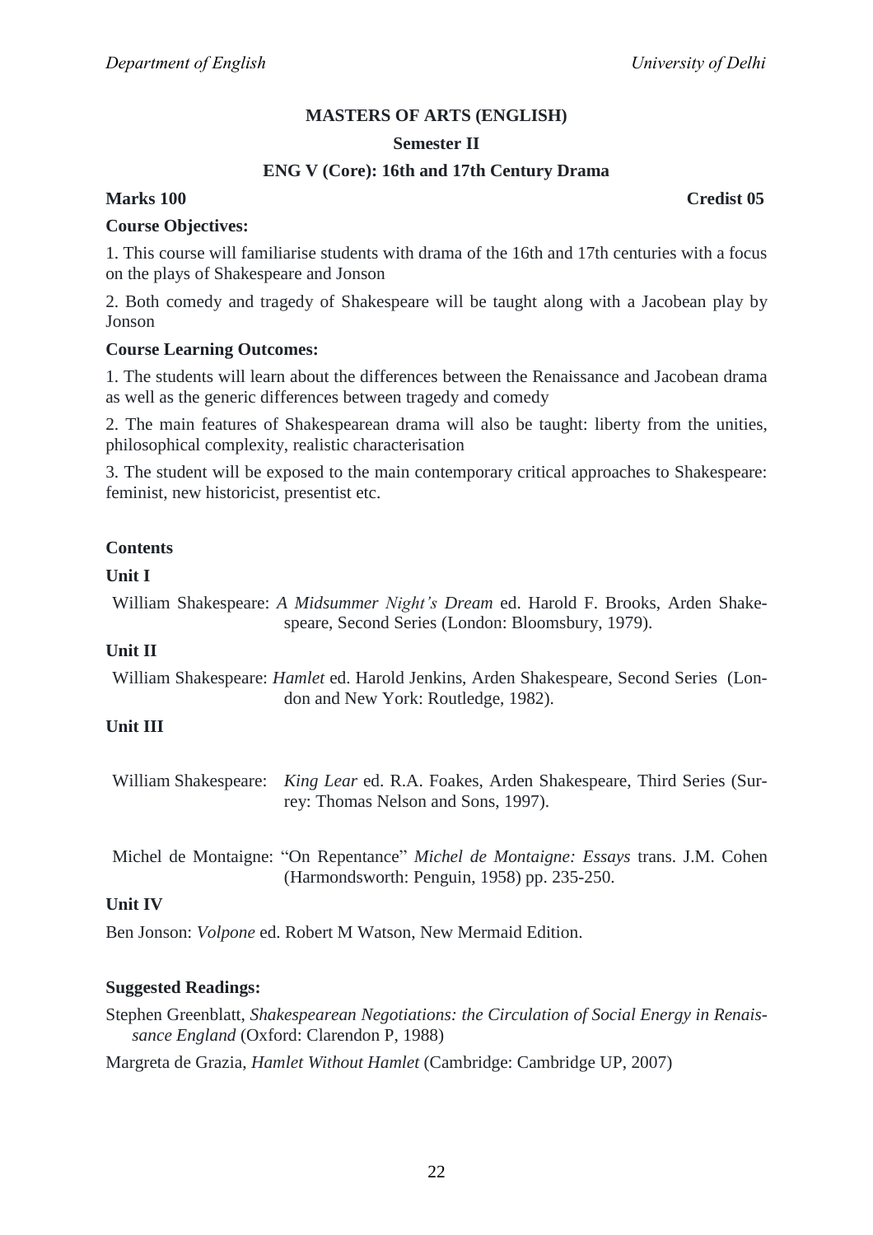## **MASTERS OF ARTS (ENGLISH)**

### **Semester II**

## **ENG V (Core): 16th and 17th Century Drama**

## **Marks 100 Credist 05**

#### **Course Objectives:**

1. This course will familiarise students with drama of the 16th and 17th centuries with a focus on the plays of Shakespeare and Jonson

2. Both comedy and tragedy of Shakespeare will be taught along with a Jacobean play by Jonson

#### **Course Learning Outcomes:**

1. The students will learn about the differences between the Renaissance and Jacobean drama as well as the generic differences between tragedy and comedy

2. The main features of Shakespearean drama will also be taught: liberty from the unities, philosophical complexity, realistic characterisation

3. The student will be exposed to the main contemporary critical approaches to Shakespeare: feminist, new historicist, presentist etc.

## **Contents**

#### **Unit I**

William Shakespeare: *A Midsummer Night's Dream* ed. Harold F. Brooks, Arden Shakespeare, Second Series (London: Bloomsbury, 1979).

### **Unit II**

William Shakespeare: *Hamlet* ed. Harold Jenkins, Arden Shakespeare, Second Series (London and New York: Routledge, 1982).

#### **Unit III**

William Shakespeare: *King Lear* ed. R.A. Foakes, Arden Shakespeare, Third Series (Surrey: Thomas Nelson and Sons, 1997).

Michel de Montaigne: "On Repentance" Michel de Montaigne: Essays trans. J.M. Cohen (Harmondsworth: Penguin, 1958) pp. 235-250.

#### **Unit IV**

Ben Jonson: *Volpone* ed. Robert M Watson, New Mermaid Edition.

#### **Suggested Readings:**

Stephen Greenblatt, *Shakespearean Negotiations: the Circulation of Social Energy in Renaissance England* (Oxford: Clarendon P, 1988)

Margreta de Grazia, *Hamlet Without Hamlet* (Cambridge: Cambridge UP, 2007)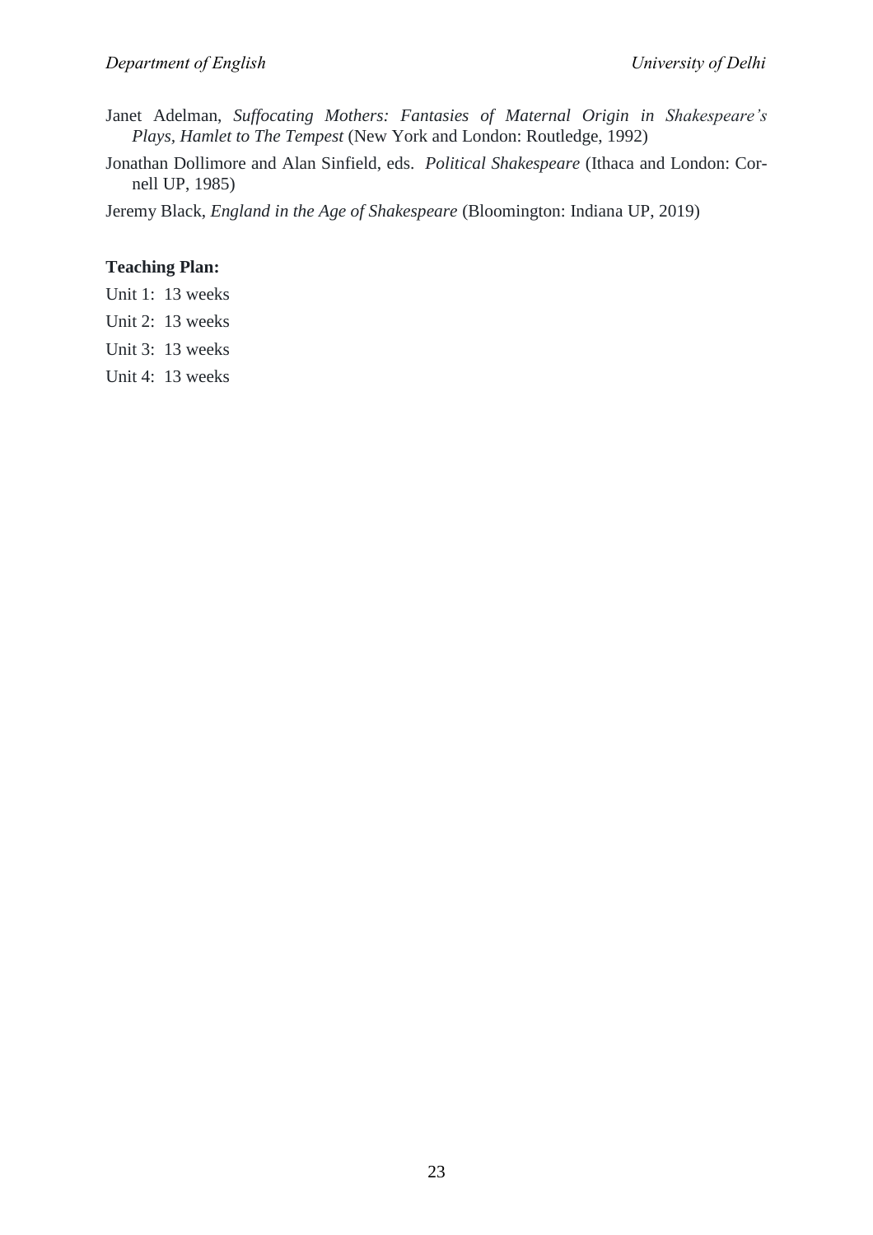- Janet Adelman, *Suffocating Mothers: Fantasies of Maternal Origin in Shakespeare's Plays, Hamlet to The Tempest* (New York and London: Routledge, 1992)
- Jonathan Dollimore and Alan Sinfield, eds. *Political Shakespeare* (Ithaca and London: Cornell UP, 1985)

Jeremy Black, *England in the Age of Shakespeare* (Bloomington: Indiana UP, 2019)

## **Teaching Plan:**

- Unit 1: 13 weeks
- Unit 2: 13 weeks
- Unit 3: 13 weeks
- Unit 4: 13 weeks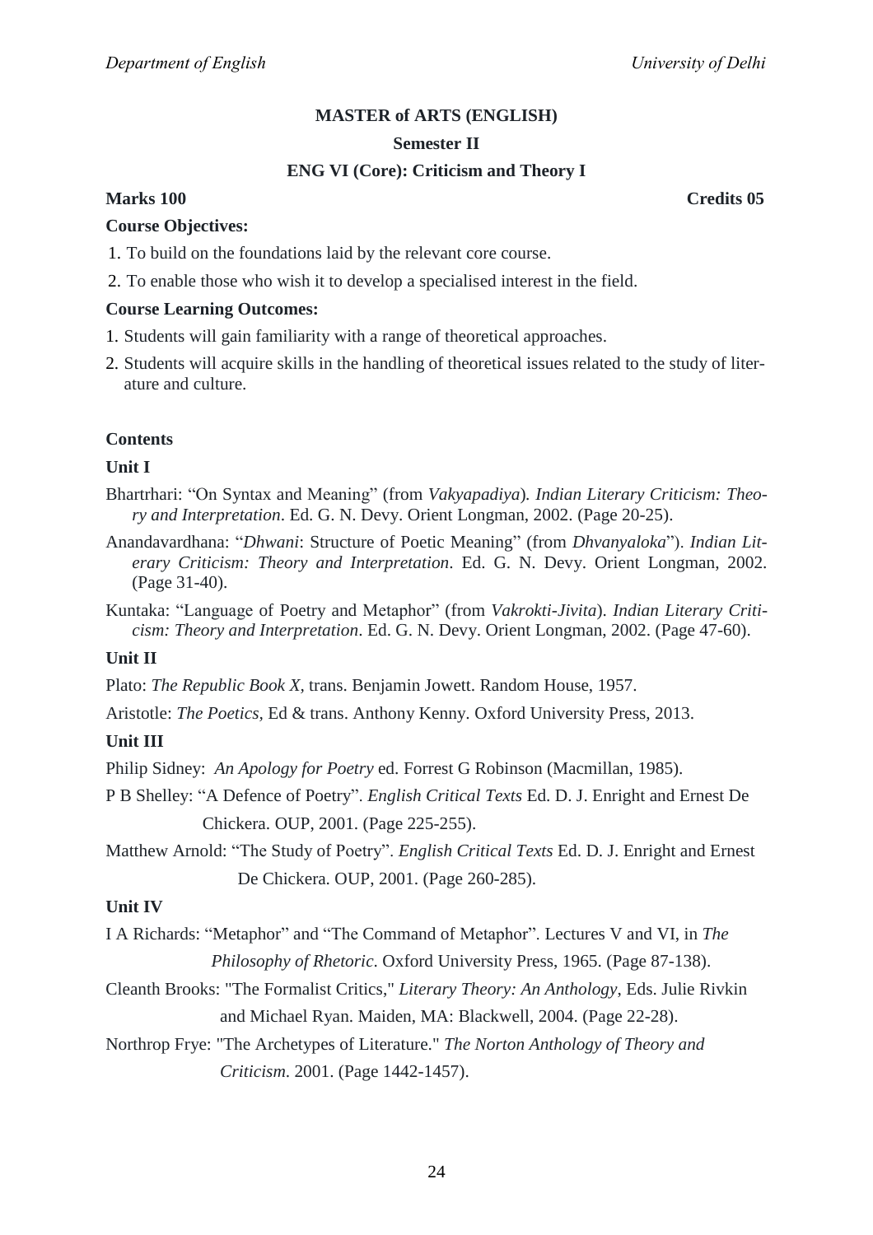#### **Semester II**

## **ENG VI (Core): Criticism and Theory I**

## **Marks 100 Credits 05**

## **Course Objectives:**

- 1. To build on the foundations laid by the relevant core course.
- 2. To enable those who wish it to develop a specialised interest in the field.

## **Course Learning Outcomes:**

- 1. Students will gain familiarity with a range of theoretical approaches.
- 2. Students will acquire skills in the handling of theoretical issues related to the study of literature and culture.

## **Contents**

## **Unit I**

- Bhartrhari: "On Syntax and Meaning" (from *Vakyapadiya*). *Indian Literary Criticism: Theory and Interpretation*. Ed. G. N. Devy. Orient Longman, 2002. (Page 20-25).
- Anandavardhana: "*Dhwani*: Structure of Poetic Meaning" (from *Dhvanyaloka*"). *Indian Literary Criticism: Theory and Interpretation*. Ed. G. N. Devy. Orient Longman, 2002. (Page 31-40).

Kuntaka: "Language of Poetry and Metaphor" (from *Vakrokti-Jivita*). *Indian Literary Criticism: Theory and Interpretation*. Ed. G. N. Devy. Orient Longman, 2002. (Page 47-60).

## **Unit II**

Plato: *The Republic Book X,* trans. Benjamin Jowett. Random House, 1957.

Aristotle: *The Poetics,* Ed & trans. Anthony Kenny. Oxford University Press, 2013.

## **Unit III**

Philip Sidney: *An Apology for Poetry* ed. Forrest G Robinson (Macmillan, 1985).

P B Shelley: "A Defence of Poetry". *English Critical Texts* Ed. D. J. Enright and Ernest De Chickera. OUP, 2001. (Page 225-255).

Matthew Arnold: "The Study of Poetry". *English Critical Texts* Ed. D. J. Enright and Ernest De Chickera. OUP, 2001. (Page 260-285).

## **Unit IV**

I A Richards: "Metaphor" and "The Command of Metaphor". Lectures V and VI, in *The Philosophy of Rhetoric*. Oxford University Press, 1965. (Page 87-138).

- Cleanth Brooks: "The Formalist Critics," *Literary Theory: An Anthology*, Eds. Julie Rivkin and Michael Ryan. Maiden, MA: Blackwell, 2004. (Page 22-28).
- Northrop Frye: "The Archetypes of Literature." *The Norton Anthology of Theory and Criticism*. 2001. (Page 1442-1457).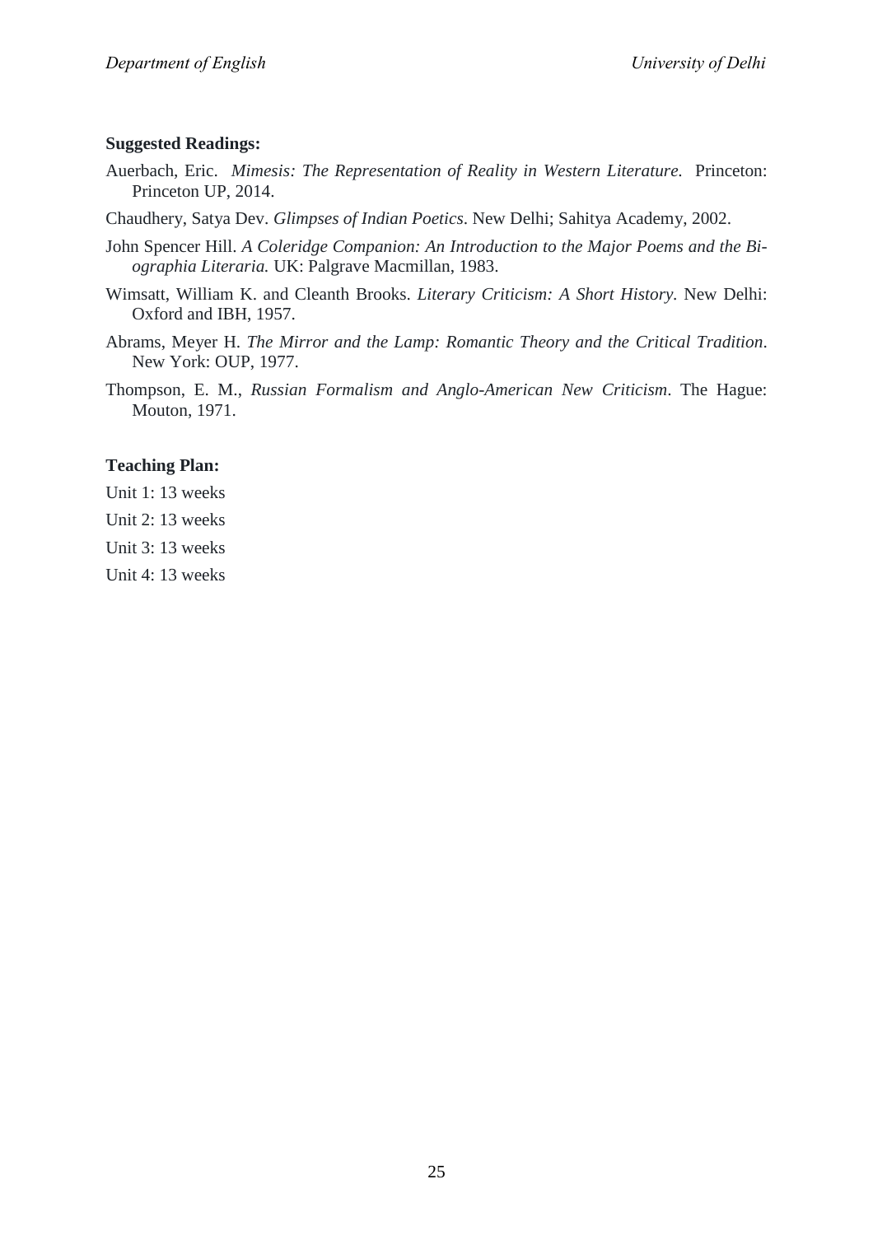#### **Suggested Readings:**

Auerbach, Eric.*Mimesis: The Representation of Reality in Western Literature.* Princeton: Princeton UP, 2014.

Chaudhery, Satya Dev. *Glimpses of Indian Poetics*. New Delhi; Sahitya Academy, 2002.

- John Spencer Hill. *A Coleridge Companion: An Introduction to the Major Poems and the Biographia Literaria.* UK: Palgrave Macmillan, 1983.
- Wimsatt, William K. and Cleanth Brooks. *Literary Criticism: A Short History.* New Delhi: Oxford and IBH, 1957.
- Abrams, Meyer H. *The Mirror and the Lamp: Romantic Theory and the Critical Tradition*. New York: OUP, 1977.
- Thompson, E. M., *Russian Formalism and Anglo-American New Criticism*. The Hague: Mouton, 1971.

## **Teaching Plan:**

- Unit 1: 13 weeks
- Unit 2: 13 weeks
- Unit 3: 13 weeks
- Unit 4: 13 weeks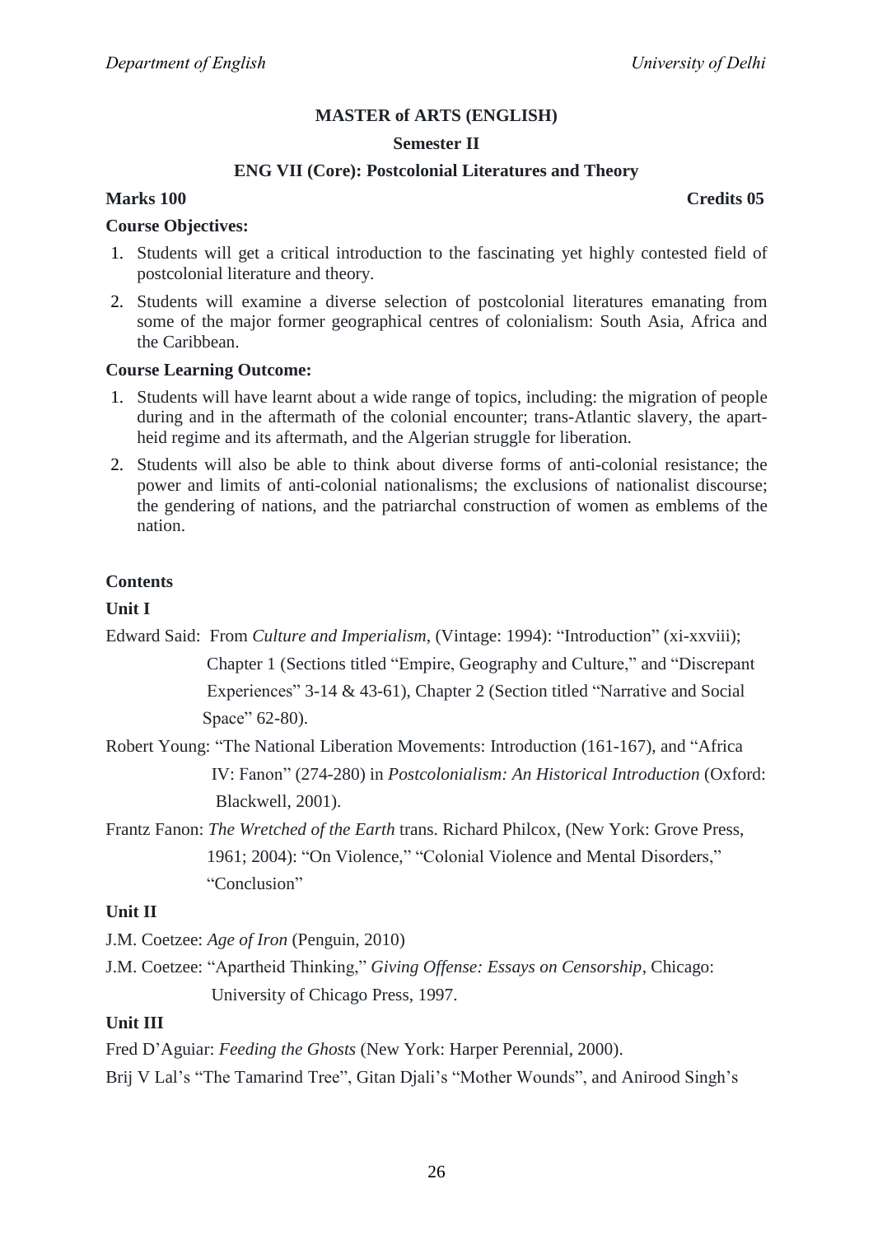#### **Semester II**

## **ENG VII (Core): Postcolonial Literatures and Theory**

#### **Course Objectives:**

- 1. Students will get a critical introduction to the fascinating yet highly contested field of postcolonial literature and theory.
- 2. Students will examine a diverse selection of postcolonial literatures emanating from some of the major former geographical centres of colonialism: South Asia, Africa and the Caribbean.

#### **Course Learning Outcome:**

- 1. Students will have learnt about a wide range of topics, including: the migration of people during and in the aftermath of the colonial encounter; trans-Atlantic slavery, the apartheid regime and its aftermath, and the Algerian struggle for liberation.
- 2. Students will also be able to think about diverse forms of anti-colonial resistance; the power and limits of anti-colonial nationalisms; the exclusions of nationalist discourse; the gendering of nations, and the patriarchal construction of women as emblems of the nation.

#### **Contents**

#### **Unit I**

Edward Said: From *Culture and Imperialism*, (Vintage: 1994): "Introduction" (xi-xxviii); Chapter 1 (Sections titled "Empire, Geography and Culture," and "Discrepant" Experiences" 3-14  $&$  43-61), Chapter 2 (Section titled "Narrative and Social Space" 62-80).

- Robert Young: "The National Liberation Movements: Introduction (161-167), and "Africa IV: Fanon‖ (274-280) in *Postcolonialism: An Historical Introduction* (Oxford: Blackwell, 2001).
- Frantz Fanon: *The Wretched of the Earth* trans. Richard Philcox, (New York: Grove Press, 1961; 2004): "On Violence," "Colonial Violence and Mental Disorders," "Conclusion"

#### **Unit II**

J.M. Coetzee: *Age of Iron* (Penguin, 2010)

J.M. Coetzee: ―Apartheid Thinking,‖ *Giving Offense: Essays on Censorship*, Chicago: University of Chicago Press, 1997.

## **Unit III**

Fred D'Aguiar: *Feeding the Ghosts* (New York: Harper Perennial, 2000). Brij V Lal's "The Tamarind Tree", Gitan Djali's "Mother Wounds", and Anirood Singh's

#### **Marks 100 Credits 05**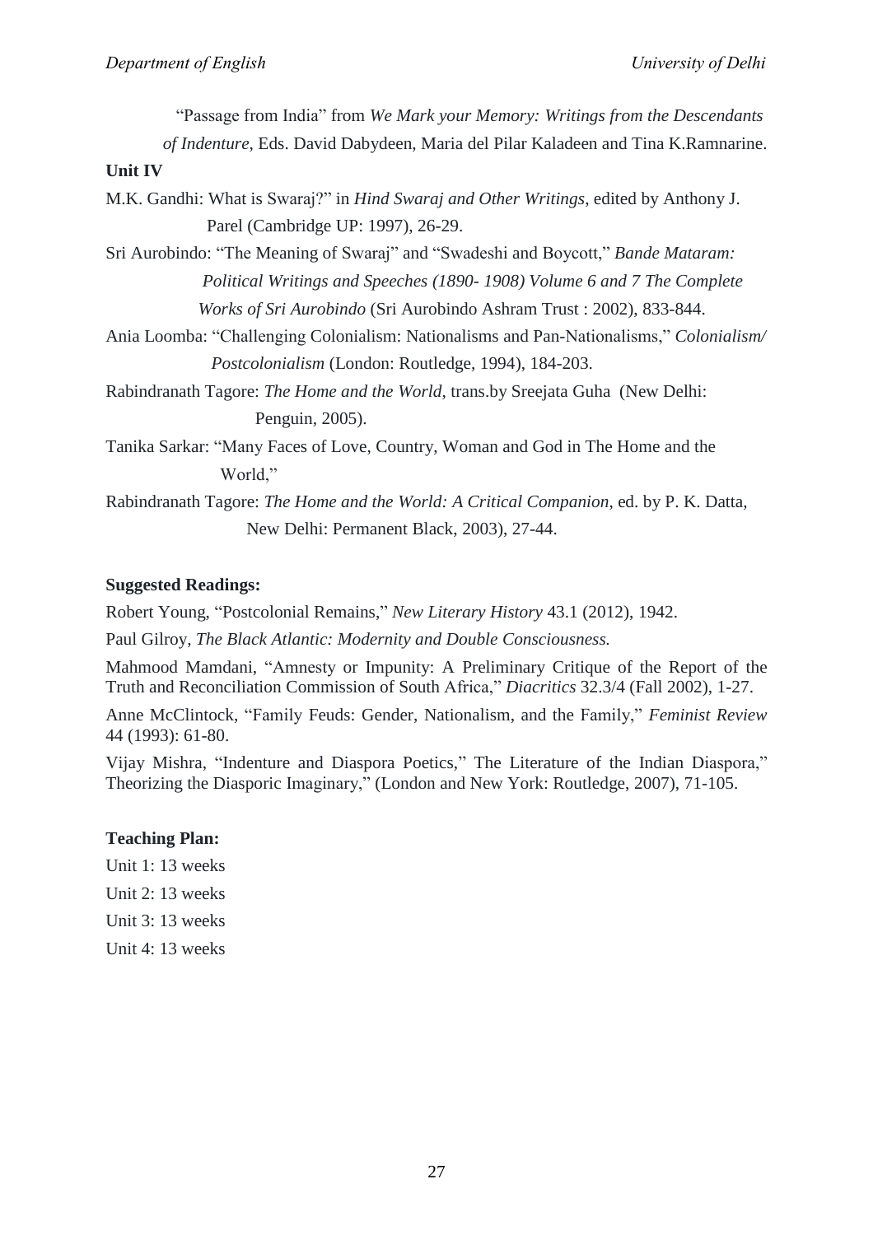| "Passage from India" from We Mark your Memory: Writings from the Descendants                   |
|------------------------------------------------------------------------------------------------|
| of Indenture, Eds. David Dabydeen, Maria del Pilar Kaladeen and Tina K.Ramnarine.              |
| <b>Unit IV</b>                                                                                 |
| M.K. Gandhi: What is Swaraj?" in <i>Hind Swaraj and Other Writings</i> , edited by Anthony J.  |
| Parel (Cambridge UP: 1997), 26-29.                                                             |
| Sri Aurobindo: "The Meaning of Swaraj" and "Swadeshi and Boycott," <i>Bande Mataram</i> :      |
| Political Writings and Speeches (1890-1908) Volume 6 and 7 The Complete                        |
| Works of Sri Aurobindo (Sri Aurobindo Ashram Trust: 2002), 833-844.                            |
| Ania Loomba: "Challenging Colonialism: Nationalisms and Pan-Nationalisms," Colonialism/        |
| <i>Postcolonialism</i> (London: Routledge, 1994), 184-203.                                     |
| Rabindranath Tagore: <i>The Home and the World</i> , trans.by Sreejata Guha (New Delhi:        |
| Penguin, 2005).                                                                                |
| Tanika Sarkar: "Many Faces of Love, Country, Woman and God in The Home and the                 |
| World,"                                                                                        |
| Rabindranath Tagore: <i>The Home and the World: A Critical Companion</i> , ed. by P. K. Datta, |
| New Delhi: Permanent Black, 2003), 27-44.                                                      |

# **Suggested Readings:**

Robert Young, "Postcolonial Remains," New Literary History 43.1 (2012), 1942.

Paul Gilroy, *The Black Atlantic: Modernity and Double Consciousness.*

Mahmood Mamdani, "Amnesty or Impunity: A Preliminary Critique of the Report of the Truth and Reconciliation Commission of South Africa," *Diacritics* 32.3/4 (Fall 2002), 1-27.

Anne McClintock, "Family Feuds: Gender, Nationalism, and the Family," *Feminist Review* 44 (1993): 61-80.

Vijay Mishra, "Indenture and Diaspora Poetics," The Literature of the Indian Diaspora," Theorizing the Diasporic Imaginary," (London and New York: Routledge, 2007), 71-105.

#### **Teaching Plan:**

- Unit 1: 13 weeks
- Unit 2: 13 weeks
- Unit 3: 13 weeks
- Unit 4: 13 weeks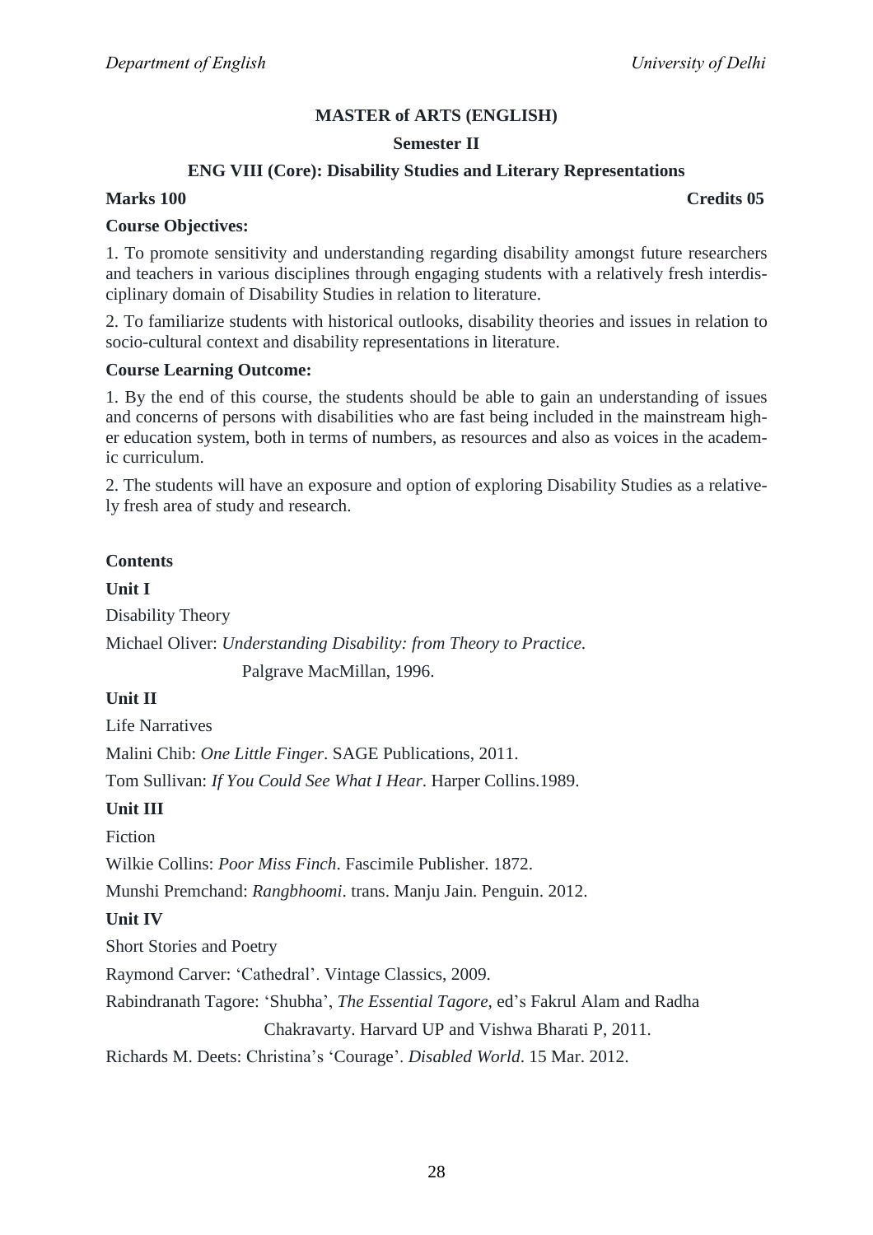## **Semester II**

## **ENG VIII (Core): Disability Studies and Literary Representations**

## **Marks 100 Credits 05**

## **Course Objectives:**

1. To promote sensitivity and understanding regarding disability amongst future researchers and teachers in various disciplines through engaging students with a relatively fresh interdisciplinary domain of Disability Studies in relation to literature.

2. To familiarize students with historical outlooks, disability theories and issues in relation to socio-cultural context and disability representations in literature.

#### **Course Learning Outcome:**

1. By the end of this course, the students should be able to gain an understanding of issues and concerns of persons with disabilities who are fast being included in the mainstream higher education system, both in terms of numbers, as resources and also as voices in the academic curriculum.

2. The students will have an exposure and option of exploring Disability Studies as a relatively fresh area of study and research.

## **Contents**

**Unit I** Disability Theory Michael Oliver: *Understanding Disability: from Theory to Practice*.

Palgrave MacMillan, 1996.

## **Unit II**

Life Narratives

Malini Chib: *One Little Finger*. SAGE Publications, 2011.

Tom Sullivan: *If You Could See What I Hear*. Harper Collins.1989.

## **Unit III**

Fiction

Wilkie Collins: *Poor Miss Finch*. Fascimile Publisher. 1872.

Munshi Premchand: *Rangbhoomi*. trans. Manju Jain. Penguin. 2012.

## **Unit IV**

Short Stories and Poetry

Raymond Carver: ‗Cathedral'. Vintage Classics, 2009.

Rabindranath Tagore: ‗Shubha', *The Essential Tagore*, ed's Fakrul Alam and Radha

Chakravarty. Harvard UP and Vishwa Bharati P, 2011.

Richards M. Deets: Christina's ‗Courage'. *Disabled World*. 15 Mar. 2012.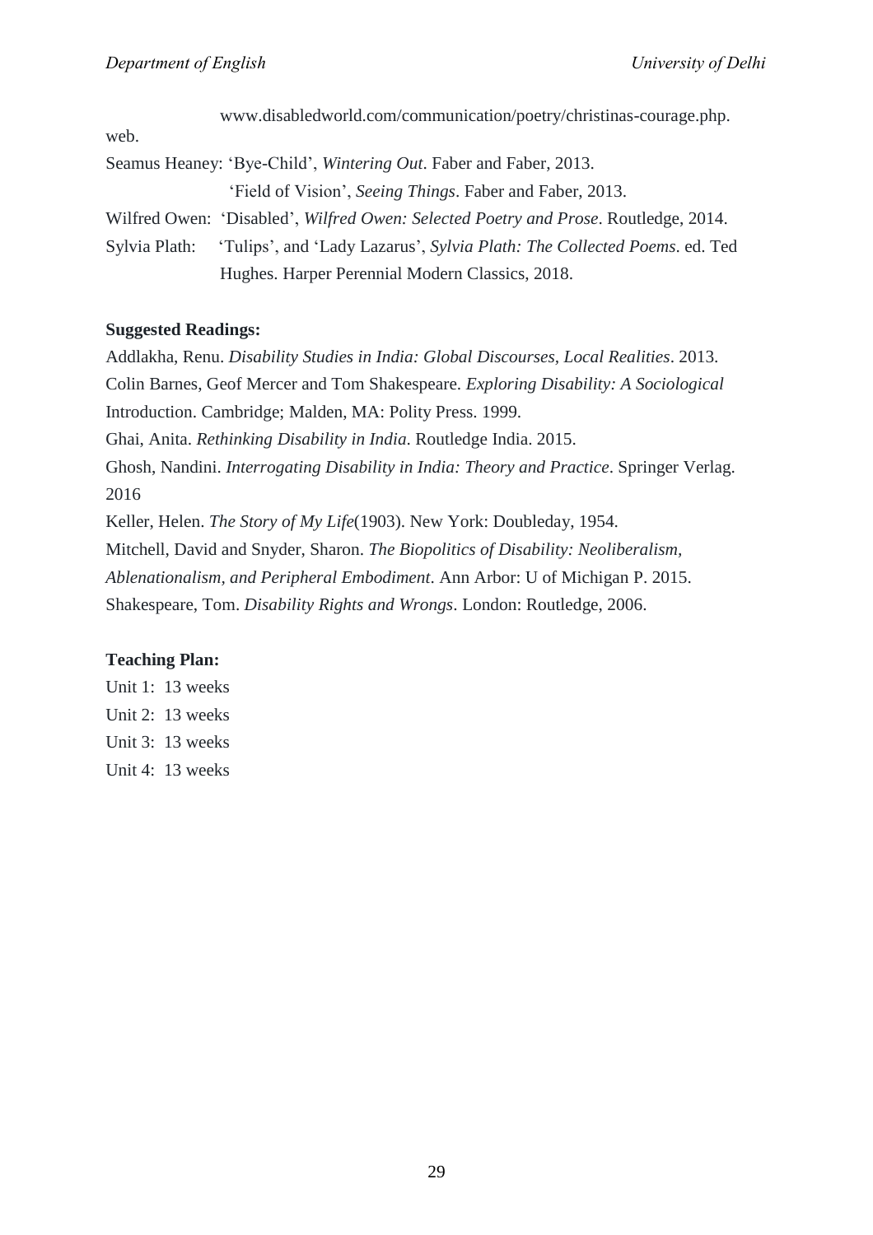|               | www.disabledworld.com/communication/poetry/christinas-courage.php.                  |
|---------------|-------------------------------------------------------------------------------------|
| web.          |                                                                                     |
|               | Seamus Heaney: 'Bye-Child', <i>Wintering Out.</i> Faber and Faber, 2013.            |
|               | 'Field of Vision', Seeing Things. Faber and Faber, 2013.                            |
|               | Wilfred Owen: 'Disabled', Wilfred Owen: Selected Poetry and Prose. Routledge, 2014. |
| Sylvia Plath: | 'Tulips', and 'Lady Lazarus', Sylvia Plath: The Collected Poems. ed. Ted            |
|               | Hughes. Harper Perennial Modern Classics, 2018.                                     |

## **Suggested Readings:**

Addlakha, Renu. *Disability Studies in India: Global Discourses, Local Realities*. 2013. Colin Barnes, Geof Mercer and Tom Shakespeare. *Exploring Disability: A Sociological* Introduction. Cambridge; Malden, MA: Polity Press. 1999. Ghai, Anita. *Rethinking Disability in India*. Routledge India. 2015. Ghosh, Nandini. *Interrogating Disability in India: Theory and Practice*. Springer Verlag. 2016 Keller, Helen. *The Story of My Life*(1903). New York: Doubleday, 1954. Mitchell, David and Snyder, Sharon. *The Biopolitics of Disability: Neoliberalism, Ablenationalism, and Peripheral Embodiment*. Ann Arbor: U of Michigan P. 2015. Shakespeare, Tom. *Disability Rights and Wrongs*. London: Routledge, 2006.

## **Teaching Plan:**

Unit 1: 13 weeks Unit 2: 13 weeks Unit 3: 13 weeks Unit 4: 13 weeks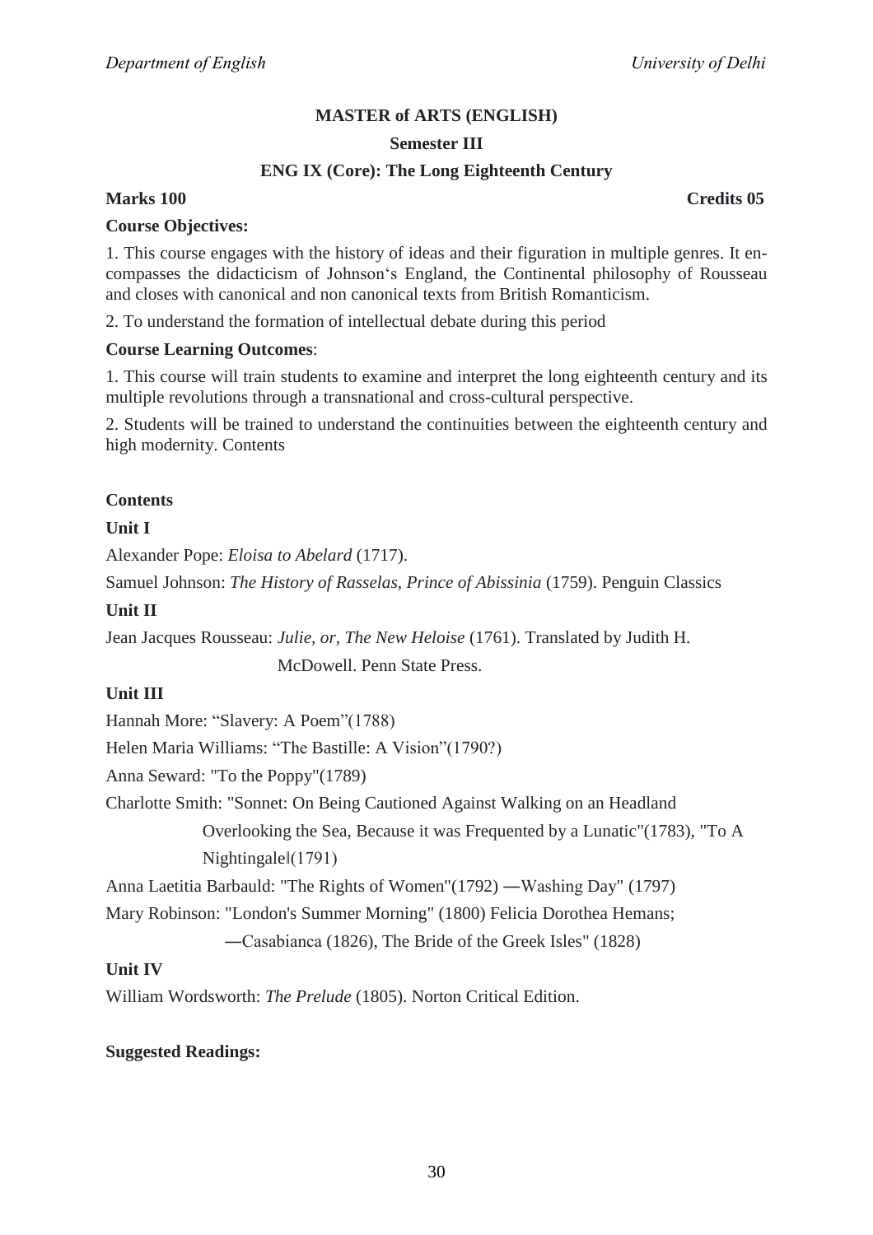## **Semester III**

## **ENG IX (Core): The Long Eighteenth Century**

## **Marks 100 Credits 05**

#### **Course Objectives:**

1. This course engages with the history of ideas and their figuration in multiple genres. It encompasses the didacticism of Johnson's England, the Continental philosophy of Rousseau and closes with canonical and non canonical texts from British Romanticism.

2. To understand the formation of intellectual debate during this period

## **Course Learning Outcomes**:

1. This course will train students to examine and interpret the long eighteenth century and its multiple revolutions through a transnational and cross-cultural perspective.

2. Students will be trained to understand the continuities between the eighteenth century and high modernity. Contents

## **Contents**

## **Unit I**

Alexander Pope: *Eloisa to Abelard* (1717).

Samuel Johnson: *The History of Rasselas, Prince of Abissinia* (1759). Penguin Classics

#### **Unit II**

Jean Jacques Rousseau: *Julie, or, The New Heloise* (1761). Translated by Judith H.

McDowell. Penn State Press.

#### **Unit III**

Hannah More: "Slavery: A Poem" (1788)

Helen Maria Williams: "The Bastille: A Vision" (1790?)

Anna Seward: "To the Poppy"(1789)

Charlotte Smith: "Sonnet: On Being Cautioned Against Walking on an Headland

 Overlooking the Sea, Because it was Frequented by a Lunatic"(1783), "To A Nightingale‖(1791)

Anna Laetitia Barbauld: "The Rights of Women"(1792) ―Washing Day" (1797)

Mary Robinson: "London's Summer Morning" (1800) Felicia Dorothea Hemans;

―Casabianca (1826), The Bride of the Greek Isles" (1828)

## **Unit IV**

William Wordsworth: *The Prelude* (1805). Norton Critical Edition.

## **Suggested Readings:**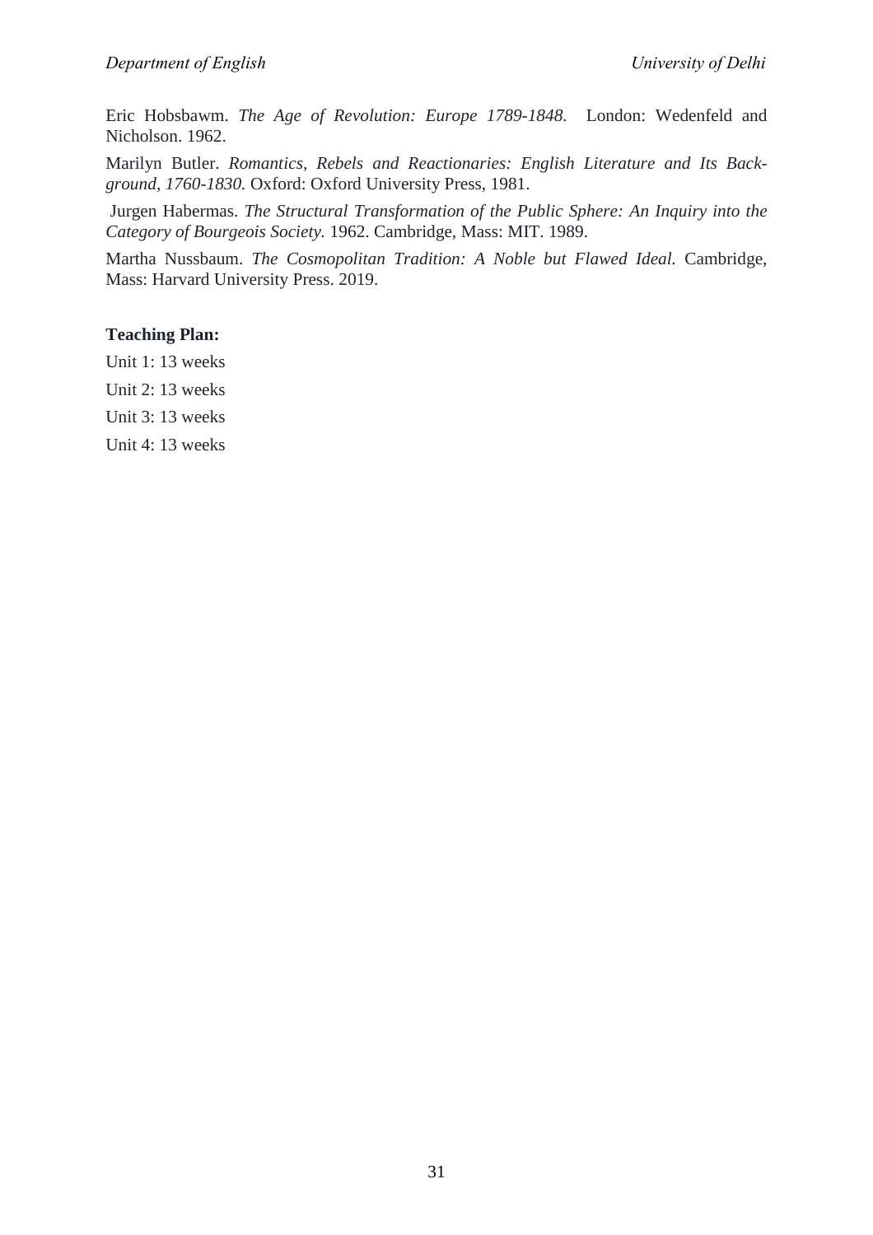Eric Hobsbawm. *The Age of Revolution: Europe 1789-1848.* London: Wedenfeld and Nicholson. 1962.

Marilyn Butler. *Romantics, Rebels and Reactionaries: English Literature and Its Background, 1760-1830.* Oxford: Oxford University Press, 1981.

Jurgen Habermas. *The Structural Transformation of the Public Sphere: An Inquiry into the Category of Bourgeois Society.* 1962. Cambridge, Mass: MIT. 1989.

Martha Nussbaum. *The Cosmopolitan Tradition: A Noble but Flawed Ideal.* Cambridge, Mass: Harvard University Press. 2019.

## **Teaching Plan:**

Unit 1: 13 weeks

Unit 2: 13 weeks

Unit 3: 13 weeks

Unit 4: 13 weeks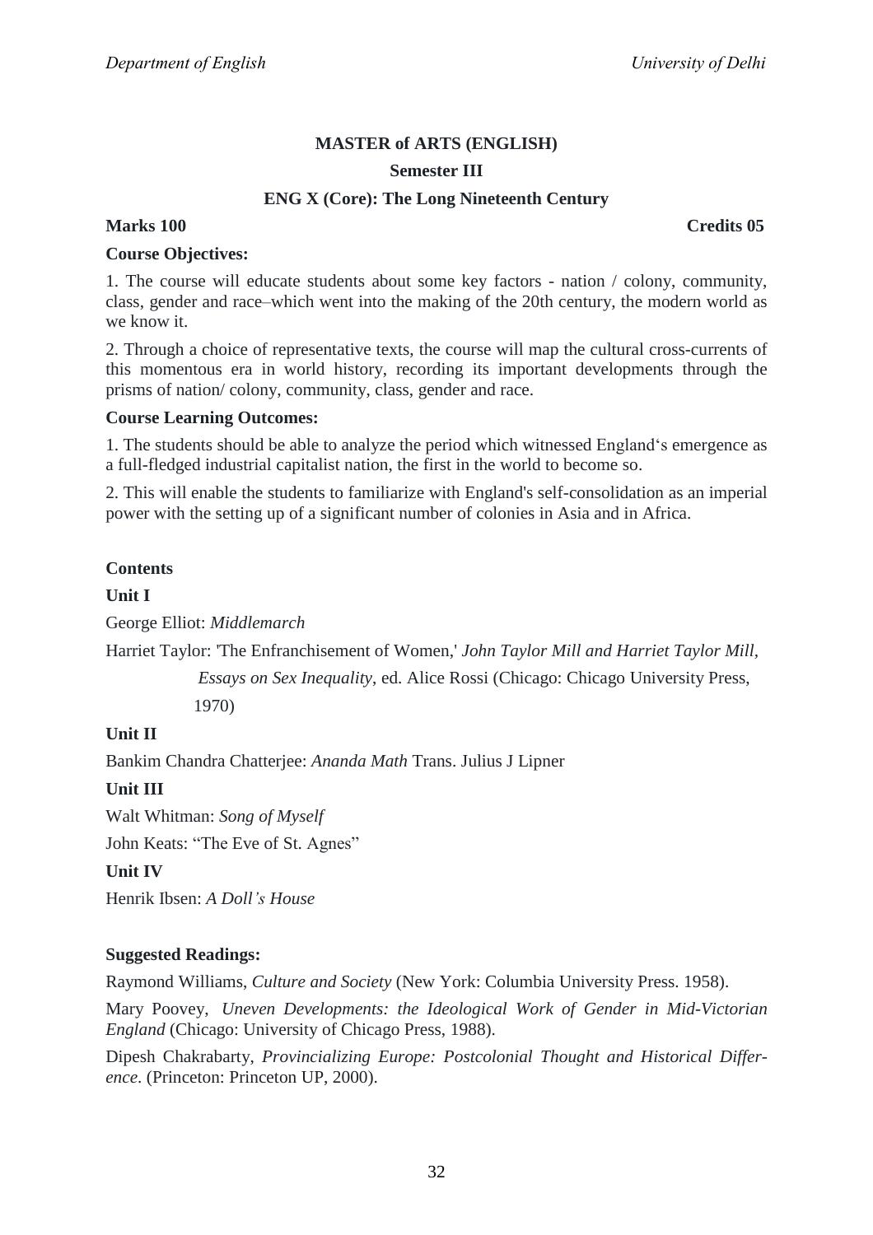## **Semester III**

## **ENG X (Core): The Long Nineteenth Century**

## **Marks 100 Credits 05**

## **Course Objectives:**

1. The course will educate students about some key factors - nation / colony, community, class, gender and race–which went into the making of the 20th century, the modern world as we know it.

2. Through a choice of representative texts, the course will map the cultural cross-currents of this momentous era in world history, recording its important developments through the prisms of nation/ colony, community, class, gender and race.

## **Course Learning Outcomes:**

1. The students should be able to analyze the period which witnessed England's emergence as a full-fledged industrial capitalist nation, the first in the world to become so.

2. This will enable the students to familiarize with England's self-consolidation as an imperial power with the setting up of a significant number of colonies in Asia and in Africa.

## **Contents**

## **Unit I**

George Elliot: *Middlemarch*

Harriet Taylor: 'The Enfranchisement of Women,' *John Taylor Mill and Harriet Taylor Mill,*

 *Essays on Sex Inequality*, ed. Alice Rossi (Chicago: Chicago University Press, 1970)

## **Unit II**

Bankim Chandra Chatterjee: *Ananda Math* Trans. Julius J Lipner

## **Unit III**

Walt Whitman: *Song of Myself*

John Keats: "The Eve of St. Agnes"

#### **Unit IV**

Henrik Ibsen: *A Doll's House*

## **Suggested Readings:**

Raymond Williams, *Culture and Society* (New York: Columbia University Press. 1958).

Mary Poovey, *Uneven Developments: the Ideological Work of Gender in Mid-Victorian England* (Chicago: University of Chicago Press, 1988).

Dipesh Chakrabarty, *Provincializing Europe: Postcolonial Thought and Historical Difference*. (Princeton: Princeton UP, 2000).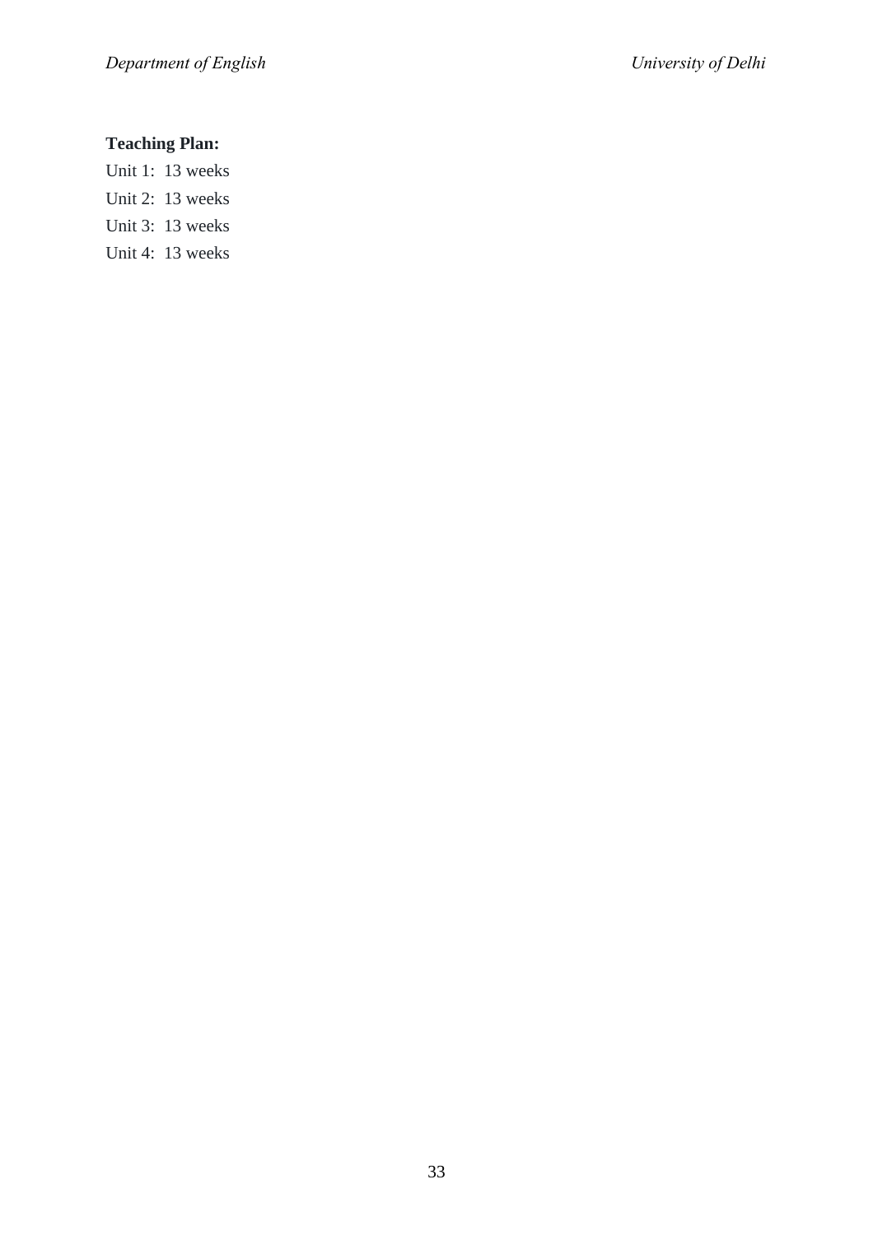## **Teaching Plan:**

- Unit 1: 13 weeks
- Unit 2: 13 weeks
- Unit 3: 13 weeks
- Unit 4: 13 weeks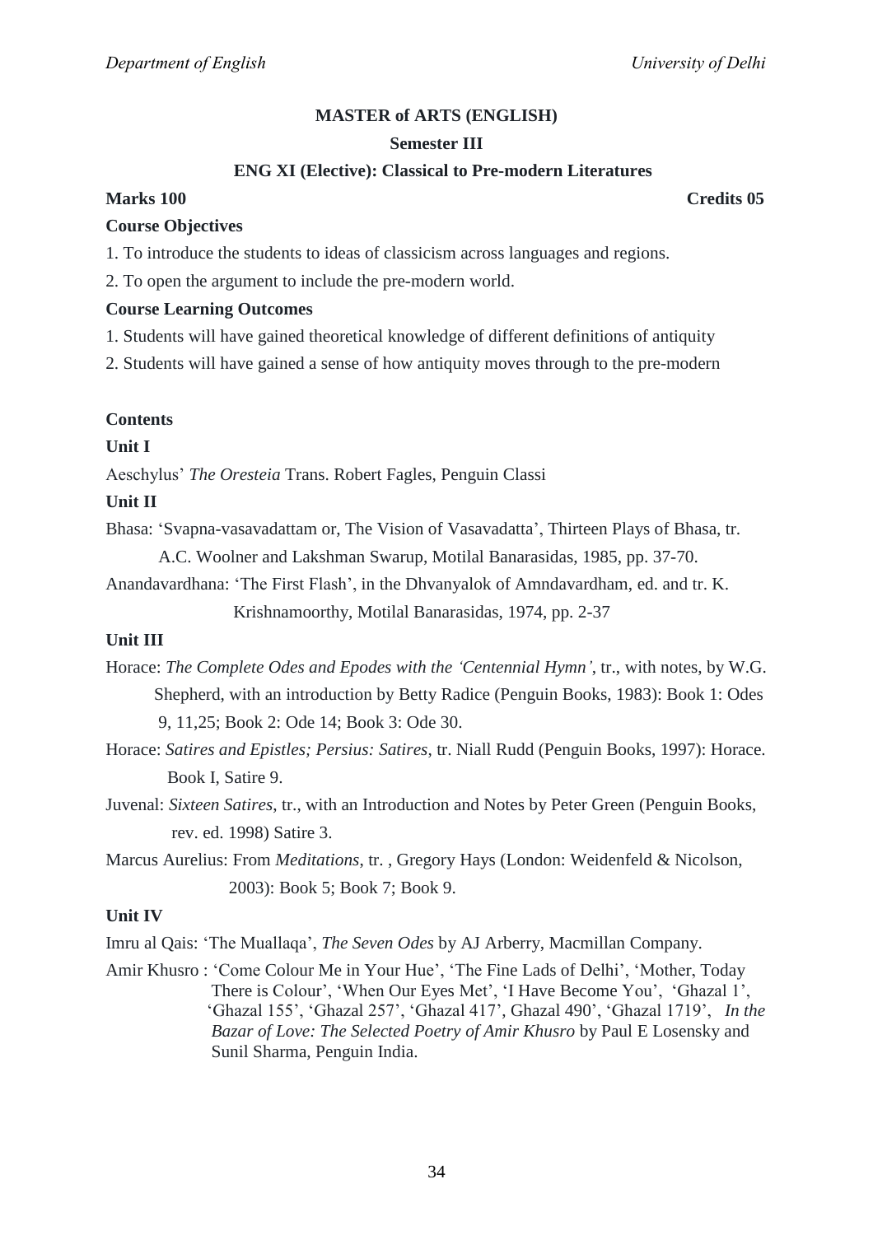#### **Semester III**

## **ENG XI (Elective): Classical to Pre-modern Literatures**

## **Marks 100 Credits 05**

#### **Course Objectives**

1. To introduce the students to ideas of classicism across languages and regions.

2. To open the argument to include the pre-modern world.

## **Course Learning Outcomes**

1. Students will have gained theoretical knowledge of different definitions of antiquity

2. Students will have gained a sense of how antiquity moves through to the pre-modern

## **Contents**

## **Unit I**

Aeschylus' *The Oresteia* Trans. Robert Fagles, Penguin Classi

## **Unit II**

Bhasa: ‗Svapna-vasavadattam or, The Vision of Vasavadatta', Thirteen Plays of Bhasa, tr.

A.C. Woolner and Lakshman Swarup, Motilal Banarasidas, 1985, pp. 37-70.

Anandavardhana: 'The First Flash', in the Dhvanyalok of Amndavardham, ed. and tr. K.

Krishnamoorthy, Motilal Banarasidas, 1974, pp. 2-37

## **Unit III**

Horace: *The Complete Odes and Epodes with the 'Centennial Hymn'*, tr., with notes, by W.G. Shepherd, with an introduction by Betty Radice (Penguin Books, 1983): Book 1: Odes 9, 11,25; Book 2: Ode 14; Book 3: Ode 30.

- Horace: *Satires and Epistles; Persius: Satires*, tr. Niall Rudd (Penguin Books, 1997): Horace. Book I, Satire 9.
- Juvenal: *Sixteen Satires*, tr., with an Introduction and Notes by Peter Green (Penguin Books, rev. ed. 1998) Satire 3.

Marcus Aurelius: From *Meditations*, tr. , Gregory Hays (London: Weidenfeld & Nicolson, 2003): Book 5; Book 7; Book 9.

## **Unit IV**

Imru al Qais: ‗The Muallaqa', *The Seven Odes* by AJ Arberry, Macmillan Company.

Amir Khusro : 'Come Colour Me in Your Hue', 'The Fine Lads of Delhi', 'Mother, Today There is Colour', 'When Our Eyes Met', 'I Have Become You', 'Ghazal 1', ‗Ghazal 155', ‗Ghazal 257', ‗Ghazal 417', Ghazal 490', ‗Ghazal 1719', *In the Bazar of Love: The Selected Poetry of Amir Khusro* by Paul E Losensky and Sunil Sharma, Penguin India.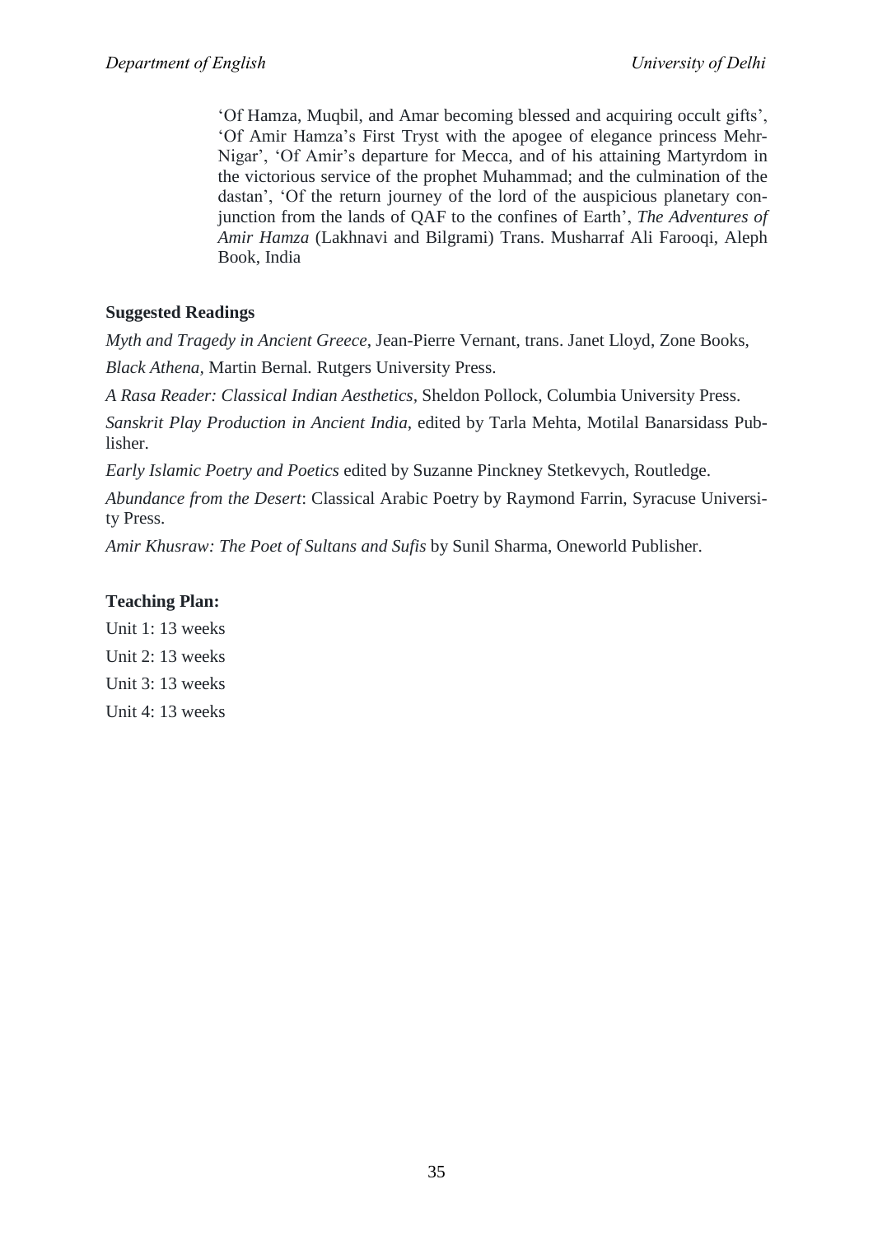‗Of Hamza, Muqbil, and Amar becoming blessed and acquiring occult gifts', ‗Of Amir Hamza's First Tryst with the apogee of elegance princess Mehr-Nigar', ‗Of Amir's departure for Mecca, and of his attaining Martyrdom in the victorious service of the prophet Muhammad; and the culmination of the dastan', 'Of the return journey of the lord of the auspicious planetary conjunction from the lands of QAF to the confines of Earth', *The Adventures of Amir Hamza* (Lakhnavi and Bilgrami) Trans. Musharraf Ali Farooqi, Aleph Book, India

## **Suggested Readings**

*Myth and Tragedy in Ancient Greece*, Jean-Pierre Vernant, trans. Janet Lloyd, Zone Books,

*Black Athena,* Martin Bernal*.* Rutgers University Press.

*A Rasa Reader: Classical Indian Aesthetics,* Sheldon Pollock, Columbia University Press.

*Sanskrit Play Production in Ancient India*, edited by Tarla Mehta, Motilal Banarsidass Publisher.

*Early Islamic Poetry and Poetics* edited by Suzanne Pinckney Stetkevych, Routledge.

*Abundance from the Desert*: Classical Arabic Poetry by Raymond Farrin, Syracuse University Press.

*Amir Khusraw: The Poet of Sultans and Sufis* by Sunil Sharma, Oneworld Publisher.

## **Teaching Plan:**

Unit 1: 13 weeks Unit 2: 13 weeks Unit 3: 13 weeks Unit 4: 13 weeks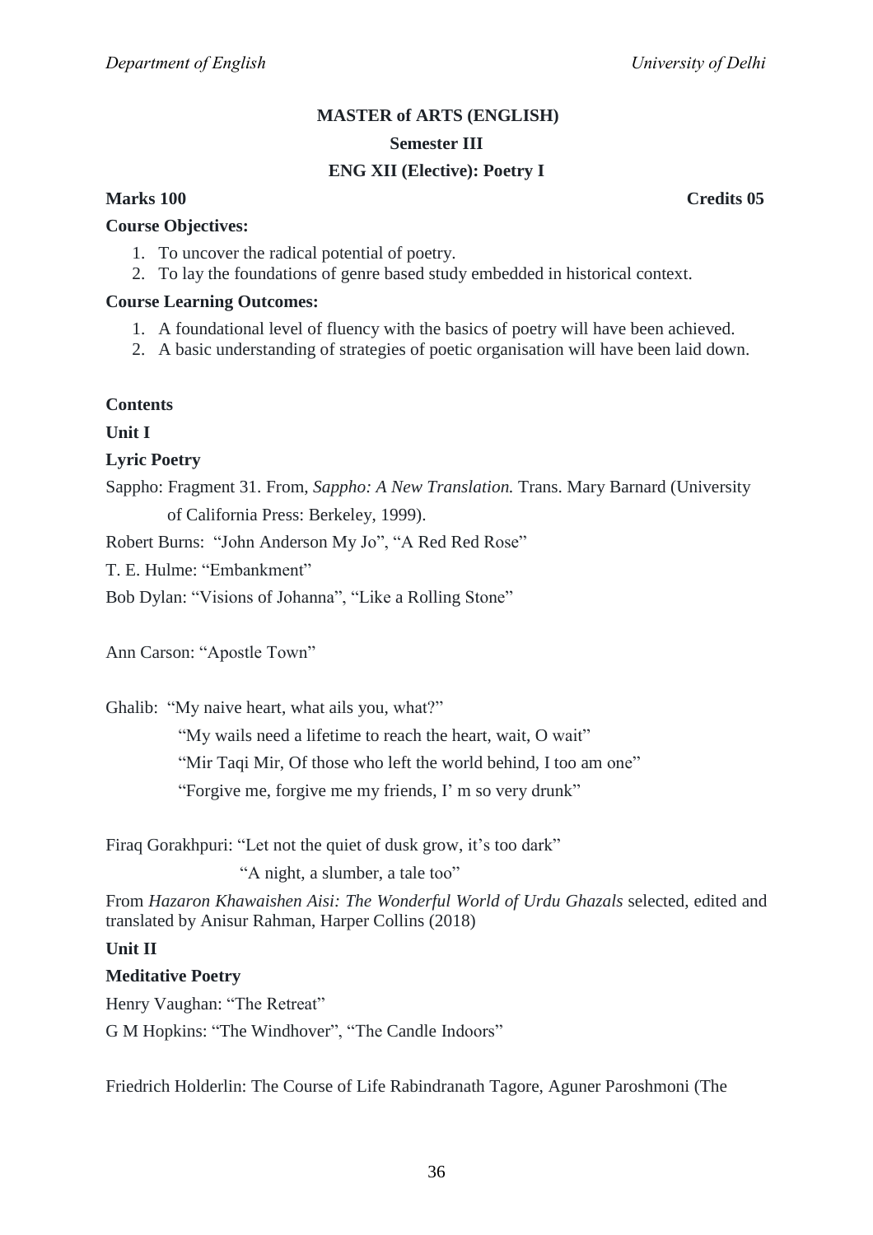## **MASTER of ARTS (ENGLISH) Semester III**

## **ENG XII (Elective): Poetry I**

## **Course Objectives:**

- 1. To uncover the radical potential of poetry.
- 2. To lay the foundations of genre based study embedded in historical context.

### **Course Learning Outcomes:**

- 1. A foundational level of fluency with the basics of poetry will have been achieved.
- 2. A basic understanding of strategies of poetic organisation will have been laid down.

## **Contents**

**Unit I**

## **Lyric Poetry**

Sappho: Fragment 31. From, *Sappho: A New Translation.* Trans. Mary Barnard (University of California Press: Berkeley, 1999).

Robert Burns: "John Anderson My Jo", "A Red Red Rose"

T. E. Hulme: "Embankment"

Bob Dylan: "Visions of Johanna", "Like a Rolling Stone"

Ann Carson: "Apostle Town"

Ghalib: "My naive heart, what ails you, what?"

"My wails need a lifetime to reach the heart, wait, O wait"

"Mir Taqi Mir, Of those who left the world behind, I too am one"

"Forgive me, forgive me my friends, I' m so very drunk"

Firaq Gorakhpuri: "Let not the quiet of dusk grow, it's too dark"

"A night, a slumber, a tale too"

From *Hazaron Khawaishen Aisi: The Wonderful World of Urdu Ghazals* selected, edited and translated by Anisur Rahman, Harper Collins (2018)

## **Unit II**

## **Meditative Poetry**

Henry Vaughan: "The Retreat"

G M Hopkins: "The Windhover", "The Candle Indoors"

Friedrich Holderlin: The Course of Life Rabindranath Tagore, Aguner Paroshmoni (The

**Marks 100 Credits 05**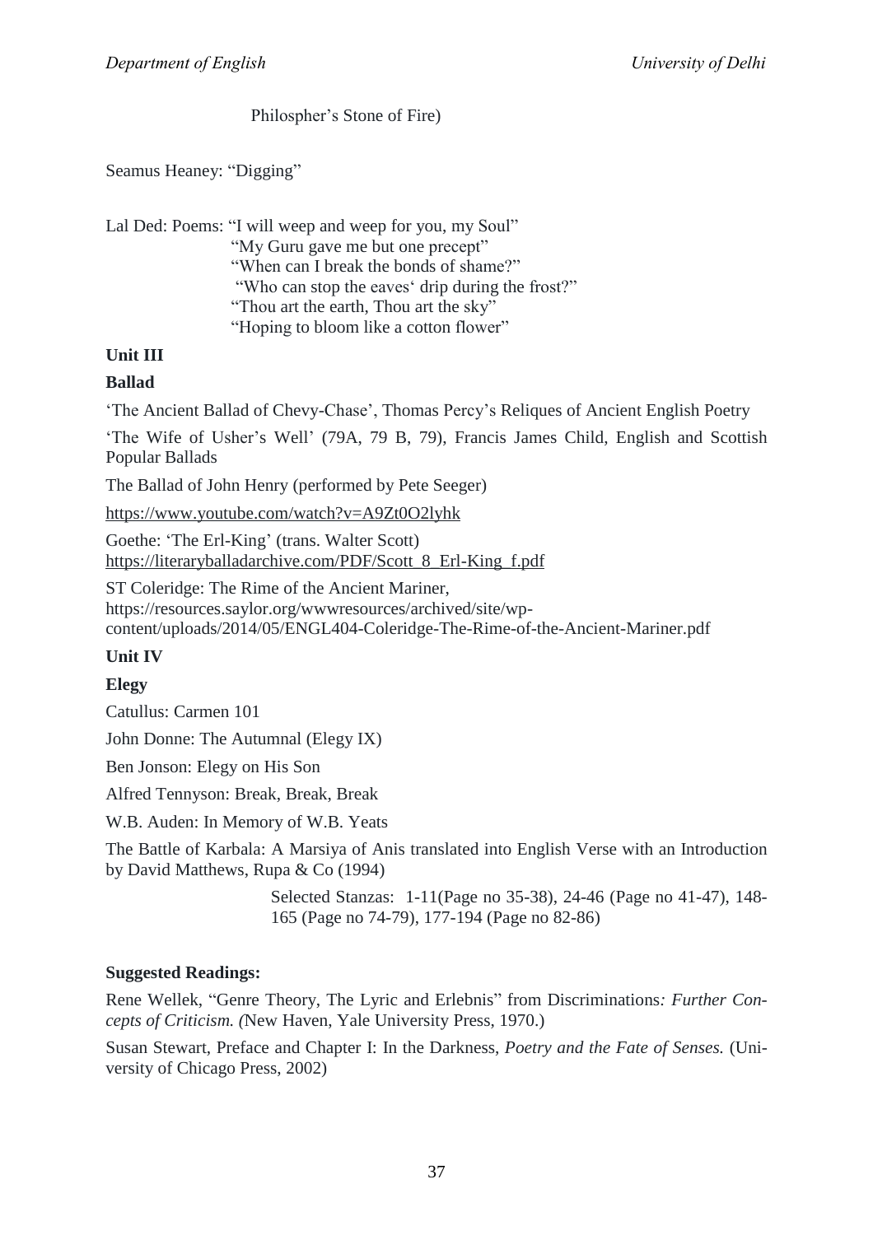## Philospher's Stone of Fire)

Seamus Heaney: "Digging"

| Lal Ded: Poems: "I will weep and weep for you, my Soul" |  |
|---------------------------------------------------------|--|
| "My Guru gave me but one precept"                       |  |
| "When can I break the bonds of shame?"                  |  |
| "Who can stop the eaves' drip during the frost?"        |  |
| "Thou art the earth, Thou art the sky"                  |  |
| "Hoping to bloom like a cotton flower"                  |  |

## **Unit III**

## **Ballad**

‗The Ancient Ballad of Chevy-Chase', Thomas Percy's Reliques of Ancient English Poetry

‗The Wife of Usher's Well' (79A, 79 B, 79), Francis James Child, English and Scottish Popular Ballads

The Ballad of John Henry (performed by Pete Seeger)

<https://www.youtube.com/watch?v=A9Zt0O2lyhk>

Goethe: 'The Erl-King' (trans. Walter Scott) [https://literaryballadarchive.com/PDF/Scott\\_8\\_Erl-King\\_f.pdf](https://literaryballadarchive.com/PDF/Scott_8_Erl-King_f.pdf)

ST Coleridge: The Rime of the Ancient Mariner, https://resources.saylor.org/wwwresources/archived/site/wpcontent/uploads/2014/05/ENGL404-Coleridge-The-Rime-of-the-Ancient-Mariner.pdf

## **Unit IV**

## **Elegy**

Catullus: Carmen 101

John Donne: The Autumnal (Elegy IX)

Ben Jonson: Elegy on His Son

Alfred Tennyson: Break, Break, Break

W.B. Auden: In Memory of W.B. Yeats

The Battle of Karbala: A Marsiya of Anis translated into English Verse with an Introduction by David Matthews, Rupa & Co (1994)

> Selected Stanzas: 1-11(Page no 35-38), 24-46 (Page no 41-47), 148- 165 (Page no 74-79), 177-194 (Page no 82-86)

## **Suggested Readings:**

Rene Wellek, "Genre Theory, The Lyric and Erlebnis" from Discriminations: Further Con*cepts of Criticism. (*New Haven, Yale University Press, 1970.)

Susan Stewart, Preface and Chapter I: In the Darkness, *Poetry and the Fate of Senses.* (University of Chicago Press, 2002)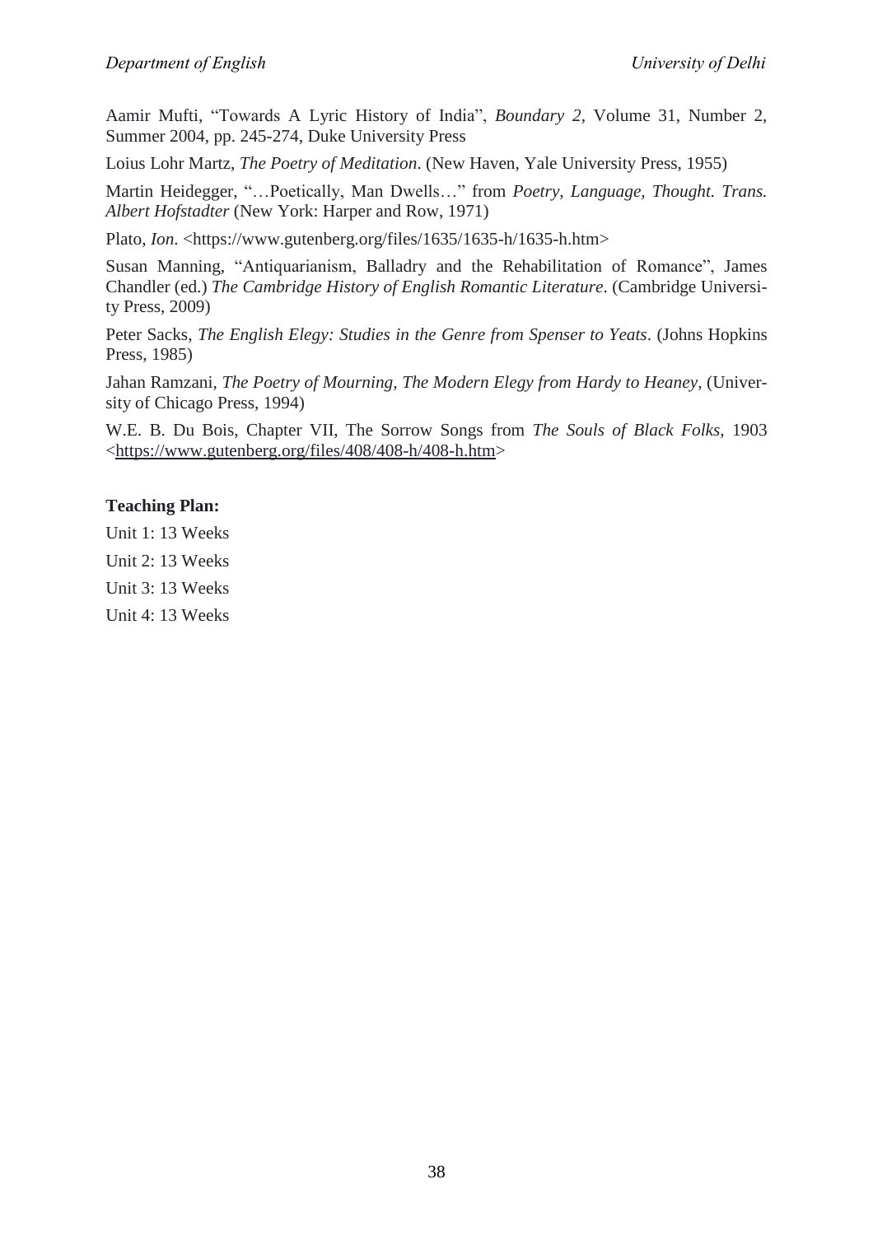Aamir Mufti, "Towards A Lyric History of India", *Boundary* 2, Volume 31, Number 2, Summer 2004, pp. 245-274, Duke University Press

Loius Lohr Martz, *The Poetry of Meditation*. (New Haven, Yale University Press, 1955)

Martin Heidegger, "...Poetically, Man Dwells..." from *Poetry, Language, Thought. Trans. Albert Hofstadter* (New York: Harper and Row, 1971)

Plato, *Ion*. <https://www.gutenberg.org/files/1635/1635-h/1635-h.htm>

Susan Manning, "Antiquarianism, Balladry and the Rehabilitation of Romance", James Chandler (ed.) *The Cambridge History of English Romantic Literature*. (Cambridge University Press, 2009)

Peter Sacks, *The English Elegy: Studies in the Genre from Spenser to Yeats*. (Johns Hopkins Press, 1985)

Jahan Ramzani, *The Poetry of Mourning, The Modern Elegy from Hardy to Heaney,* (University of Chicago Press, 1994)

W.E. B. Du Bois, Chapter VII, The Sorrow Songs from *The Souls of Black Folks,* 1903 [<https://www.gutenberg.org/files/408/408-h/408-h.htm>](https://www.gutenberg.org/files/408/408-h/408-h.htm)

## **Teaching Plan:**

Unit 1: 13 Weeks

Unit 2: 13 Weeks

Unit 3: 13 Weeks

Unit 4: 13 Weeks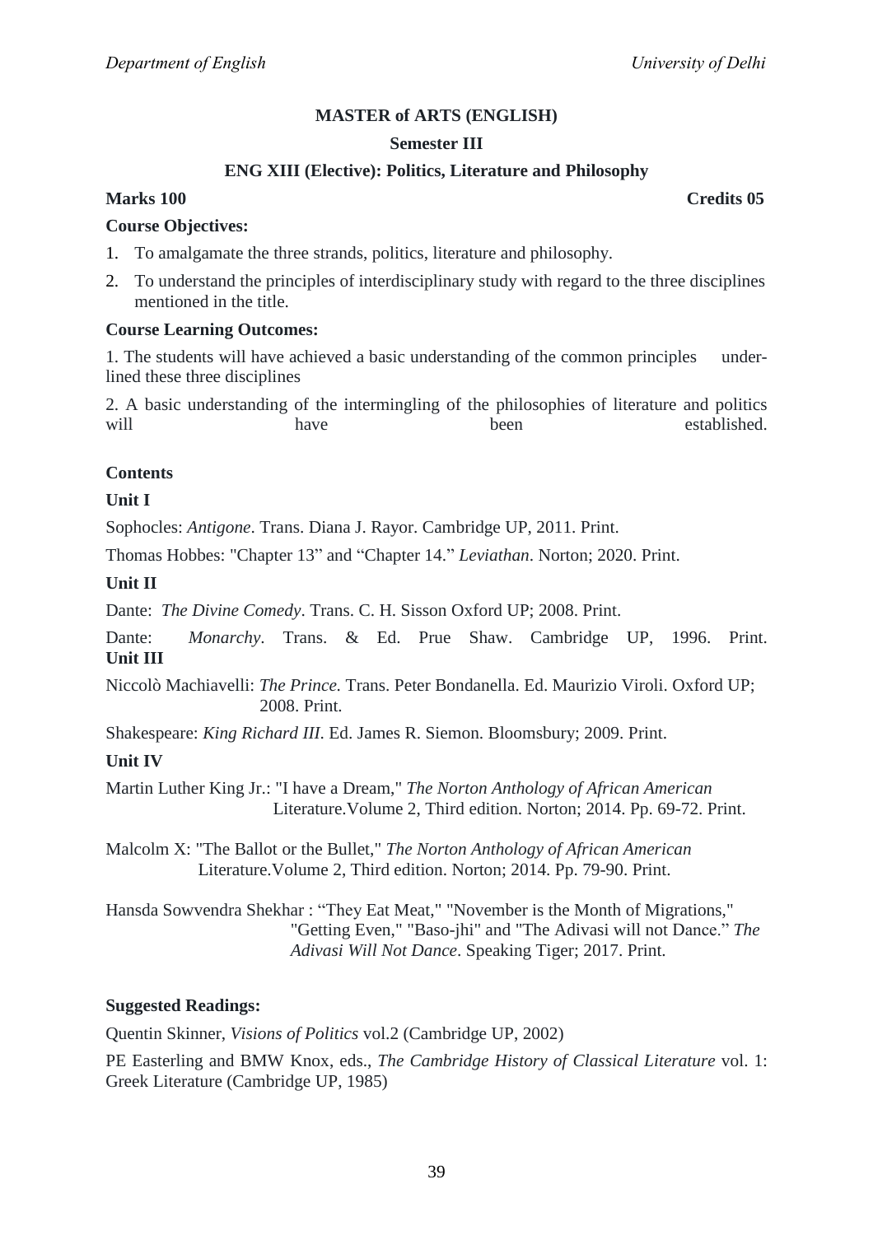## **Semester III**

## **ENG XIII (Elective): Politics, Literature and Philosophy**

## **Marks 100 Credits 05**

#### **Course Objectives:**

- 1. To amalgamate the three strands, politics, literature and philosophy.
- 2. To understand the principles of interdisciplinary study with regard to the three disciplines mentioned in the title.

#### **Course Learning Outcomes:**

1. The students will have achieved a basic understanding of the common principles underlined these three disciplines

2. A basic understanding of the intermingling of the philosophies of literature and politics will have have been established.

## **Contents**

## **Unit I**

Sophocles: *Antigone*. Trans. Diana J. Rayor. Cambridge UP, 2011. Print.

Thomas Hobbes: "Chapter 13" and "Chapter 14." *Leviathan*. Norton; 2020. Print.

## **Unit II**

Dante: *The Divine Comedy*. Trans. C. H. Sisson Oxford UP; 2008. Print.

Dante: *Monarchy*. Trans. & Ed. Prue Shaw. Cambridge UP, 1996. Print. **Unit III**

Niccolò Machiavelli: *The Prince.* Trans. Peter Bondanella. Ed. Maurizio Viroli. Oxford UP; 2008. Print.

Shakespeare: *King Richard III*. Ed. James R. Siemon. Bloomsbury; 2009. Print.

#### **Unit IV**

Martin Luther King Jr.: "I have a Dream," *The Norton Anthology of African American* Literature.Volume 2, Third edition. Norton; 2014. Pp. 69-72. Print.

Malcolm X: "The Ballot or the Bullet," *The Norton Anthology of African American* Literature.Volume 2, Third edition. Norton; 2014. Pp. 79-90. Print.

Hansda Sowvendra Shekhar : "They Eat Meat," "November is the Month of Migrations," "Getting Even," "Baso-jhi" and "The Adivasi will not Dance." The  *Adivasi Will Not Dance*. Speaking Tiger; 2017. Print.

#### **Suggested Readings:**

Quentin Skinner, *Visions of Politics* vol.2 (Cambridge UP, 2002)

PE Easterling and BMW Knox, eds., *The Cambridge History of Classical Literature* vol. 1: Greek Literature (Cambridge UP, 1985)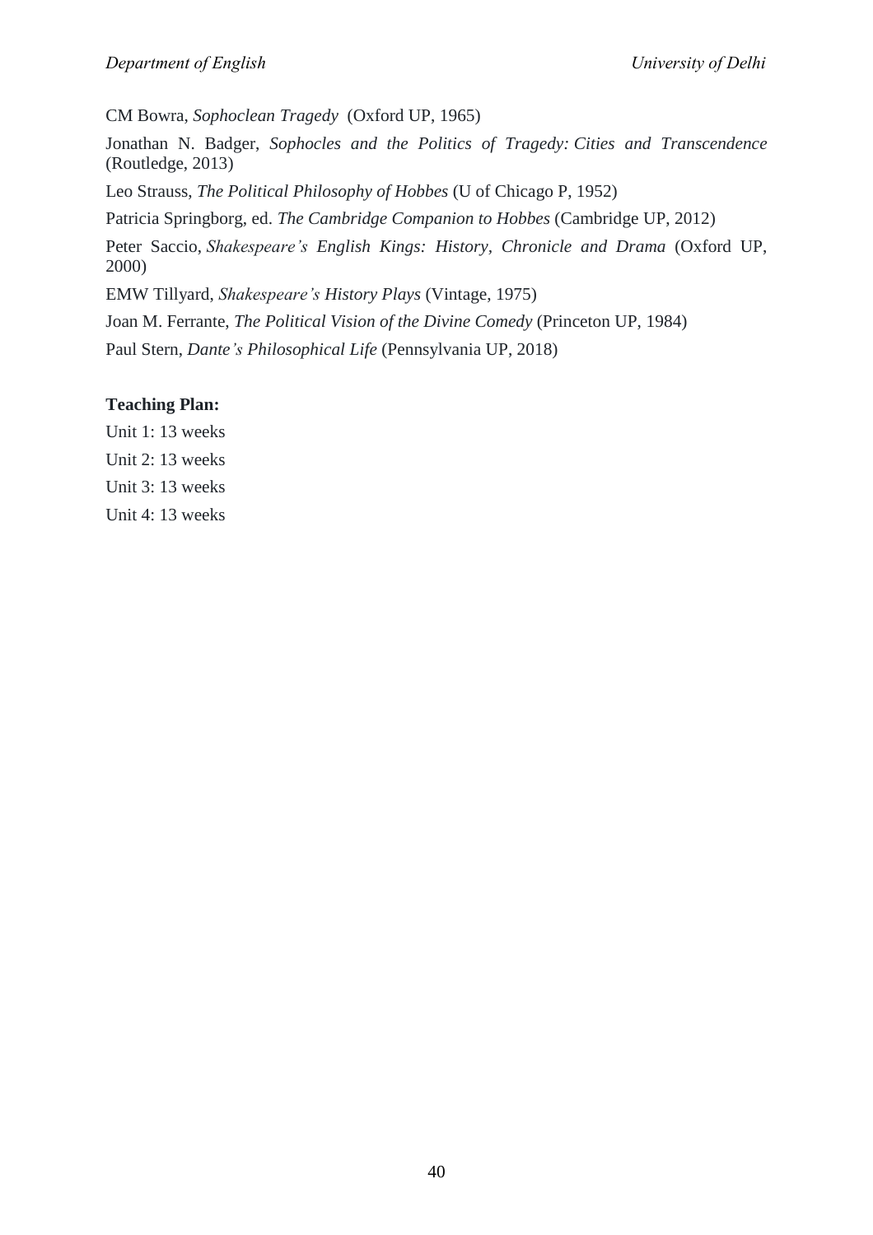CM Bowra, *Sophoclean Tragedy* (Oxford UP, 1965)

Jonathan N. Badger, *Sophocles and the Politics of Tragedy: Cities and Transcendence* (Routledge, 2013)

Leo Strauss, *The Political Philosophy of Hobbes* (U of Chicago P, 1952)

Patricia Springborg, ed. *The Cambridge Companion to Hobbes* (Cambridge UP, 2012)

Peter Saccio, *Shakespeare's English Kings: History, Chronicle and Drama* (Oxford UP, 2000)

EMW Tillyard, *Shakespeare's History Plays* (Vintage, 1975)

Joan M. Ferrante, *The Political Vision of the Divine Comedy* (Princeton UP, 1984)

Paul Stern, *Dante's Philosophical Life* (Pennsylvania UP, 2018)

## **Teaching Plan:**

Unit 1: 13 weeks

- Unit 2: 13 weeks
- Unit 3: 13 weeks

Unit 4: 13 weeks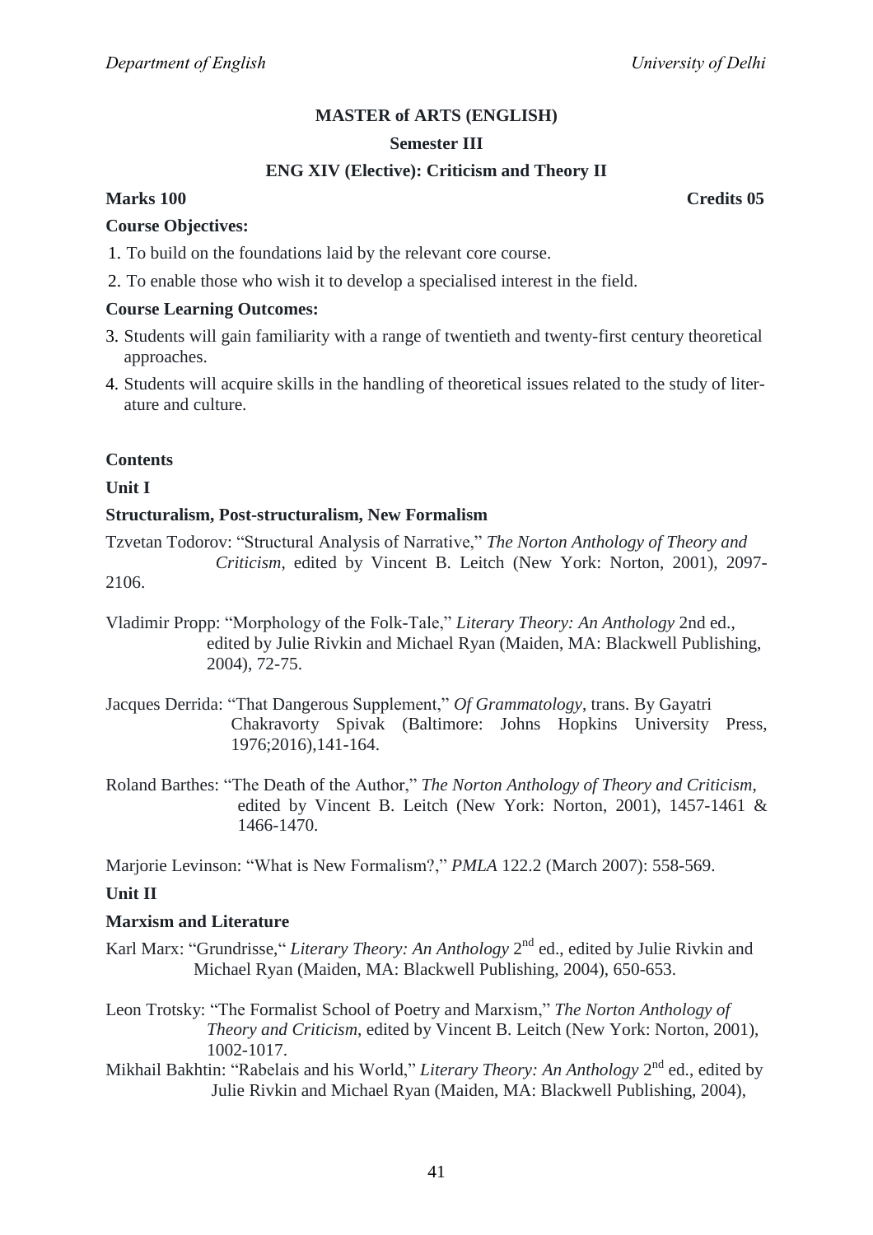#### **Semester III**

## **ENG XIV (Elective): Criticism and Theory II**

## **Marks 100 Credits 05**

#### **Course Objectives:**

- 1. To build on the foundations laid by the relevant core course.
- 2. To enable those who wish it to develop a specialised interest in the field.

#### **Course Learning Outcomes:**

- 3. Students will gain familiarity with a range of twentieth and twenty-first century theoretical approaches.
- 4. Students will acquire skills in the handling of theoretical issues related to the study of literature and culture.

#### **Contents**

**Unit I**

#### **Structuralism, Post-structuralism, New Formalism**

Tzvetan Todorov: ―Structural Analysis of Narrative,‖ *The Norton Anthology of Theory and Criticism*, edited by Vincent B. Leitch (New York: Norton, 2001), 2097-

2106.

- Vladimir Propp: "Morphology of the Folk-Tale," *Literary Theory: An Anthology* 2nd ed., edited by Julie Rivkin and Michael Ryan (Maiden, MA: Blackwell Publishing, 2004), 72-75.
- Jacques Derrida: "That Dangerous Supplement," Of Grammatology, trans. By Gayatri Chakravorty Spivak (Baltimore: Johns Hopkins University Press, 1976;2016),141-164.
- Roland Barthes: ―The Death of the Author,‖ *The Norton Anthology of Theory and Criticism*, edited by Vincent B. Leitch (New York: Norton, 2001), 1457-1461 & 1466-1470.

Marjorie Levinson: "What is New Formalism?," *PMLA* 122.2 (March 2007): 558-569.

#### **Unit II**

#### **Marxism and Literature**

- Karl Marx: "Grundrisse," *Literary Theory: An Anthology* 2<sup>nd</sup> ed., edited by Julie Rivkin and Michael Ryan (Maiden, MA: Blackwell Publishing, 2004), 650-653.
- Leon Trotsky: "The Formalist School of Poetry and Marxism," The Norton Anthology of  *Theory and Criticism*, edited by Vincent B. Leitch (New York: Norton, 2001), 1002-1017.
- Mikhail Bakhtin: "Rabelais and his World," *Literary Theory: An Anthology* 2<sup>nd</sup> ed., edited by Julie Rivkin and Michael Ryan (Maiden, MA: Blackwell Publishing, 2004),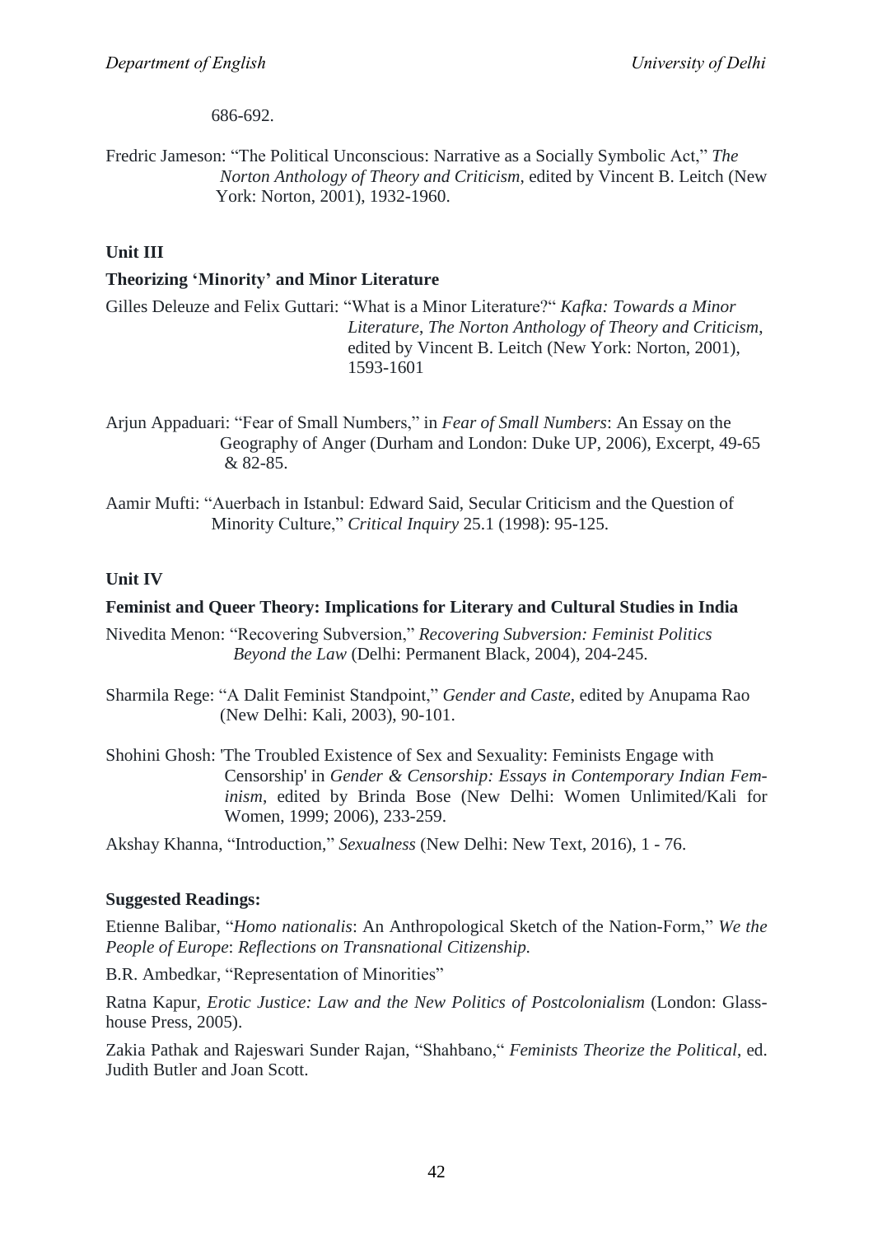686-692.

Fredric Jameson: "The Political Unconscious: Narrative as a Socially Symbolic Act," The  *Norton Anthology of Theory and Criticism*, edited by Vincent B. Leitch (New York: Norton, 2001), 1932-1960.

## **Unit III**

## **Theorizing 'Minority' and Minor Literature**

Gilles Deleuze and Felix Guttari: "What is a Minor Literature?" Kafka: Towards a Minor  *Literature*, *The Norton Anthology of Theory and Criticism*, edited by Vincent B. Leitch (New York: Norton, 2001), 1593-1601

Arjun Appaduari: "Fear of Small Numbers," in *Fear of Small Numbers*: An Essay on the Geography of Anger (Durham and London: Duke UP, 2006), Excerpt, 49-65 & 82-85.

Aamir Mufti: "Auerbach in Istanbul: Edward Said, Secular Criticism and the Question of Minority Culture,‖ *Critical Inquiry* 25.1 (1998): 95-125.

## **Unit IV**

## **Feminist and Queer Theory: Implications for Literary and Cultural Studies in India**

Nivedita Menon: ―Recovering Subversion,‖ *Recovering Subversion: Feminist Politics Beyond the Law* (Delhi: Permanent Black, 2004), 204-245.

- Sharmila Rege: "A Dalit Feminist Standpoint," *Gender and Caste*, edited by Anupama Rao (New Delhi: Kali, 2003), 90-101.
- Shohini Ghosh: 'The Troubled Existence of Sex and Sexuality: Feminists Engage with Censorship' in *Gender & Censorship: Essays in Contemporary Indian Feminism*, edited by Brinda Bose (New Delhi: Women Unlimited/Kali for Women, 1999; 2006), 233-259.

Akshay Khanna, "Introduction," *Sexualness* (New Delhi: New Text, 2016), 1 - 76.

## **Suggested Readings:**

Etienne Balibar, "*Homo nationalis*: An Anthropological Sketch of the Nation-Form," We the *People of Europe*: *Reflections on Transnational Citizenship.*

B.R. Ambedkar, "Representation of Minorities"

Ratna Kapur, *Erotic Justice: Law and the New Politics of Postcolonialism* (London: Glasshouse Press, 2005).

Zakia Pathak and Rajeswari Sunder Rajan, ―Shahbano,― *Feminists Theorize the Political*, ed. Judith Butler and Joan Scott.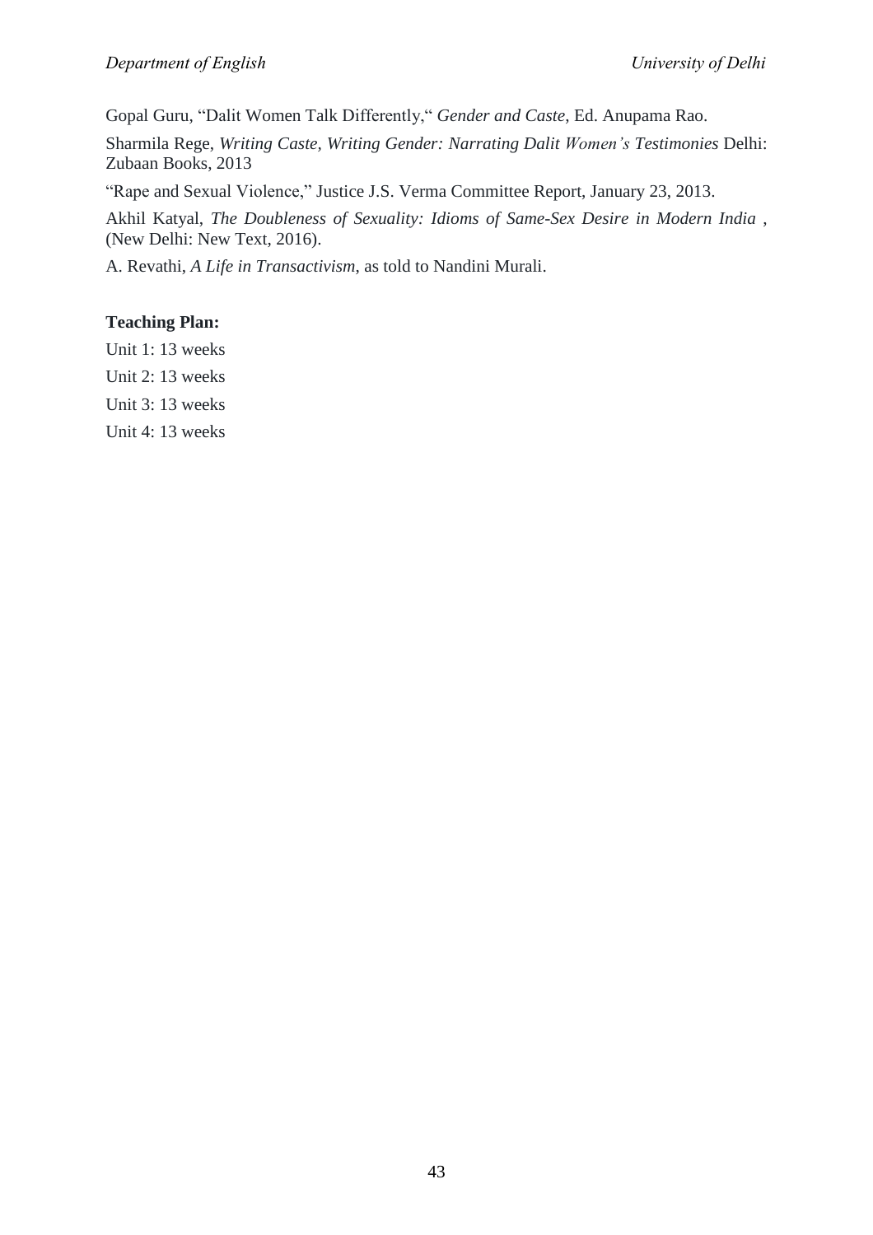Gopal Guru, "Dalit Women Talk Differently," Gender and Caste, Ed. Anupama Rao.

Sharmila Rege, *Writing Caste, Writing Gender: Narrating Dalit Women's Testimonies* Delhi: Zubaan Books, 2013

"Rape and Sexual Violence," Justice J.S. Verma Committee Report, January 23, 2013.

Akhil Katyal, *The Doubleness of Sexuality: Idioms of Same-Sex Desire in Modern India* , (New Delhi: New Text, 2016).

A. Revathi, *A Life in Transactivism*, as told to Nandini Murali.

## **Teaching Plan:**

Unit 1: 13 weeks

Unit 2: 13 weeks

Unit 3: 13 weeks

Unit 4: 13 weeks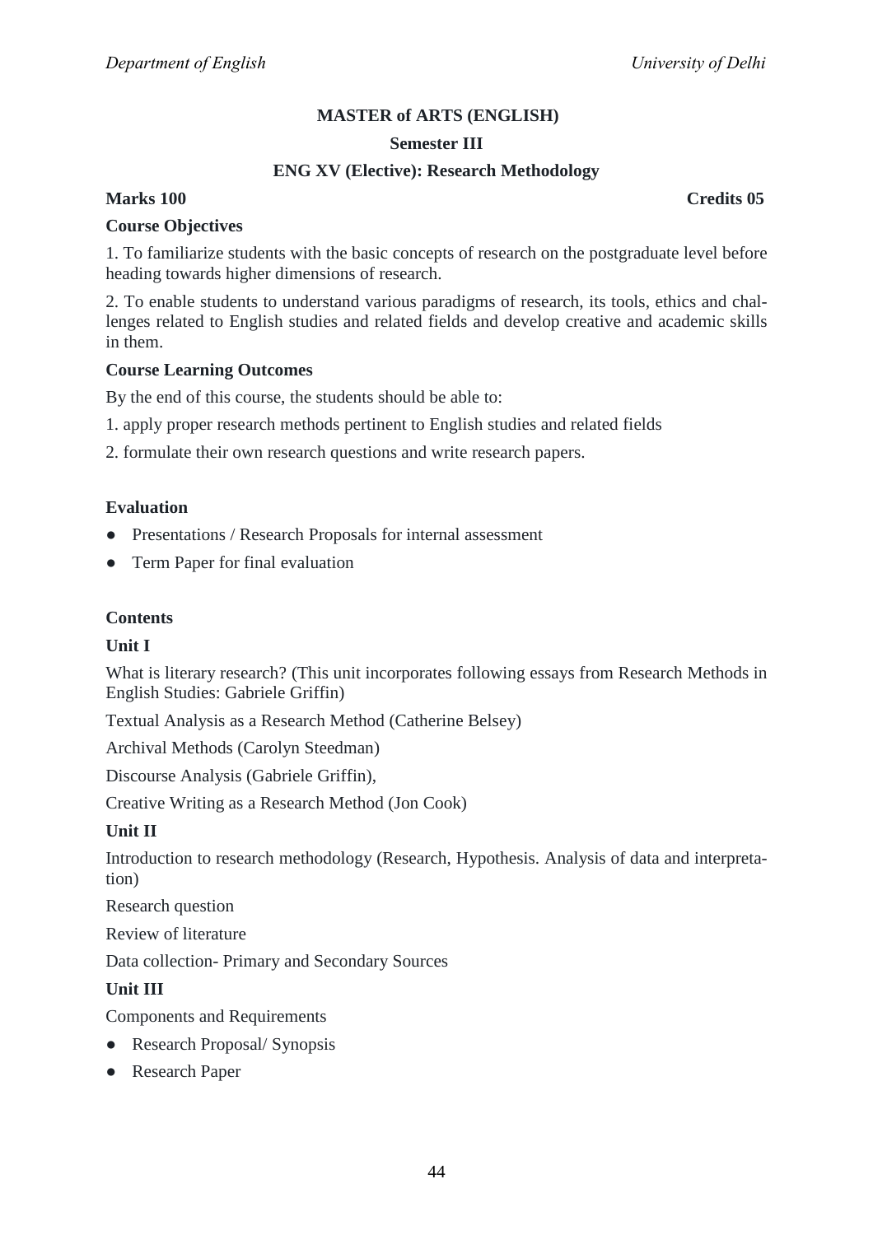## **Semester III**

## **ENG XV (Elective): Research Methodology**

## **Marks 100 Credits 05**

#### **Course Objectives**

1. To familiarize students with the basic concepts of research on the postgraduate level before heading towards higher dimensions of research.

2. To enable students to understand various paradigms of research, its tools, ethics and challenges related to English studies and related fields and develop creative and academic skills in them.

#### **Course Learning Outcomes**

By the end of this course, the students should be able to:

- 1. apply proper research methods pertinent to English studies and related fields
- 2. formulate their own research questions and write research papers.

## **Evaluation**

- Presentations / Research Proposals for internal assessment
- Term Paper for final evaluation

## **Contents**

#### **Unit I**

What is literary research? (This unit incorporates following essays from Research Methods in English Studies: Gabriele Griffin)

Textual Analysis as a Research Method (Catherine Belsey)

Archival Methods (Carolyn Steedman)

Discourse Analysis (Gabriele Griffin),

Creative Writing as a Research Method (Jon Cook)

#### **Unit II**

Introduction to research methodology (Research, Hypothesis. Analysis of data and interpretation)

Research question

Review of literature

Data collection- Primary and Secondary Sources

## **Unit III**

Components and Requirements

- Research Proposal/ Synopsis
- Research Paper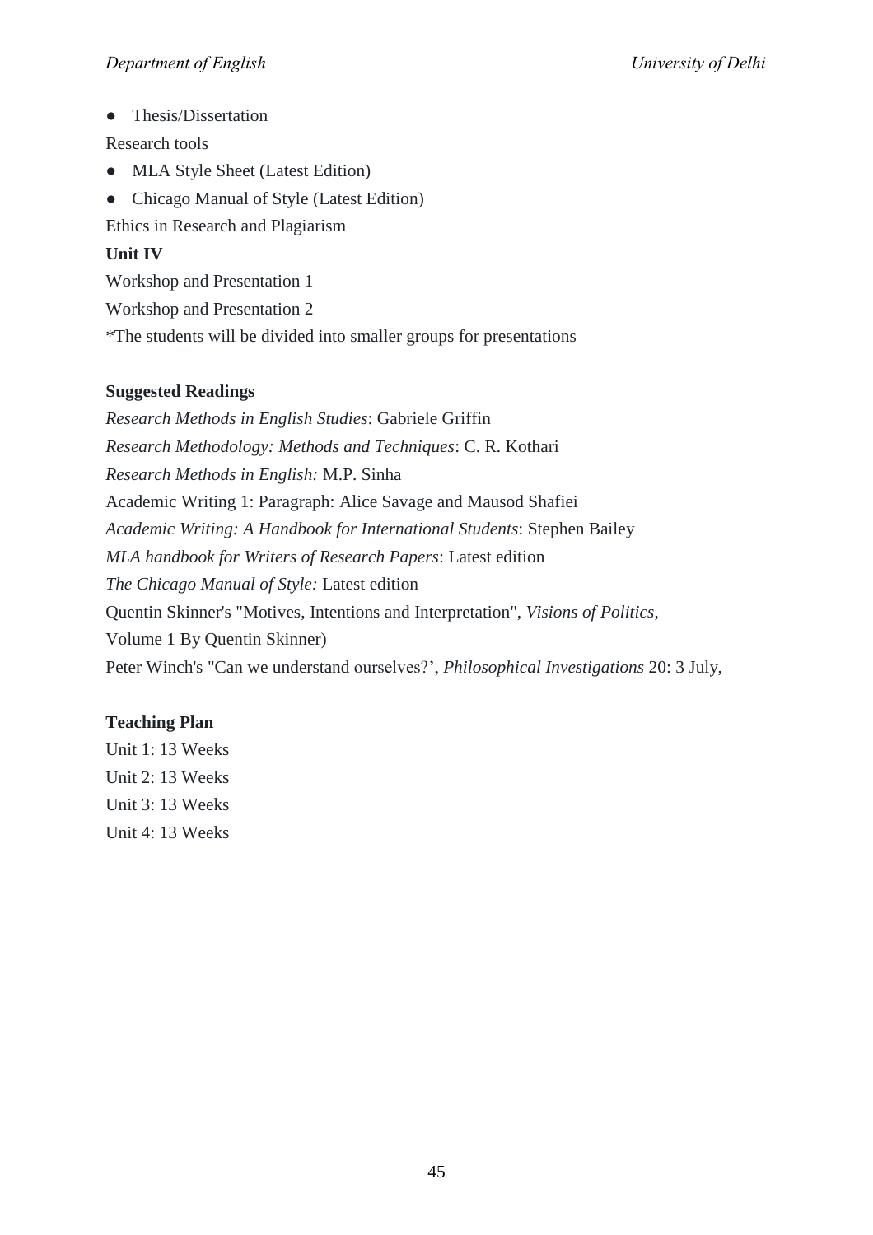• Thesis/Dissertation

Research tools

- MLA Style Sheet (Latest Edition)
- Chicago Manual of Style (Latest Edition)

Ethics in Research and Plagiarism

## **Unit IV**

Workshop and Presentation 1

Workshop and Presentation 2

\*The students will be divided into smaller groups for presentations

## **Suggested Readings**

*Research Methods in English Studies*: Gabriele Griffin *Research Methodology: Methods and Techniques*: C. R. Kothari *Research Methods in English:* M.P. Sinha Academic Writing 1: Paragraph: Alice Savage and Mausod Shafiei *Academic Writing: A Handbook for International Students*: Stephen Bailey *MLA handbook for Writers of Research Papers*: Latest edition *The Chicago Manual of Style:* Latest edition Quentin Skinner's "Motives, Intentions and Interpretation", *Visions of Politics*, Volume 1 By Quentin Skinner) Peter Winch's "Can we understand ourselves?', *Philosophical Investigations* 20: 3 July,

## **Teaching Plan**

Unit 1: 13 Weeks Unit 2: 13 Weeks Unit 3: 13 Weeks Unit 4: 13 Weeks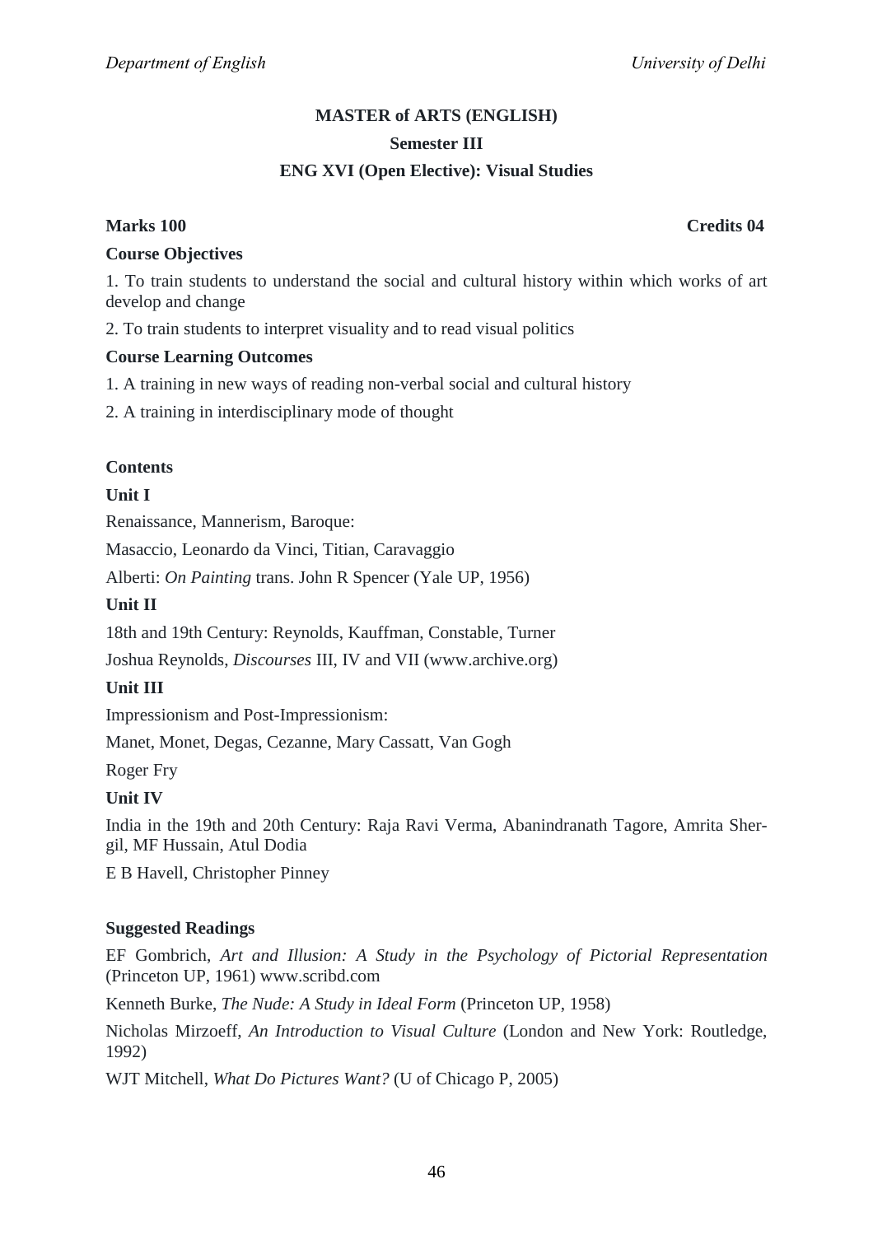## **MASTER of ARTS (ENGLISH) Semester III ENG XVI (Open Elective): Visual Studies**

## **Marks 100 Credits 04**

## **Course Objectives**

1. To train students to understand the social and cultural history within which works of art develop and change

2. To train students to interpret visuality and to read visual politics

## **Course Learning Outcomes**

1. A training in new ways of reading non-verbal social and cultural history

2. A training in interdisciplinary mode of thought

## **Contents**

## **Unit I**

Renaissance, Mannerism, Baroque:

Masaccio, Leonardo da Vinci, Titian, Caravaggio

Alberti: *On Painting* trans. John R Spencer (Yale UP, 1956)

## **Unit II**

18th and 19th Century: Reynolds, Kauffman, Constable, Turner

Joshua Reynolds, *Discourses* III, IV and VII (www.archive.org)

## **Unit III**

Impressionism and Post-Impressionism:

Manet, Monet, Degas, Cezanne, Mary Cassatt, Van Gogh

Roger Fry

## **Unit IV**

India in the 19th and 20th Century: Raja Ravi Verma, Abanindranath Tagore, Amrita Shergil, MF Hussain, Atul Dodia

E B Havell, Christopher Pinney

#### **Suggested Readings**

EF Gombrich, *Art and Illusion: A Study in the Psychology of Pictorial Representation* (Princeton UP, 1961) www.scribd.com

Kenneth Burke, *The Nude: A Study in Ideal Form* (Princeton UP, 1958)

Nicholas Mirzoeff, *An Introduction to Visual Culture* (London and New York: Routledge, 1992)

WJT Mitchell, *What Do Pictures Want?* (U of Chicago P, 2005)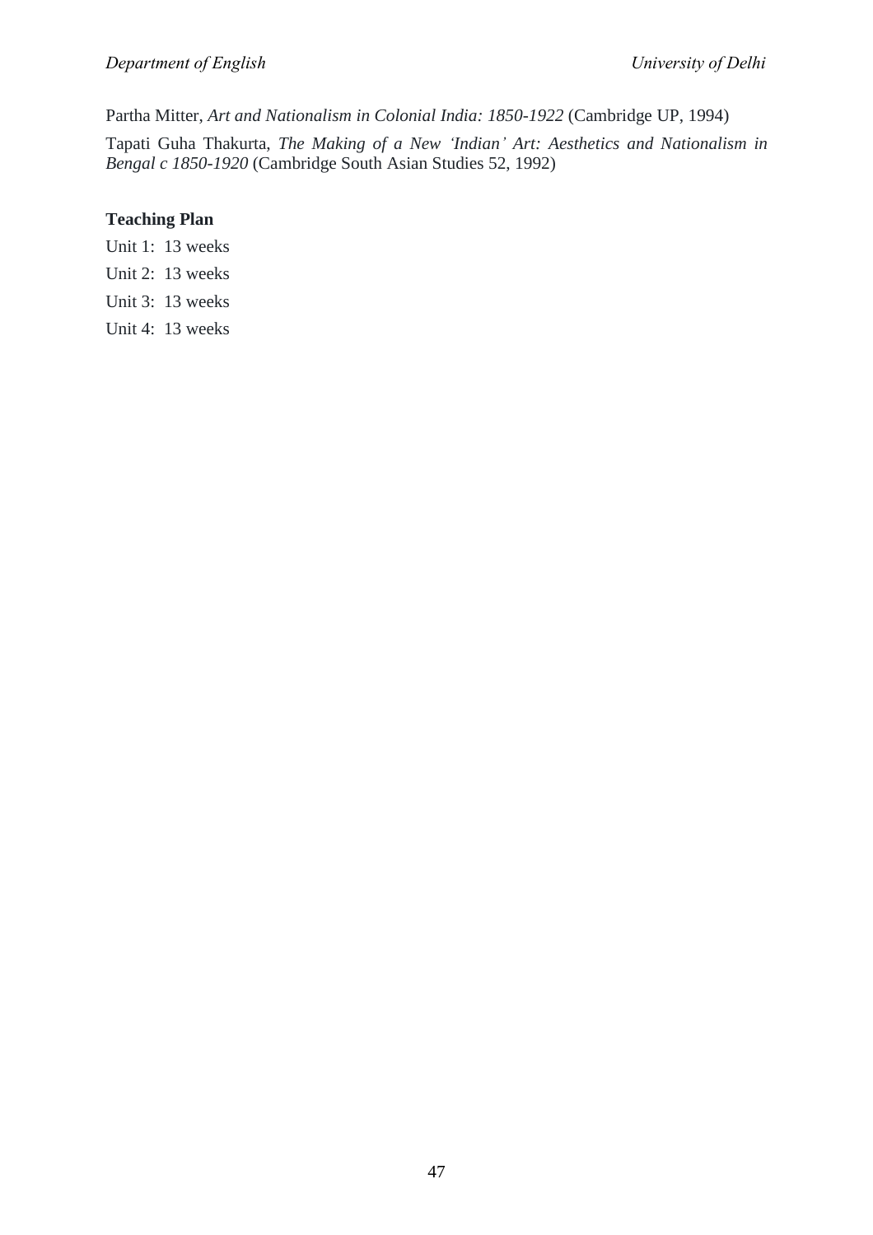Partha Mitter, *Art and Nationalism in Colonial India: 1850-1922* (Cambridge UP, 1994)

Tapati Guha Thakurta, *The Making of a New 'Indian' Art: Aesthetics and Nationalism in Bengal c 1850-1920* (Cambridge South Asian Studies 52, 1992)

## **Teaching Plan**

Unit 1: 13 weeks

- Unit 2: 13 weeks
- Unit 3: 13 weeks
- Unit 4: 13 weeks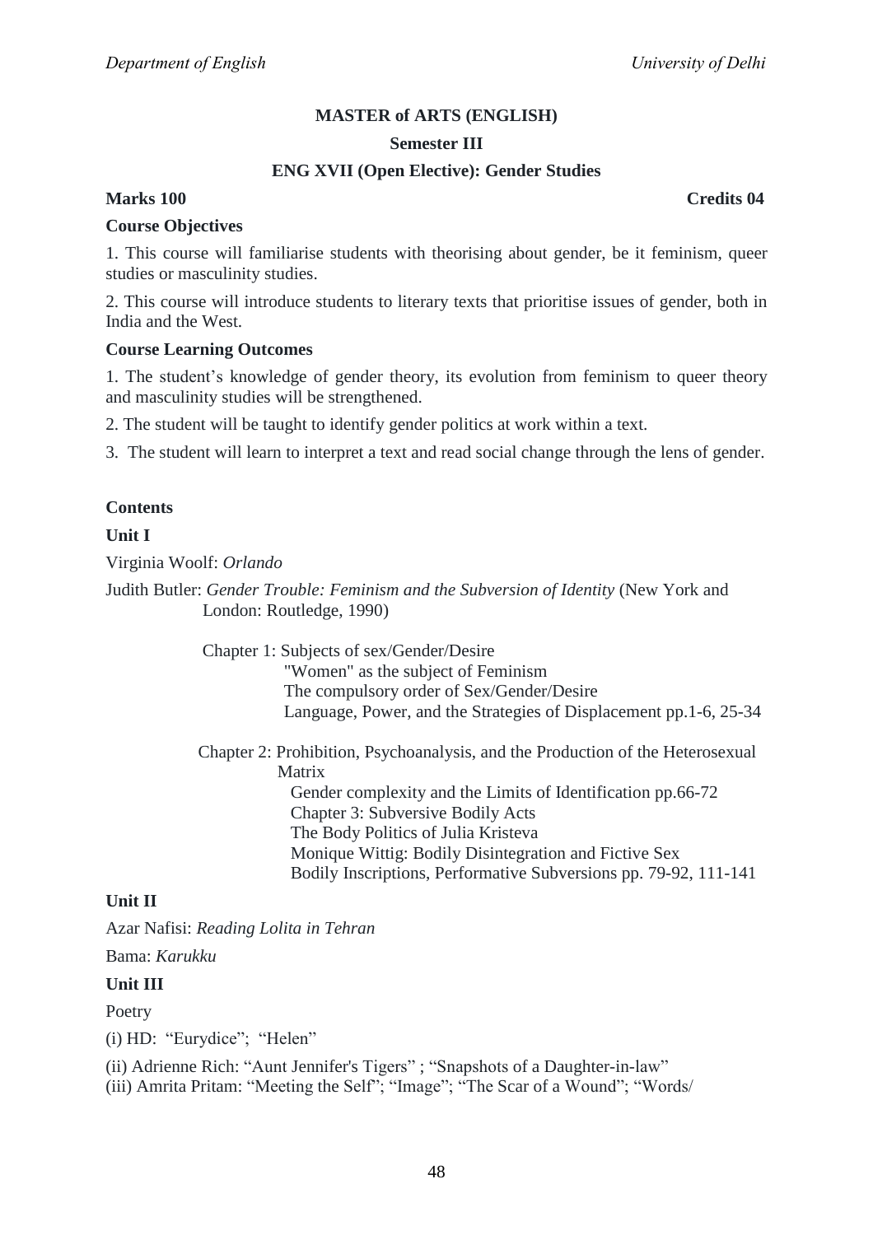#### **Semester III**

## **ENG XVII (Open Elective): Gender Studies**

## **Marks 100 Credits 04**

#### **Course Objectives**

1. This course will familiarise students with theorising about gender, be it feminism, queer studies or masculinity studies.

2. This course will introduce students to literary texts that prioritise issues of gender, both in India and the West.

#### **Course Learning Outcomes**

1. The student's knowledge of gender theory, its evolution from feminism to queer theory and masculinity studies will be strengthened.

2. The student will be taught to identify gender politics at work within a text.

3. The student will learn to interpret a text and read social change through the lens of gender.

#### **Contents**

## **Unit I**

Virginia Woolf: *Orlando*

Judith Butler: *Gender Trouble: Feminism and the Subversion of Identity* (New York and London: Routledge, 1990)

> Chapter 1: Subjects of sex/Gender/Desire "Women" as the subject of Feminism The compulsory order of Sex/Gender/Desire Language, Power, and the Strategies of Displacement pp.1-6, 25-34

> Chapter 2: Prohibition, Psychoanalysis, and the Production of the Heterosexual Matrix Gender complexity and the Limits of Identification pp.66-72 Chapter 3: Subversive Bodily Acts The Body Politics of Julia Kristeva

Monique Wittig: Bodily Disintegration and Fictive Sex Bodily Inscriptions, Performative Subversions pp. 79-92, 111-141

#### **Unit II**

Azar Nafisi: *Reading Lolita in Tehran*

Bama: *Karukku*

#### **Unit III**

Poetry

 $(i)$  HD: "Eurydice"; "Helen"

(ii) Adrienne Rich: "Aunt Jennifer's Tigers"; "Snapshots of a Daughter-in-law"

(iii) Amrita Pritam: "Meeting the Self"; "Image"; "The Scar of a Wound"; "Words/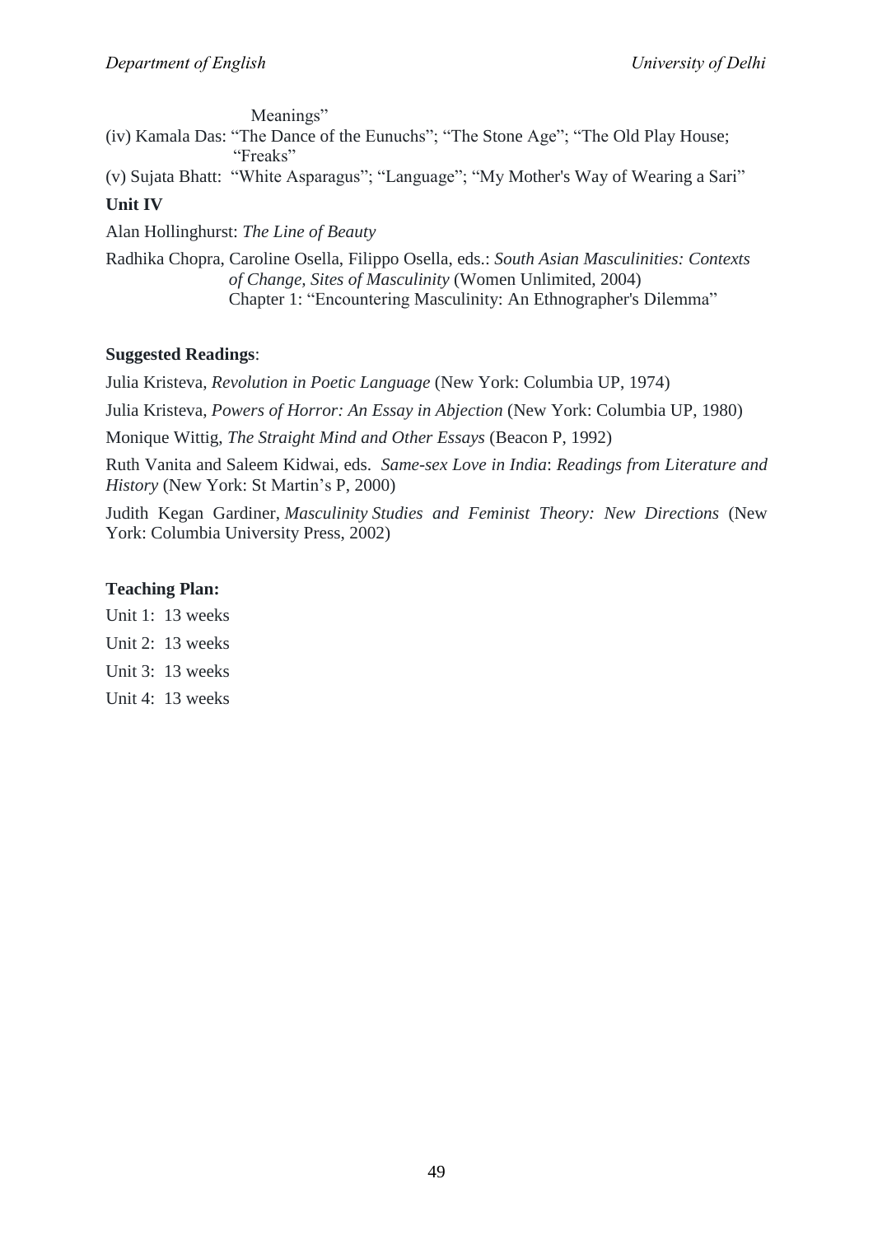Meanings"

(iv) Kamala Das: "The Dance of the Eunuchs"; "The Stone Age"; "The Old Play House; "Freaks"

(v) Sujata Bhatt: "White Asparagus"; "Language"; "My Mother's Way of Wearing a Sari"

## **Unit IV**

Alan Hollinghurst: *The Line of Beauty*

Radhika Chopra, Caroline Osella, Filippo Osella, eds.: *South Asian Masculinities: Contexts of Change, Sites of Masculinity* (Women Unlimited, 2004) Chapter 1: "Encountering Masculinity: An Ethnographer's Dilemma"

## **Suggested Readings**:

Julia Kristeva, *Revolution in Poetic Language* (New York: Columbia UP, 1974) Julia Kristeva, *Powers of Horror: An Essay in Abjection* (New York: Columbia UP, 1980) Monique Wittig, *The Straight Mind and Other Essays* (Beacon P, 1992) Ruth Vanita and Saleem Kidwai, eds. *Same-sex Love in India*: *Readings from Literature and History* (New York: St Martin's P, 2000)

Judith Kegan Gardiner, *Masculinity Studies and Feminist Theory: New Directions* (New York: Columbia University Press, 2002)

## **Teaching Plan:**

- Unit 1: 13 weeks
- Unit 2: 13 weeks
- Unit 3: 13 weeks
- Unit 4: 13 weeks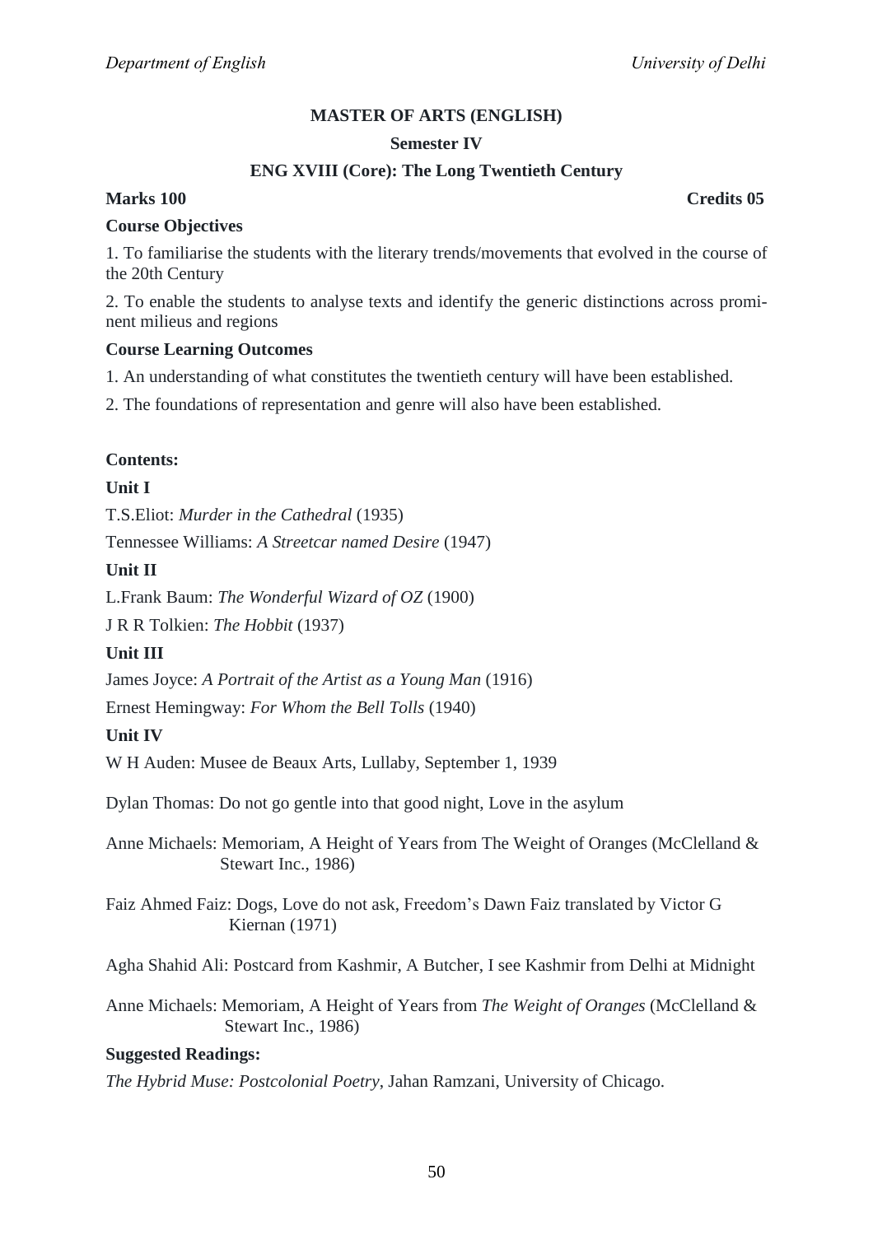#### **Semester IV**

## **ENG XVIII (Core): The Long Twentieth Century**

## **Marks 100 Credits 05**

#### **Course Objectives**

1. To familiarise the students with the literary trends/movements that evolved in the course of the 20th Century

2. To enable the students to analyse texts and identify the generic distinctions across prominent milieus and regions

#### **Course Learning Outcomes**

1. An understanding of what constitutes the twentieth century will have been established.

2. The foundations of representation and genre will also have been established.

#### **Contents:**

## **Unit I**

T.S.Eliot: *Murder in the Cathedral* (1935)

Tennessee Williams: *A Streetcar named Desire* (1947)

## **Unit II**

L.Frank Baum: *The Wonderful Wizard of OZ* (1900)

J R R Tolkien: *The Hobbit* (1937)

#### **Unit III**

James Joyce: *A Portrait of the Artist as a Young Man* (1916)

Ernest Hemingway: *For Whom the Bell Tolls* (1940)

## **Unit IV**

W H Auden: Musee de Beaux Arts, Lullaby, September 1, 1939

Dylan Thomas: Do not go gentle into that good night, Love in the asylum

Anne Michaels: Memoriam, A Height of Years from The Weight of Oranges (McClelland & Stewart Inc., 1986)

Faiz Ahmed Faiz: Dogs, Love do not ask, Freedom's Dawn Faiz translated by Victor G Kiernan (1971)

Agha Shahid Ali: Postcard from Kashmir, A Butcher, I see Kashmir from Delhi at Midnight

Anne Michaels: Memoriam, A Height of Years from *The Weight of Oranges* (McClelland & Stewart Inc., 1986)

#### **Suggested Readings:**

*The Hybrid Muse: Postcolonial Poetry*, Jahan Ramzani, University of Chicago.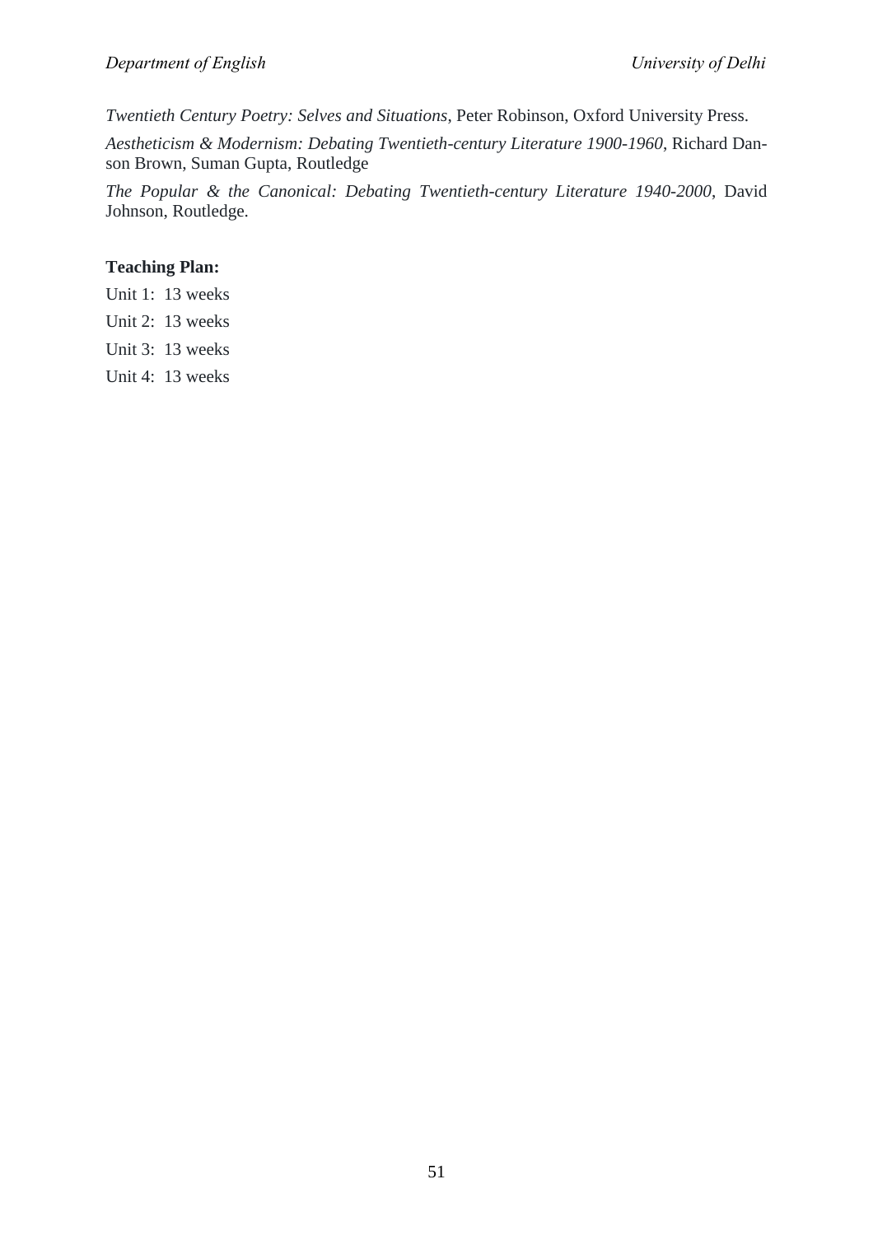*Twentieth Century Poetry: Selves and Situations*, Peter Robinson, Oxford University Press.

*Aestheticism & Modernism: Debating Twentieth-century Literature 1900-1960*, Richard Danson Brown, Suman Gupta, Routledge

*The Popular & the Canonical: Debating Twentieth-century Literature 1940-2000*, David Johnson, Routledge.

## **Teaching Plan:**

- Unit 1: 13 weeks
- Unit 2: 13 weeks
- Unit 3: 13 weeks
- Unit 4: 13 weeks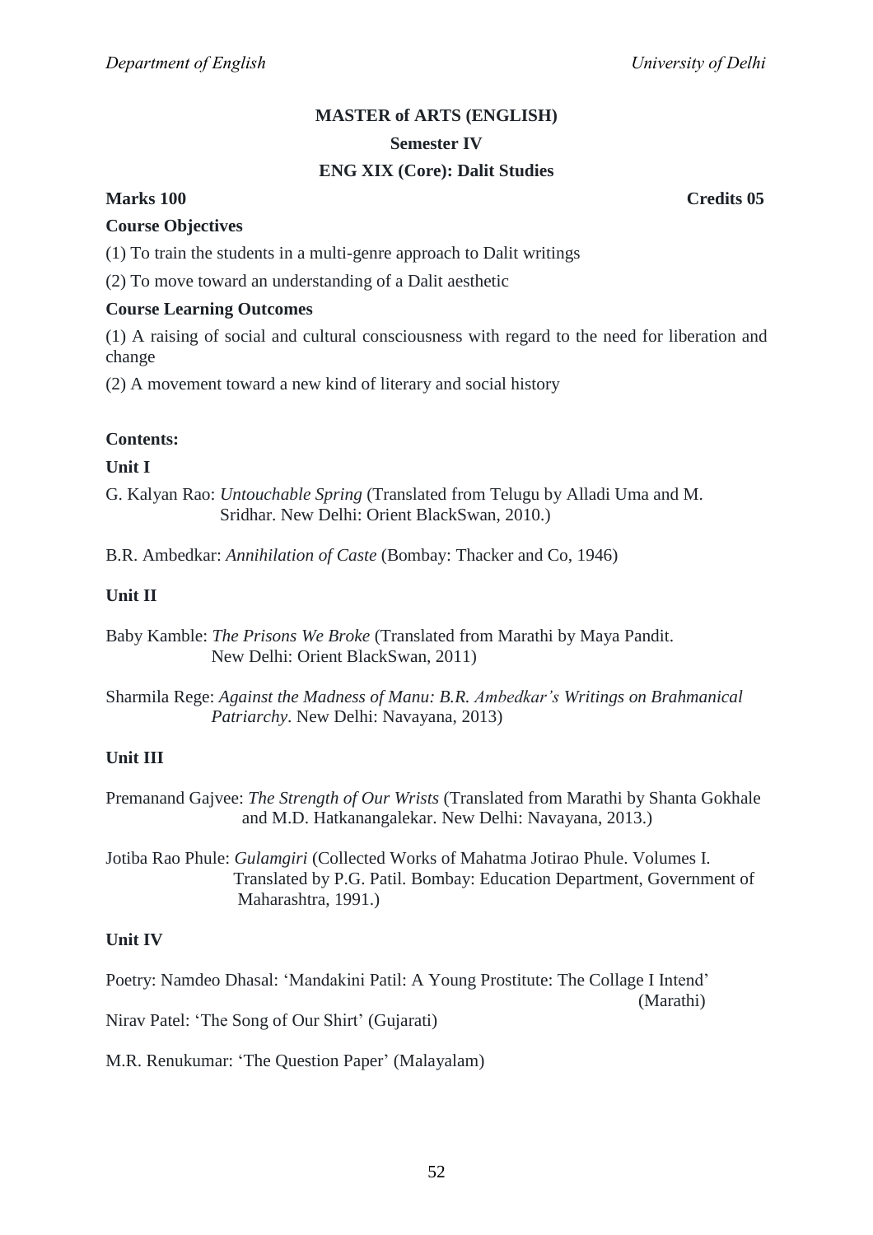# **MASTER of ARTS (ENGLISH) Semester IV**

## **ENG XIX (Core): Dalit Studies**

## **Marks 100 Credits 05**

## **Course Objectives**

(1) To train the students in a multi-genre approach to Dalit writings

(2) To move toward an understanding of a Dalit aesthetic

## **Course Learning Outcomes**

(1) A raising of social and cultural consciousness with regard to the need for liberation and change

(2) A movement toward a new kind of literary and social history

## **Contents:**

## **Unit I**

G. Kalyan Rao: *Untouchable Spring* (Translated from Telugu by Alladi Uma and M. Sridhar. New Delhi: Orient BlackSwan, 2010.)

B.R. Ambedkar: *Annihilation of Caste* (Bombay: Thacker and Co, 1946)

## **Unit II**

Baby Kamble: *The Prisons We Broke* (Translated from Marathi by Maya Pandit. New Delhi: Orient BlackSwan, 2011)

Sharmila Rege: *Against the Madness of Manu: B.R. Ambedkar's Writings on Brahmanical Patriarchy*. New Delhi: Navayana, 2013)

## **Unit III**

Premanand Gajvee: *The Strength of Our Wrists* (Translated from Marathi by Shanta Gokhale and M.D. Hatkanangalekar. New Delhi: Navayana, 2013.)

Jotiba Rao Phule: *Gulamgiri* (Collected Works of Mahatma Jotirao Phule. Volumes I. Translated by P.G. Patil. Bombay: Education Department, Government of Maharashtra, 1991.)

## **Unit IV**

Poetry: Namdeo Dhasal: 'Mandakini Patil: A Young Prostitute: The Collage I Intend'

(Marathi)

Nirav Patel: ‗The Song of Our Shirt' (Gujarati)

M.R. Renukumar: 'The Question Paper' (Malayalam)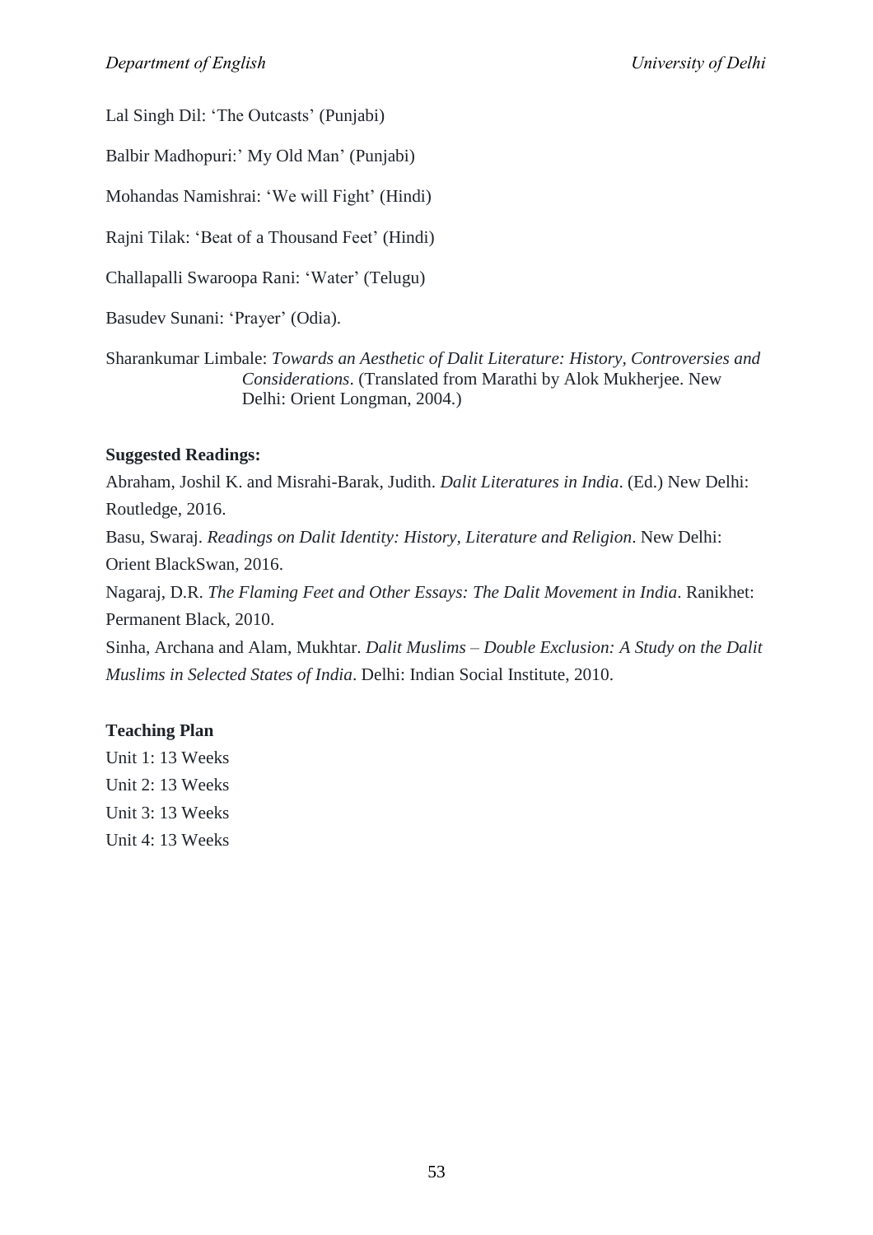Lal Singh Dil: 'The Outcasts' (Punjabi)

Balbir Madhopuri:' My Old Man' (Punjabi)

Mohandas Namishrai: ‗We will Fight' (Hindi)

Rajni Tilak: 'Beat of a Thousand Feet' (Hindi)

Challapalli Swaroopa Rani: ‗Water' (Telugu)

Basudev Sunani: 'Prayer' (Odia).

Sharankumar Limbale: *Towards an Aesthetic of Dalit Literature: History, Controversies and Considerations*. (Translated from Marathi by Alok Mukherjee. New Delhi: Orient Longman, 2004.)

## **Suggested Readings:**

Abraham, Joshil K. and Misrahi-Barak, Judith. *Dalit Literatures in India*. (Ed.) New Delhi: Routledge, 2016. Basu, Swaraj. *Readings on Dalit Identity: History, Literature and Religion*. New Delhi: Orient BlackSwan, 2016. Nagaraj, D.R. *The Flaming Feet and Other Essays: The Dalit Movement in India*. Ranikhet: Permanent Black, 2010. Sinha, Archana and Alam, Mukhtar. *Dalit Muslims – Double Exclusion: A Study on the Dalit Muslims in Selected States of India*. Delhi: Indian Social Institute, 2010.

## **Teaching Plan**

Unit 1: 13 Weeks Unit 2: 13 Weeks Unit 3: 13 Weeks Unit 4: 13 Weeks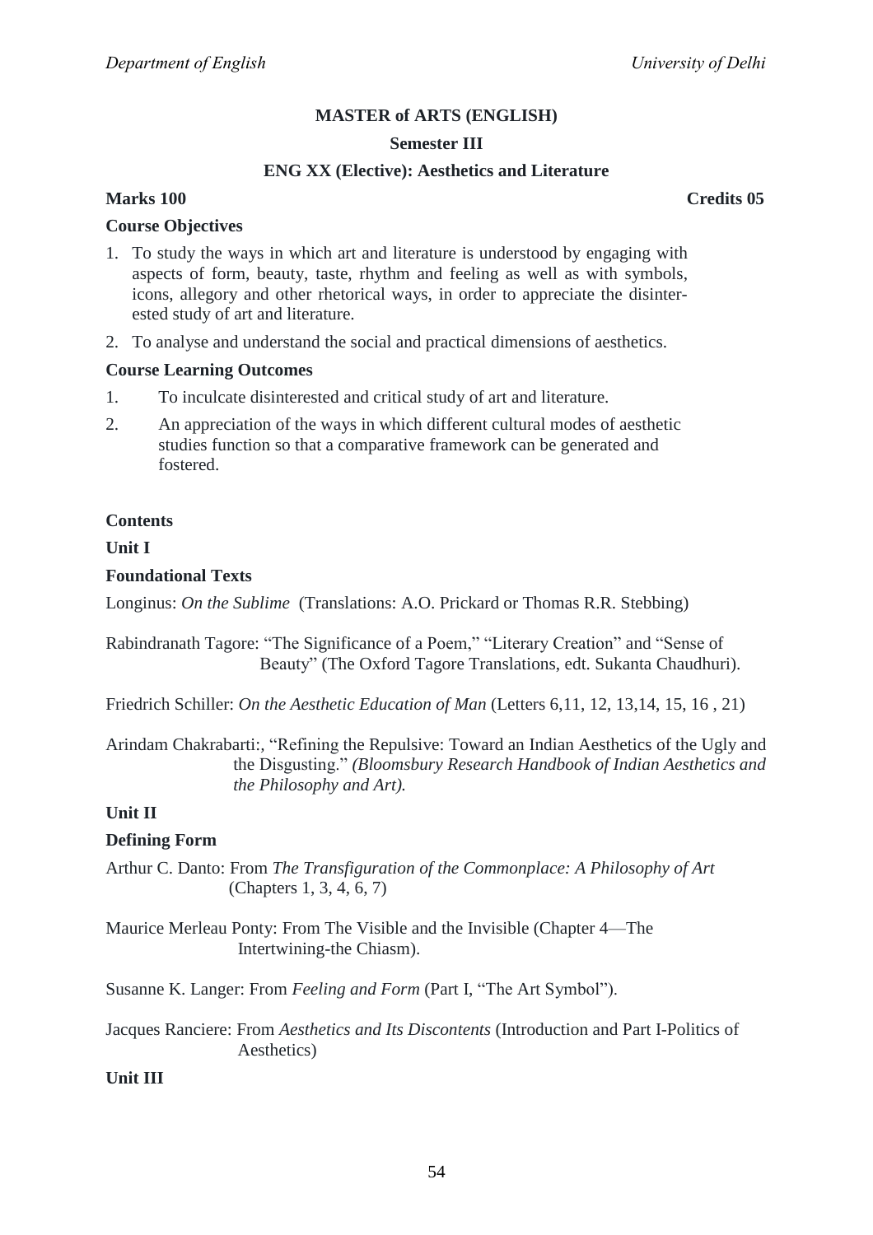#### **Semester III**

#### **ENG XX (Elective): Aesthetics and Literature**

## **Marks 100 Credits 05**

#### **Course Objectives**

- 1. To study the ways in which art and literature is understood by engaging with aspects of form, beauty, taste, rhythm and feeling as well as with symbols, icons, allegory and other rhetorical ways, in order to appreciate the disinterested study of art and literature.
- 2. To analyse and understand the social and practical dimensions of aesthetics.

#### **Course Learning Outcomes**

- 1. To inculcate disinterested and critical study of art and literature.
- 2. An appreciation of the ways in which different cultural modes of aesthetic studies function so that a comparative framework can be generated and fostered.

#### **Contents**

#### **Unit I**

#### **Foundational Texts**

Longinus: *On the Sublime* (Translations: A.O. Prickard or Thomas R.R. Stebbing)

Rabindranath Tagore: "The Significance of a Poem," "Literary Creation" and "Sense of Beauty" (The Oxford Tagore Translations, edt. Sukanta Chaudhuri).

Friedrich Schiller: *On the Aesthetic Education of Man* (Letters 6,11, 12, 13,14, 15, 16 , 21)

Arindam Chakrabarti:, "Refining the Repulsive: Toward an Indian Aesthetics of the Ugly and the Disgusting.‖ *(Bloomsbury Research Handbook of Indian Aesthetics and the Philosophy and Art).*

### **Unit II**

#### **Defining Form**

Arthur C. Danto: From *The Transfiguration of the Commonplace: A Philosophy of Art* (Chapters 1, 3, 4, 6, 7)

Maurice Merleau Ponty: From The Visible and the Invisible (Chapter 4—The Intertwining-the Chiasm).

Susanne K. Langer: From *Feeling and Form* (Part I, "The Art Symbol").

Jacques Ranciere: From *Aesthetics and Its Discontents* (Introduction and Part I-Politics of Aesthetics)

#### **Unit III**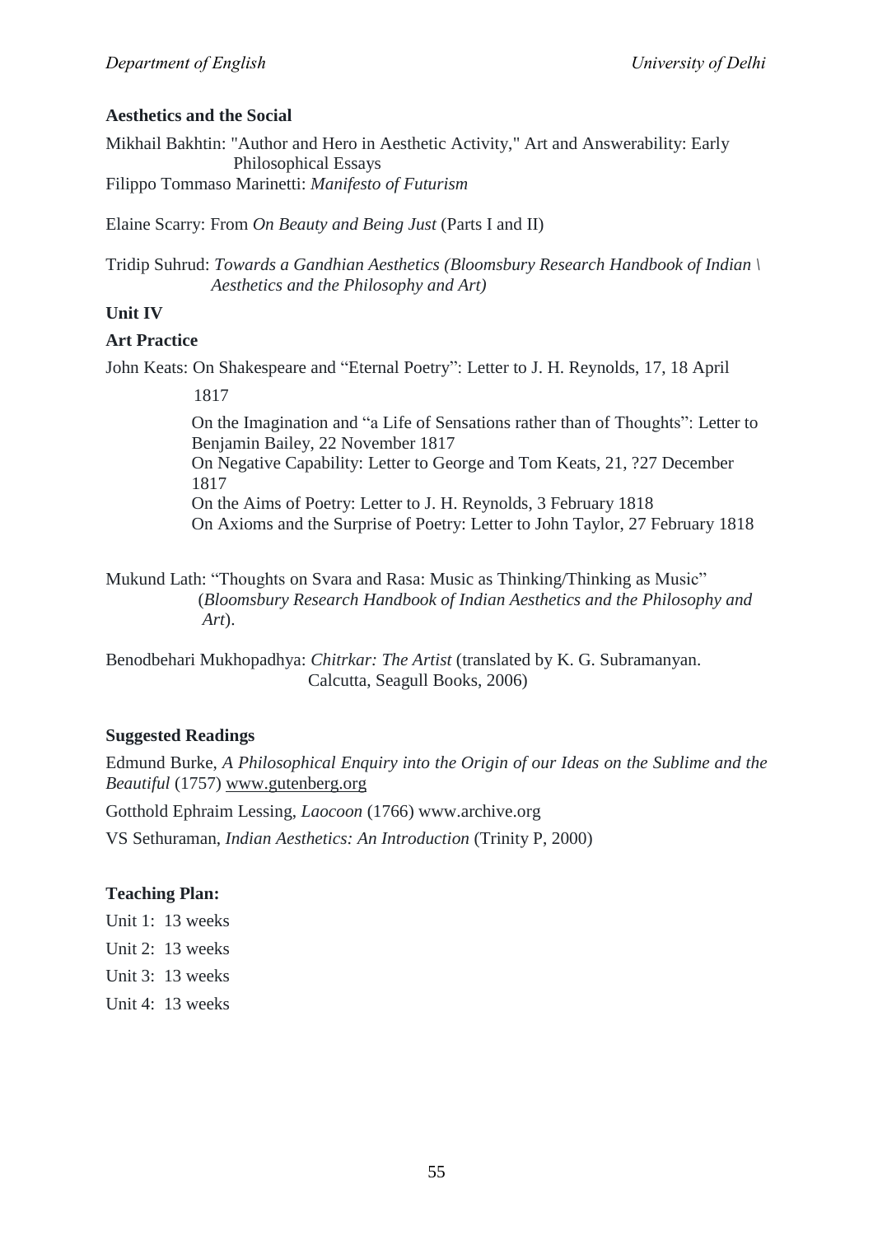## **Aesthetics and the Social**

Mikhail Bakhtin: "Author and Hero in Aesthetic Activity," Art and Answerability: Early Philosophical Essays Filippo Tommaso Marinetti: *Manifesto of Futurism*

Elaine Scarry: From *On Beauty and Being Just* (Parts I and II)

Tridip Suhrud: *Towards a Gandhian Aesthetics (Bloomsbury Research Handbook of Indian \ Aesthetics and the Philosophy and Art)*

## **Unit IV**

## **Art Practice**

John Keats: On Shakespeare and "Eternal Poetry": Letter to J. H. Reynolds, 17, 18 April

1817

On the Imagination and "a Life of Sensations rather than of Thoughts": Letter to Benjamin Bailey, 22 November 1817 On Negative Capability: Letter to George and Tom Keats, 21, ?27 December 1817 On the Aims of Poetry: Letter to J. H. Reynolds, 3 February 1818 On Axioms and the Surprise of Poetry: Letter to John Taylor, 27 February 1818

Mukund Lath: "Thoughts on Svara and Rasa: Music as Thinking/Thinking as Music" (*Bloomsbury Research Handbook of Indian Aesthetics and the Philosophy and Art*).

Benodbehari Mukhopadhya: *Chitrkar: The Artist* (translated by K. G. Subramanyan. Calcutta, Seagull Books, 2006)

## **Suggested Readings**

Edmund Burke, *A Philosophical Enquiry into the Origin of our Ideas on the Sublime and the Beautiful* (1757) [www.gutenberg.org](http://www.gutenberg.org/)

Gotthold Ephraim Lessing, *Laocoon* (1766) www.archive.org

VS Sethuraman, *Indian Aesthetics: An Introduction* (Trinity P, 2000)

## **Teaching Plan:**

- Unit 1: 13 weeks
- Unit 2: 13 weeks
- Unit 3: 13 weeks
- Unit 4: 13 weeks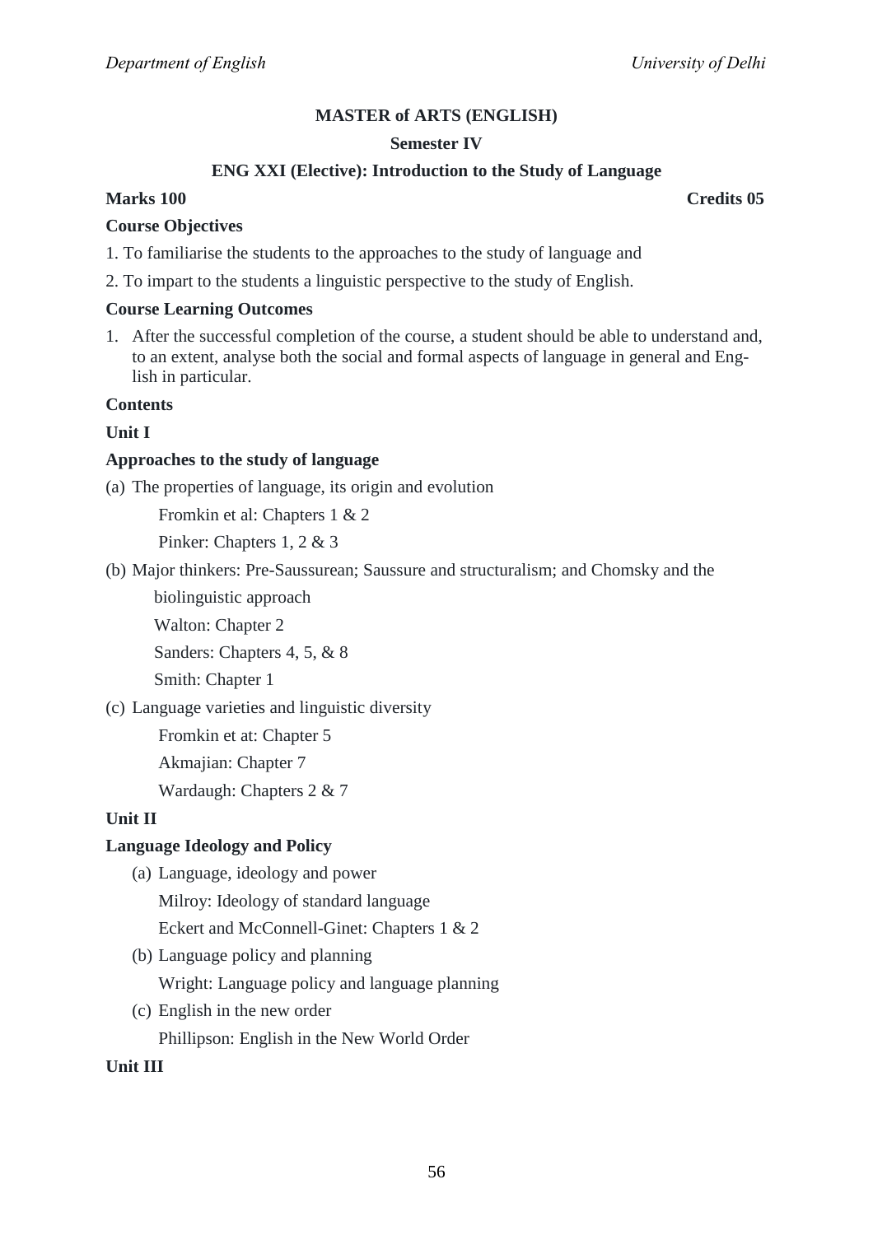## **Semester IV**

## **ENG XXI (Elective): Introduction to the Study of Language**

## **Marks 100 Credits 05**

#### **Course Objectives**

- 1. To familiarise the students to the approaches to the study of language and
- 2. To impart to the students a linguistic perspective to the study of English.

#### **Course Learning Outcomes**

1. After the successful completion of the course, a student should be able to understand and, to an extent, analyse both the social and formal aspects of language in general and English in particular.

#### **Contents**

## **Unit I**

## **Approaches to the study of language**

(a) The properties of language, its origin and evolution

Fromkin et al: Chapters 1 & 2

Pinker: Chapters 1, 2 & 3

(b) Major thinkers: Pre-Saussurean; Saussure and structuralism; and Chomsky and the

biolinguistic approach

Walton: Chapter 2

Sanders: Chapters 4, 5, & 8

Smith: Chapter 1

(c) Language varieties and linguistic diversity

Fromkin et at: Chapter 5

Akmajian: Chapter 7

Wardaugh: Chapters 2 & 7

#### **Unit II**

## **Language Ideology and Policy**

(a) Language, ideology and power

Milroy: Ideology of standard language

Eckert and McConnell-Ginet: Chapters 1 & 2

(b) Language policy and planning

Wright: Language policy and language planning

(c) English in the new order

Phillipson: English in the New World Order

**Unit III**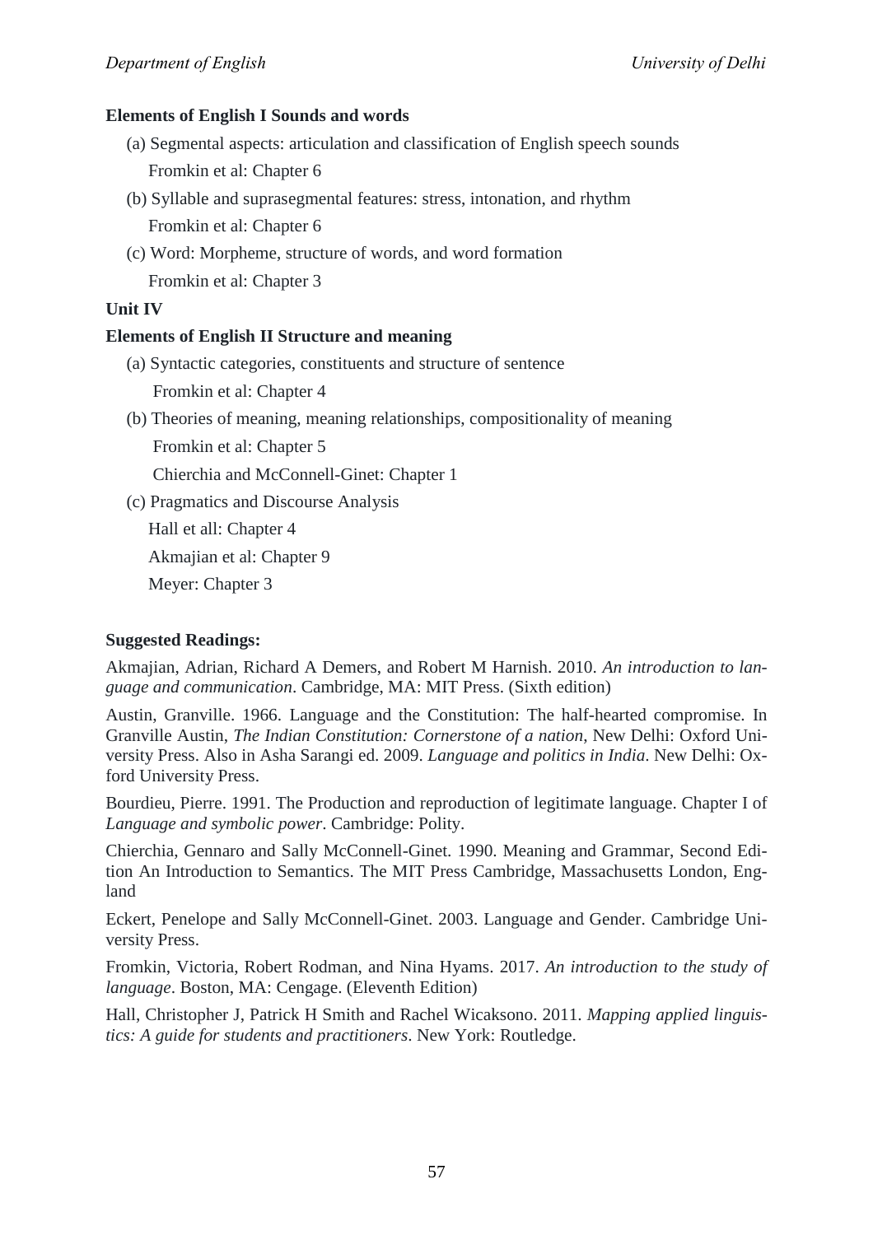## **Elements of English I Sounds and words**

- (a) Segmental aspects: articulation and classification of English speech sounds Fromkin et al: Chapter 6
- (b) Syllable and suprasegmental features: stress, intonation, and rhythm Fromkin et al: Chapter 6
- (c) Word: Morpheme, structure of words, and word formation Fromkin et al: Chapter 3

## **Unit IV**

## **Elements of English II Structure and meaning**

- (a) Syntactic categories, constituents and structure of sentence Fromkin et al: Chapter 4
- (b) Theories of meaning, meaning relationships, compositionality of meaning

Fromkin et al: Chapter 5

Chierchia and McConnell-Ginet: Chapter 1

(c) Pragmatics and Discourse Analysis

Hall et all: Chapter 4

Akmajian et al: Chapter 9

Meyer: Chapter 3

## **Suggested Readings:**

Akmajian, Adrian, Richard A Demers, and Robert M Harnish. 2010. *An introduction to language and communication*. Cambridge, MA: MIT Press. (Sixth edition)

Austin, Granville. 1966. Language and the Constitution: The half-hearted compromise. In Granville Austin, *The Indian Constitution: Cornerstone of a nation*, New Delhi: Oxford University Press. Also in Asha Sarangi ed. 2009. *Language and politics in India*. New Delhi: Oxford University Press.

Bourdieu, Pierre. 1991. The Production and reproduction of legitimate language. Chapter I of *Language and symbolic power*. Cambridge: Polity.

Chierchia, Gennaro and Sally McConnell-Ginet. 1990. Meaning and Grammar, Second Edition An Introduction to Semantics. The MIT Press Cambridge, Massachusetts London, England

Eckert, Penelope and Sally McConnell-Ginet. 2003. Language and Gender. Cambridge University Press.

Fromkin, Victoria, Robert Rodman, and Nina Hyams. 2017. *An introduction to the study of language*. Boston, MA: Cengage. (Eleventh Edition)

Hall, Christopher J, Patrick H Smith and Rachel Wicaksono. 2011. *Mapping applied linguistics: A guide for students and practitioners*. New York: Routledge.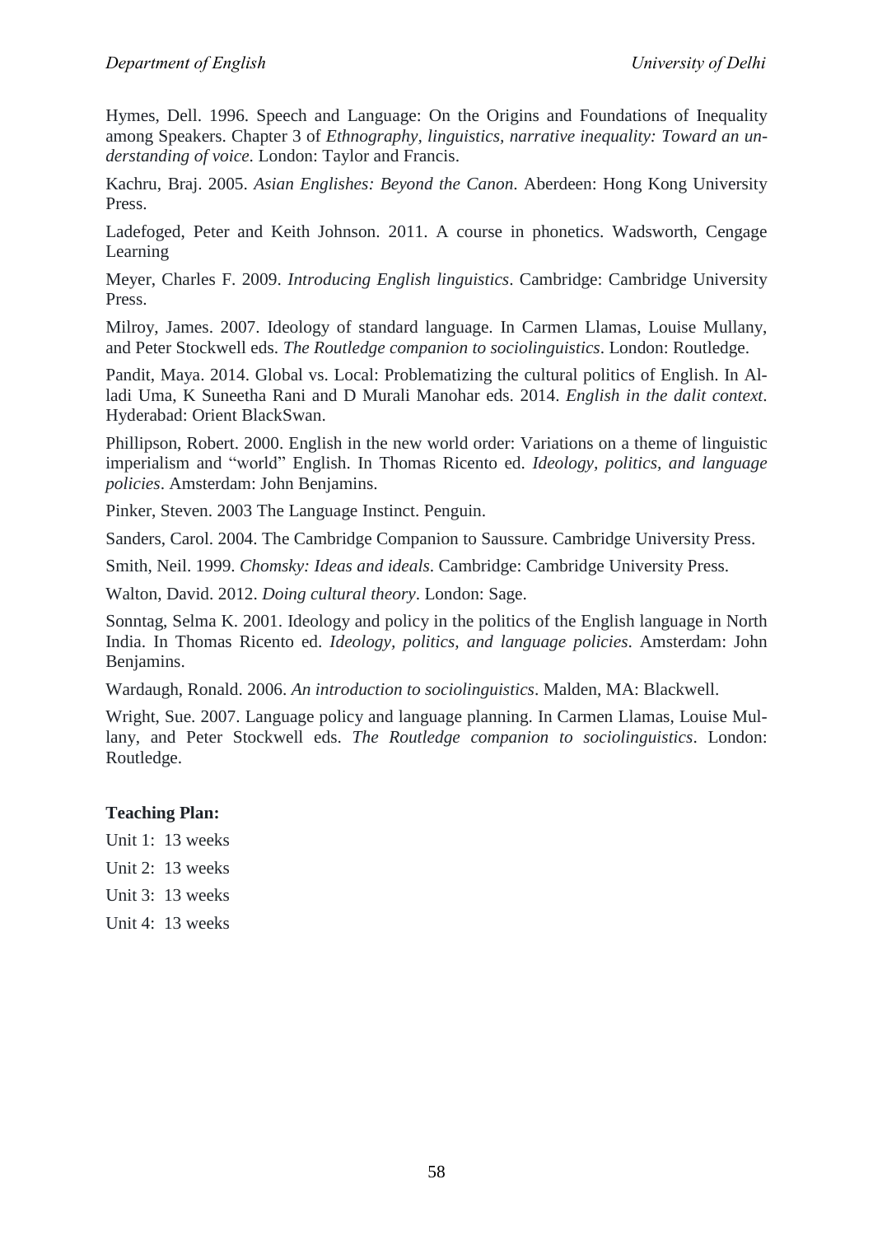Hymes, Dell. 1996. Speech and Language: On the Origins and Foundations of Inequality among Speakers. Chapter 3 of *Ethnography, linguistics, narrative inequality: Toward an understanding of voice*. London: Taylor and Francis.

Kachru, Braj. 2005. *Asian Englishes: Beyond the Canon*. Aberdeen: Hong Kong University Press.

Ladefoged, Peter and Keith Johnson. 2011. A course in phonetics. Wadsworth, Cengage Learning

Meyer, Charles F. 2009. *Introducing English linguistics*. Cambridge: Cambridge University Press.

Milroy, James. 2007. Ideology of standard language. In Carmen Llamas, Louise Mullany, and Peter Stockwell eds. *The Routledge companion to sociolinguistics*. London: Routledge.

Pandit, Maya. 2014. Global vs. Local: Problematizing the cultural politics of English. In Alladi Uma, K Suneetha Rani and D Murali Manohar eds. 2014. *English in the dalit context*. Hyderabad: Orient BlackSwan.

Phillipson, Robert. 2000. English in the new world order: Variations on a theme of linguistic imperialism and "world" English. In Thomas Ricento ed. *Ideology, politics, and language policies*. Amsterdam: John Benjamins.

Pinker, Steven. 2003 The Language Instinct. Penguin.

Sanders, Carol. 2004. The Cambridge Companion to Saussure. Cambridge University Press.

Smith, Neil. 1999. *Chomsky: Ideas and ideals*. Cambridge: Cambridge University Press.

Walton, David. 2012. *Doing cultural theory*. London: Sage.

Sonntag, Selma K. 2001. Ideology and policy in the politics of the English language in North India. In Thomas Ricento ed. *Ideology, politics, and language policies*. Amsterdam: John Benjamins.

Wardaugh, Ronald. 2006. *An introduction to sociolinguistics*. Malden, MA: Blackwell.

Wright, Sue. 2007. Language policy and language planning. In Carmen Llamas, Louise Mullany, and Peter Stockwell eds. *The Routledge companion to sociolinguistics*. London: Routledge.

## **Teaching Plan:**

- Unit 1: 13 weeks
- Unit 2: 13 weeks
- Unit 3: 13 weeks
- Unit 4: 13 weeks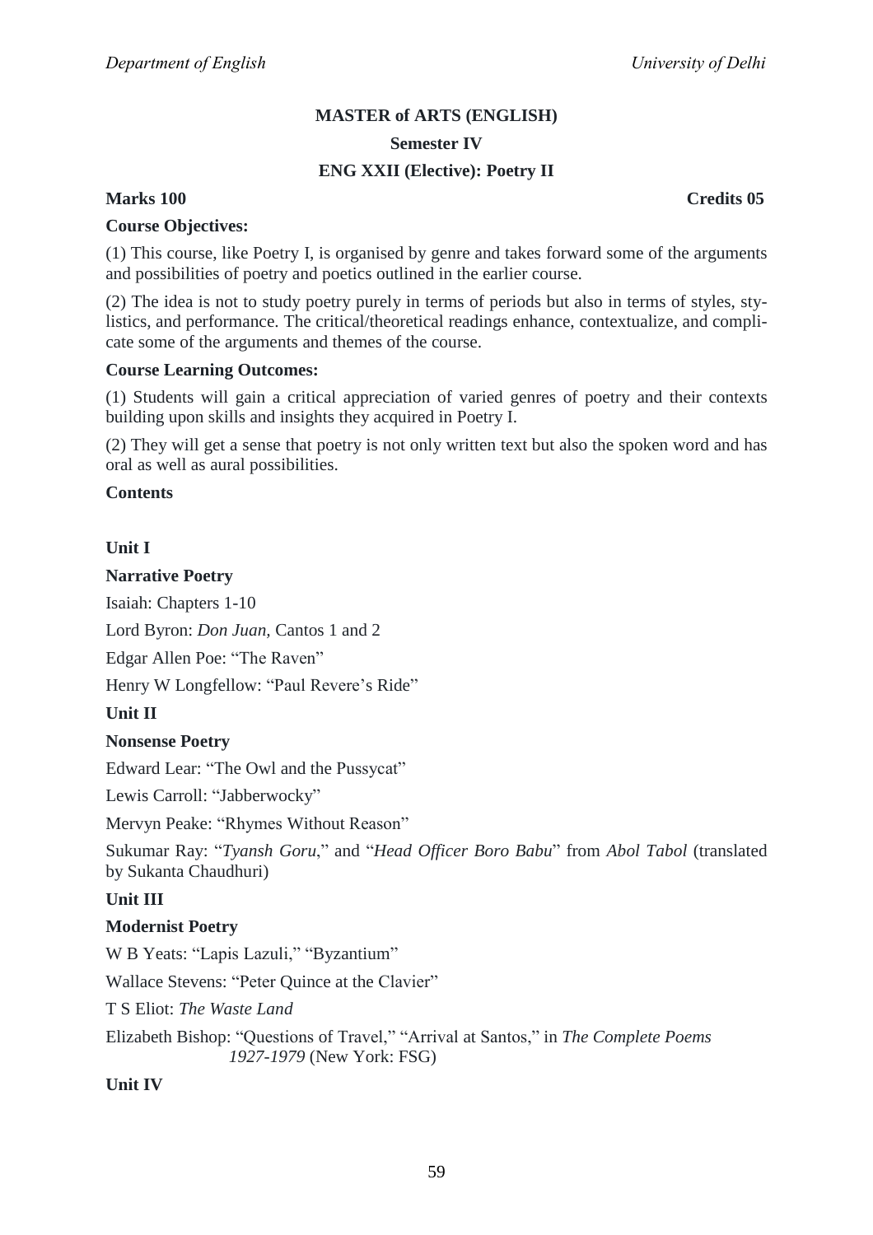# **MASTER of ARTS (ENGLISH) Semester IV**

## **ENG XXII (Elective): Poetry II**

## **Marks 100 Credits 05**

## **Course Objectives:**

(1) This course, like Poetry I, is organised by genre and takes forward some of the arguments and possibilities of poetry and poetics outlined in the earlier course.

(2) The idea is not to study poetry purely in terms of periods but also in terms of styles, stylistics, and performance. The critical/theoretical readings enhance, contextualize, and complicate some of the arguments and themes of the course.

## **Course Learning Outcomes:**

(1) Students will gain a critical appreciation of varied genres of poetry and their contexts building upon skills and insights they acquired in Poetry I.

(2) They will get a sense that poetry is not only written text but also the spoken word and has oral as well as aural possibilities.

## **Contents**

## **Unit I**

## **Narrative Poetry**

Isaiah: Chapters 1-10

Lord Byron: *Don Juan,* Cantos 1 and 2

Edgar Allen Poe: "The Raven"

Henry W Longfellow: "Paul Revere's Ride"

#### **Unit II**

## **Nonsense Poetry**

Edward Lear: "The Owl and the Pussycat"

Lewis Carroll: "Jabberwocky"

Mervyn Peake: "Rhymes Without Reason"

Sukumar Ray: "Tyansh Goru," and "Head Officer Boro Babu" from Abol Tabol (translated by Sukanta Chaudhuri)

## **Unit III**

## **Modernist Poetry**

W B Yeats: "Lapis Lazuli," "Byzantium"

Wallace Stevens: "Peter Quince at the Clavier"

T S Eliot: *The Waste Land*

Elizabeth Bishop: "Questions of Travel," "Arrival at Santos," in *The Complete Poems 1927-1979* (New York: FSG)

## **Unit IV**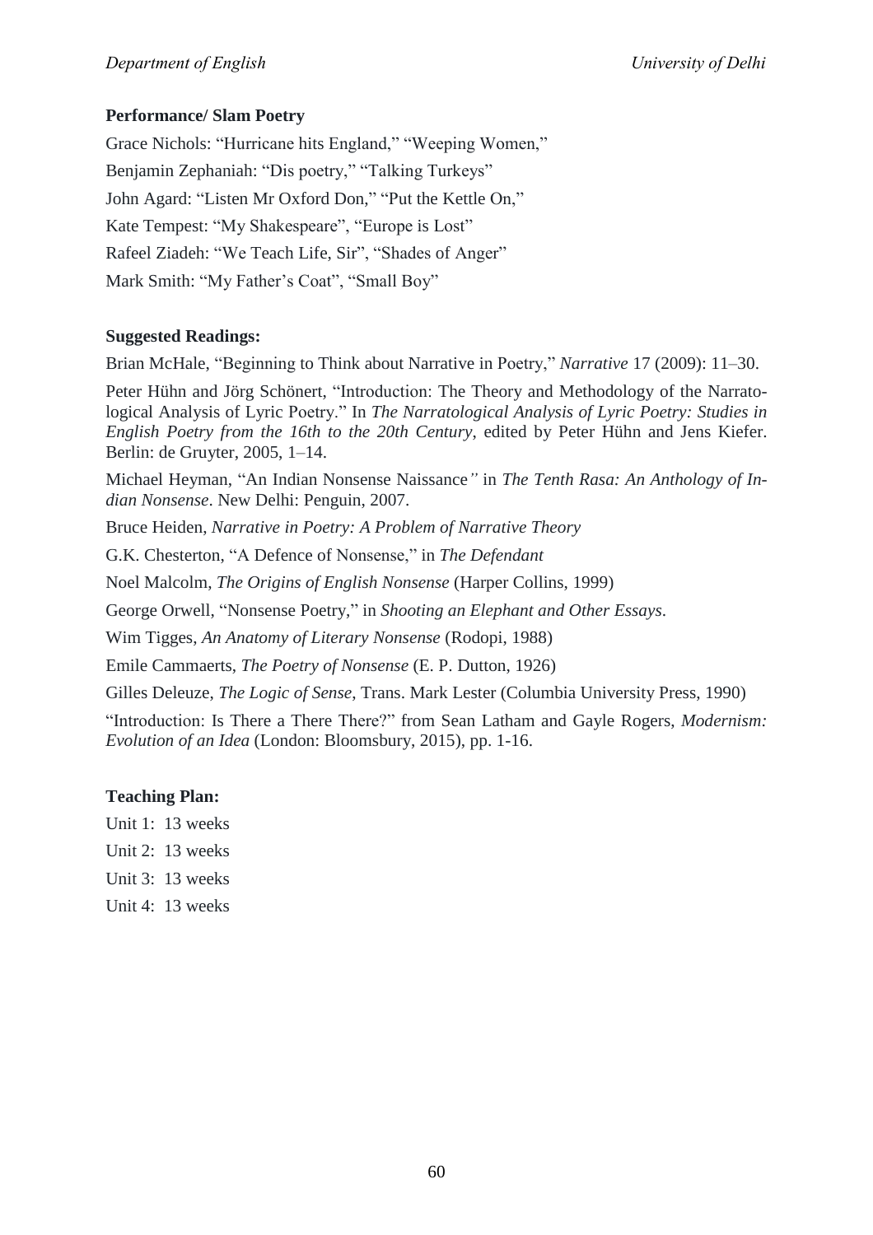## **Performance/ Slam Poetry**

Grace Nichols: "Hurricane hits England," "Weeping Women," Benjamin Zephaniah: "Dis poetry," "Talking Turkeys" John Agard: "Listen Mr Oxford Don," "Put the Kettle On," Kate Tempest: "My Shakespeare", "Europe is Lost" Rafeel Ziadeh: "We Teach Life, Sir", "Shades of Anger" Mark Smith: "My Father's Coat", "Small Boy"

## **Suggested Readings:**

Brian McHale, "Beginning to Think about Narrative in Poetry," Narrative 17 (2009): 11-30.

Peter Hühn and Jörg Schönert, "Introduction: The Theory and Methodology of the Narratological Analysis of Lyric Poetry.‖ In *The Narratological Analysis of Lyric Poetry: Studies in English Poetry from the 16th to the 20th Century*, edited by Peter Hühn and Jens Kiefer. Berlin: de Gruyter, 2005, 1–14.

Michael Heyman, "An Indian Nonsense Naissance" in *The Tenth Rasa: An Anthology of Indian Nonsense*. New Delhi: Penguin, 2007.

Bruce Heiden, *Narrative in Poetry: A Problem of Narrative Theory*

G.K. Chesterton, "A Defence of Nonsense," in *The Defendant* 

Noel Malcolm, *The Origins of English Nonsense* (Harper Collins, 1999)

George Orwell, "Nonsense Poetry," in *Shooting an Elephant and Other Essays.* 

Wim Tigges, *An Anatomy of Literary Nonsense* (Rodopi, 1988)

Emile Cammaerts, *The Poetry of Nonsense* (E. P. Dutton, 1926)

Gilles Deleuze, *The Logic of Sense*, Trans. Mark Lester (Columbia University Press, 1990)

"Introduction: Is There a There There?" from Sean Latham and Gayle Rogers, *Modernism: Evolution of an Idea* (London: Bloomsbury, 2015), pp. 1-16.

## **Teaching Plan:**

- Unit 1: 13 weeks
- Unit 2: 13 weeks
- Unit 3: 13 weeks
- Unit 4: 13 weeks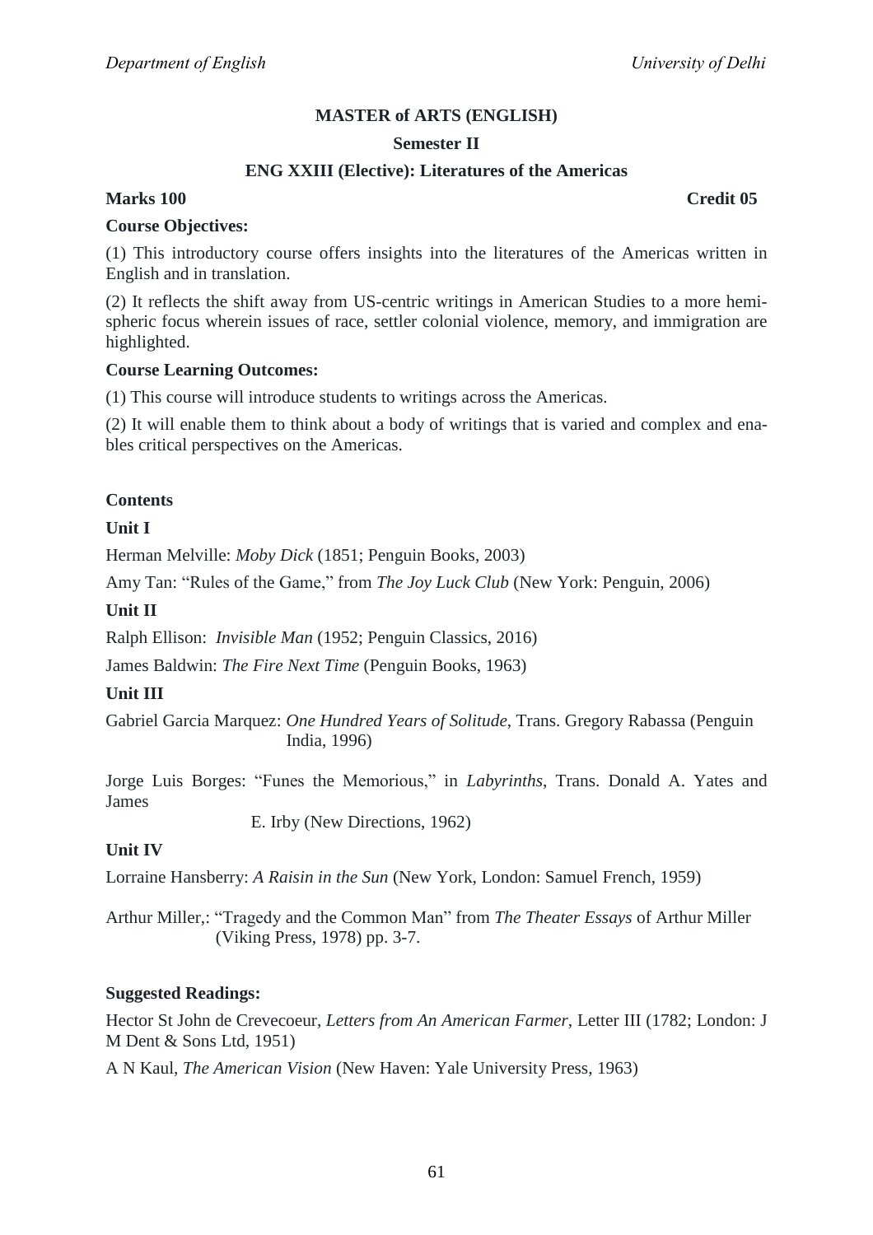## **Semester II**

## **ENG XXIII (Elective): Literatures of the Americas**

## **Marks 100 Credit 05**

#### **Course Objectives:**

(1) This introductory course offers insights into the literatures of the Americas written in English and in translation.

(2) It reflects the shift away from US-centric writings in American Studies to a more hemispheric focus wherein issues of race, settler colonial violence, memory, and immigration are highlighted.

#### **Course Learning Outcomes:**

(1) This course will introduce students to writings across the Americas.

(2) It will enable them to think about a body of writings that is varied and complex and enables critical perspectives on the Americas.

## **Contents**

## **Unit I**

Herman Melville: *Moby Dick* (1851; Penguin Books, 2003)

Amy Tan: "Rules of the Game," from *The Joy Luck Club* (New York: Penguin, 2006)

#### **Unit II**

Ralph Ellison: *Invisible Man* (1952; Penguin Classics, 2016)

James Baldwin: *The Fire Next Time* (Penguin Books, 1963)

#### **Unit III**

Gabriel Garcia Marquez: *One Hundred Years of Solitude*, Trans. Gregory Rabassa (Penguin India, 1996)

Jorge Luis Borges: "Funes the Memorious," in *Labyrinths*, Trans. Donald A. Yates and James

E. Irby (New Directions, 1962)

#### **Unit IV**

Lorraine Hansberry: *A Raisin in the Sun* (New York, London: Samuel French, 1959)

Arthur Miller,: "Tragedy and the Common Man" from *The Theater Essays* of Arthur Miller (Viking Press, 1978) pp. 3-7.

#### **Suggested Readings:**

Hector St John de Crevecoeur, *Letters from An American Farmer*, Letter III (1782; London: J M Dent & Sons Ltd, 1951)

A N Kaul, *The American Vision* (New Haven: Yale University Press, 1963)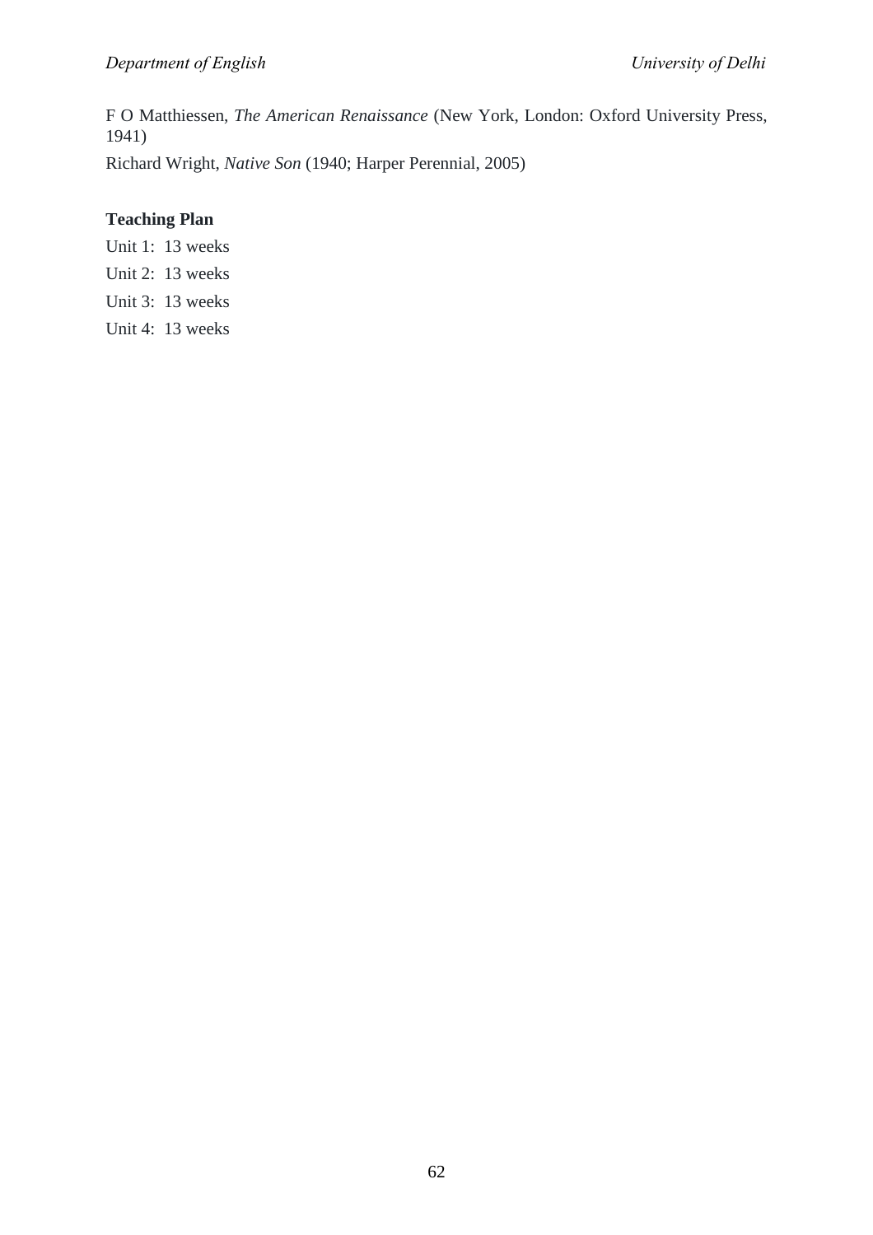F O Matthiessen, *The American Renaissance* (New York, London: Oxford University Press, 1941)

Richard Wright, *Native Son* (1940; Harper Perennial, 2005)

## **Teaching Plan**

Unit 1: 13 weeks

- Unit 2: 13 weeks
- Unit 3: 13 weeks
- Unit 4: 13 weeks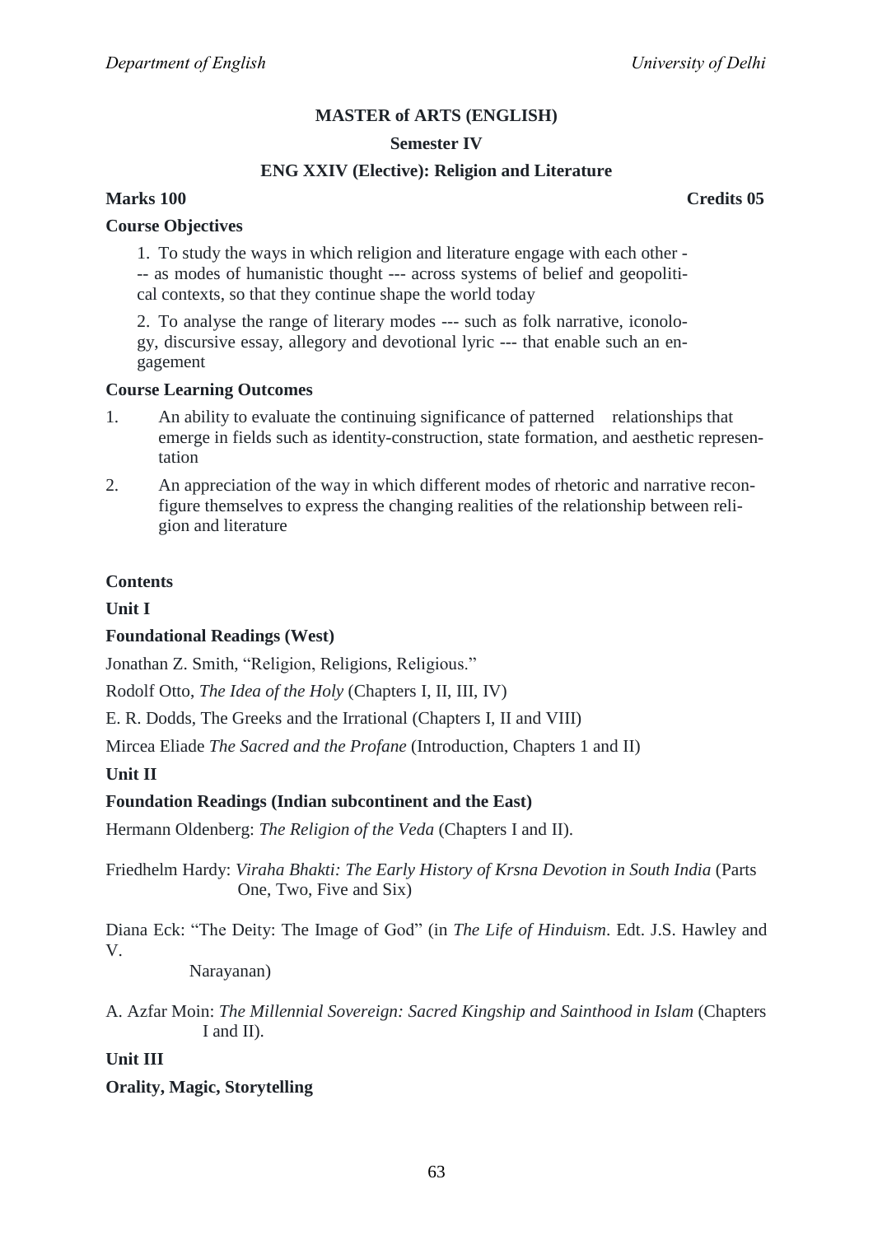## **Semester IV**

## **ENG XXIV (Elective): Religion and Literature**

**Marks 100 Credits 05**

#### **Course Objectives**

1. To study the ways in which religion and literature engage with each other - -- as modes of humanistic thought --- across systems of belief and geopolitical contexts, so that they continue shape the world today

2. To analyse the range of literary modes --- such as folk narrative, iconology, discursive essay, allegory and devotional lyric --- that enable such an engagement

#### **Course Learning Outcomes**

- 1. An ability to evaluate the continuing significance of patterned relationships that emerge in fields such as identity-construction, state formation, and aesthetic representation
- 2. An appreciation of the way in which different modes of rhetoric and narrative reconfigure themselves to express the changing realities of the relationship between religion and literature

## **Contents**

**Unit I**

#### **Foundational Readings (West)**

Jonathan Z. Smith, "Religion, Religions, Religious."

Rodolf Otto, *The Idea of the Holy* (Chapters I, II, III, IV)

E. R. Dodds, The Greeks and the Irrational (Chapters I, II and VIII)

Mircea Eliade *The Sacred and the Profane* (Introduction, Chapters 1 and II)

#### **Unit II**

## **Foundation Readings (Indian subcontinent and the East)**

Hermann Oldenberg: *The Religion of the Veda* (Chapters I and II).

Friedhelm Hardy: *Viraha Bhakti: The Early History of Krsna Devotion in South India* (Parts One, Two, Five and Six)

Diana Eck: "The Deity: The Image of God" (in *The Life of Hinduism*. Edt. J.S. Hawley and V.

Narayanan)

A. Azfar Moin: *The Millennial Sovereign: Sacred Kingship and Sainthood in Islam* (Chapters I and II).

**Unit III**

## **Orality, Magic, Storytelling**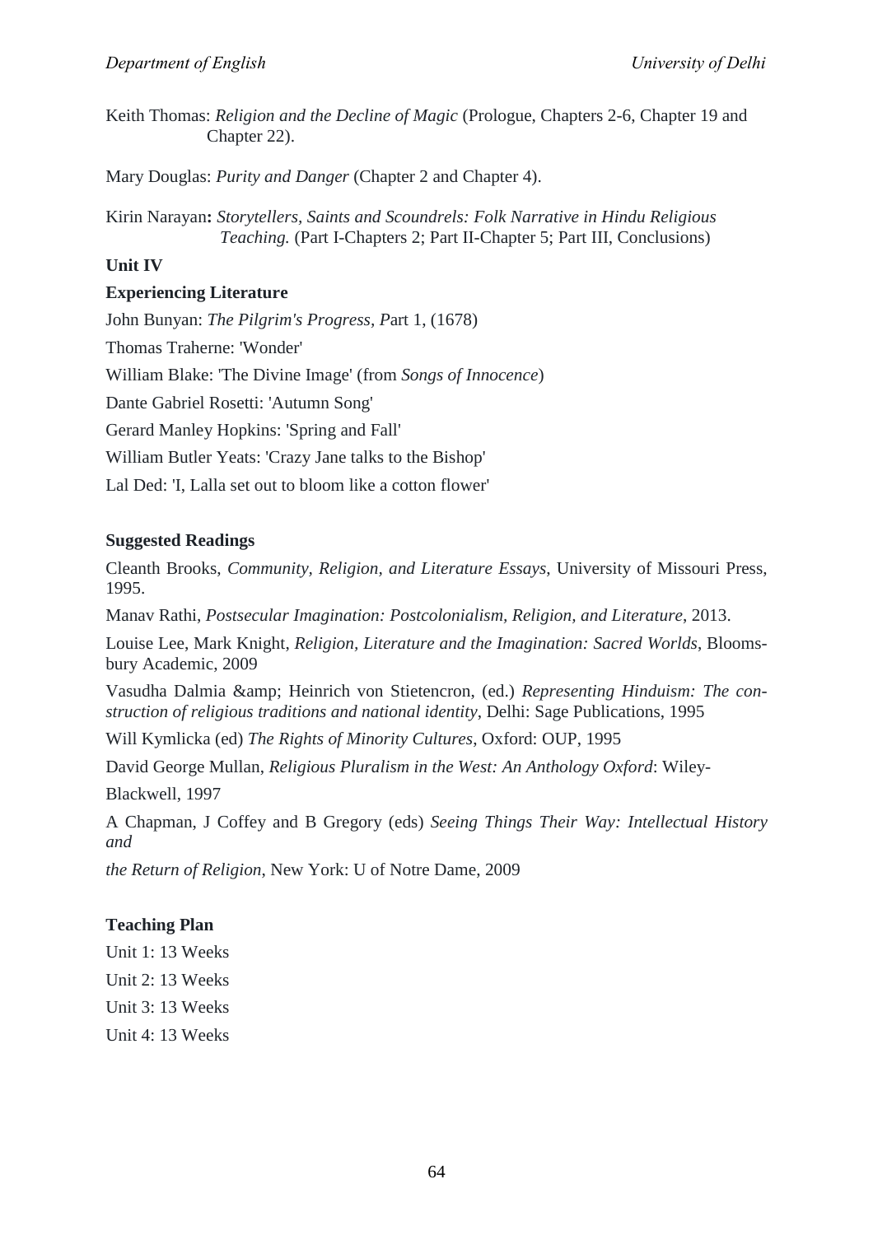Keith Thomas: *Religion and the Decline of Magic* (Prologue, Chapters 2-6, Chapter 19 and Chapter 22).

Mary Douglas: *Purity and Danger* (Chapter 2 and Chapter 4).

Kirin Narayan**:** *Storytellers, Saints and Scoundrels: Folk Narrative in Hindu Religious Teaching.* (Part I-Chapters 2; Part II-Chapter 5; Part III, Conclusions)

## **Unit IV**

## **Experiencing Literature**

John Bunyan: *The Pilgrim's Progress, P*art 1, (1678) Thomas Traherne: 'Wonder' William Blake: 'The Divine Image' (from *Songs of Innocence*) Dante Gabriel Rosetti: 'Autumn Song' Gerard Manley Hopkins: 'Spring and Fall' William Butler Yeats: 'Crazy Jane talks to the Bishop' Lal Ded: 'I, Lalla set out to bloom like a cotton flower'

## **Suggested Readings**

Cleanth Brooks, *Community, Religion, and Literature Essays*, University of Missouri Press, 1995.

Manav Rathi, *Postsecular Imagination: Postcolonialism, Religion, and Literature*, 2013.

Louise Lee, Mark Knight, *Religion, Literature and the Imagination: Sacred Worlds*, Bloomsbury Academic, 2009

Vasudha Dalmia & amp; Heinrich von Stietencron, (ed.) *Representing Hinduism: The construction of religious traditions and national identity*, Delhi: Sage Publications, 1995

Will Kymlicka (ed) *The Rights of Minority Cultures*, Oxford: OUP, 1995

David George Mullan, *Religious Pluralism in the West: An Anthology Oxford*: Wiley-

Blackwell, 1997

A Chapman, J Coffey and B Gregory (eds) *Seeing Things Their Way: Intellectual History and*

*the Return of Religion*, New York: U of Notre Dame, 2009

## **Teaching Plan**

Unit 1: 13 Weeks

Unit 2: 13 Weeks

Unit 3: 13 Weeks

Unit 4: 13 Weeks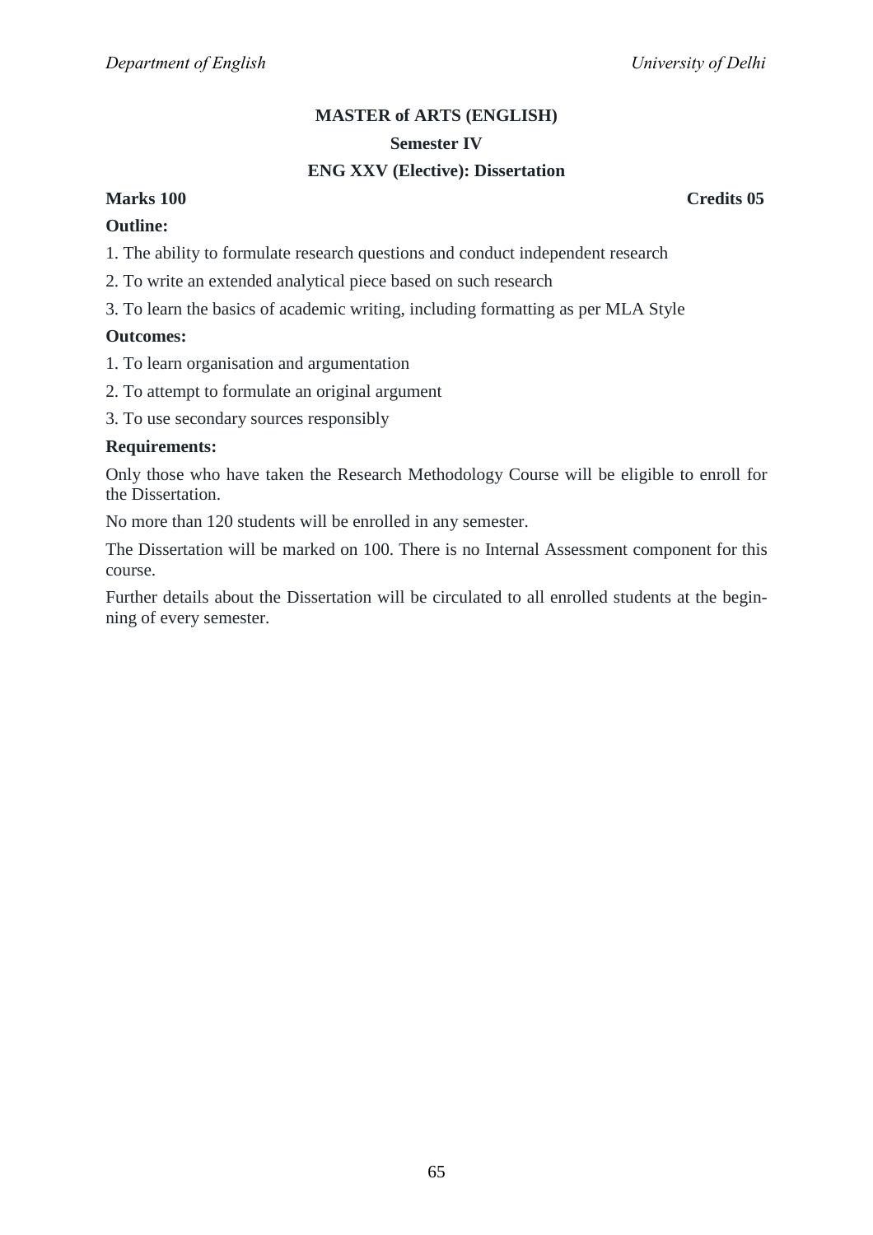## **MASTER of ARTS (ENGLISH) Semester IV**

## **ENG XXV (Elective): Dissertation**

## **Marks 100 Credits 05**

## **Outline:**

1. The ability to formulate research questions and conduct independent research

2. To write an extended analytical piece based on such research

3. To learn the basics of academic writing, including formatting as per MLA Style

## **Outcomes:**

- 1. To learn organisation and argumentation
- 2. To attempt to formulate an original argument
- 3. To use secondary sources responsibly

## **Requirements:**

Only those who have taken the Research Methodology Course will be eligible to enroll for the Dissertation.

No more than 120 students will be enrolled in any semester.

The Dissertation will be marked on 100. There is no Internal Assessment component for this course.

Further details about the Dissertation will be circulated to all enrolled students at the beginning of every semester.

65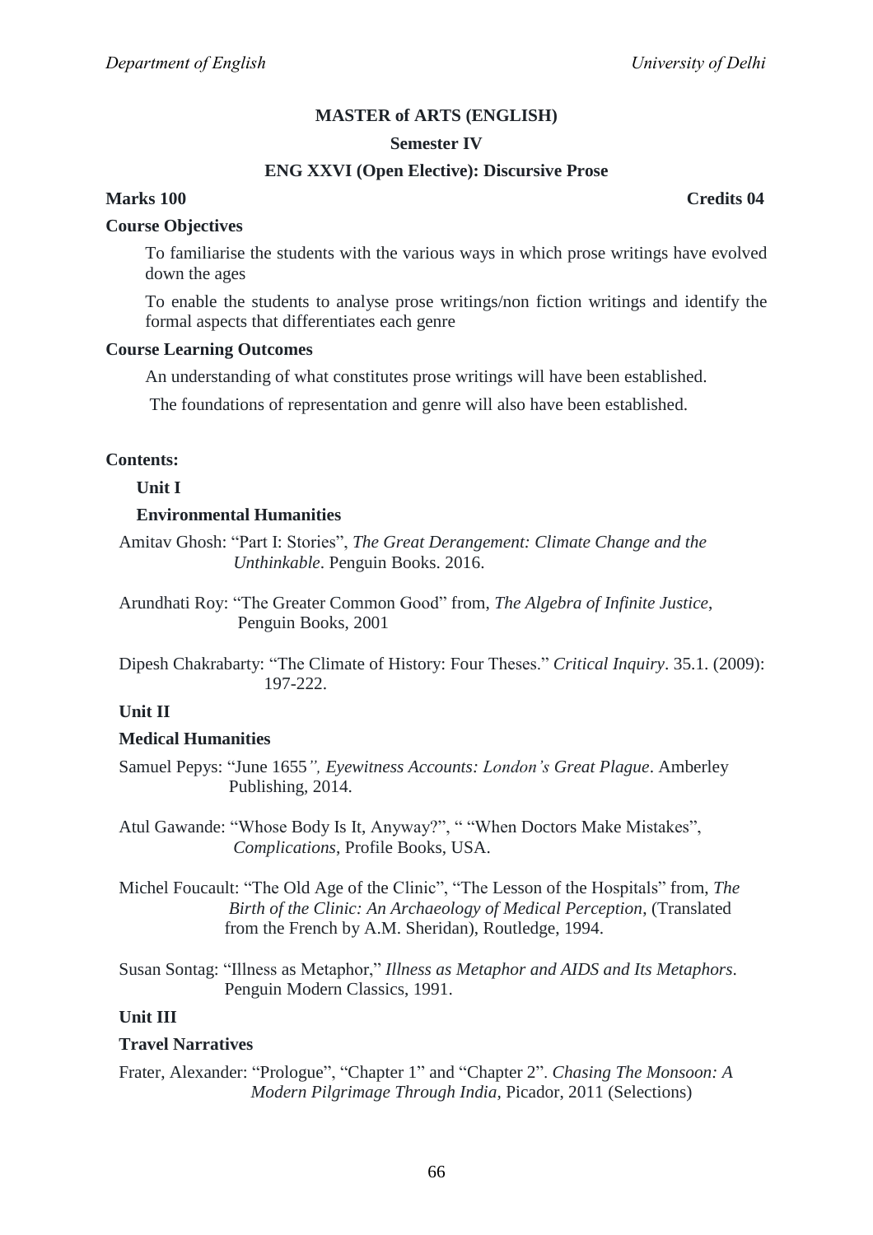#### **Semester IV**

## **ENG XXVI (Open Elective): Discursive Prose**

## **Marks 100 Credits 04**

#### **Course Objectives**

To familiarise the students with the various ways in which prose writings have evolved down the ages

To enable the students to analyse prose writings/non fiction writings and identify the formal aspects that differentiates each genre

#### **Course Learning Outcomes**

An understanding of what constitutes prose writings will have been established.

The foundations of representation and genre will also have been established.

#### **Contents:**

#### **Unit I**

#### **Environmental Humanities**

Amitav Ghosh: "Part I: Stories", *The Great Derangement: Climate Change and the Unthinkable*. Penguin Books. 2016.

Arundhati Roy: ―The Greater Common Good‖ from, *The Algebra of Infinite Justice*, Penguin Books, 2001

Dipesh Chakrabarty: "The Climate of History: Four Theses." *Critical Inquiry*. 35.1. (2009): 197-222.

#### **Unit II**

#### **Medical Humanities**

Samuel Pepys: ―June 1655*", Eyewitness Accounts: London's Great Plague*. Amberley Publishing, 2014.

Atul Gawande: "Whose Body Is It, Anyway?", " "When Doctors Make Mistakes",  *Complications*, Profile Books, USA.

Michel Foucault: "The Old Age of the Clinic", "The Lesson of the Hospitals" from, *The Birth of the Clinic: An Archaeology of Medical Perception*, (Translated from the French by A.M. Sheridan), Routledge, 1994.

Susan Sontag: ―Illness as Metaphor,‖ *Illness as Metaphor and AIDS and Its Metaphors*. Penguin Modern Classics, 1991.

#### **Unit III**

#### **Travel Narratives**

Frater, Alexander: "Prologue", "Chapter 1" and "Chapter 2". *Chasing The Monsoon: A Modern Pilgrimage Through India,* Picador, 2011 (Selections)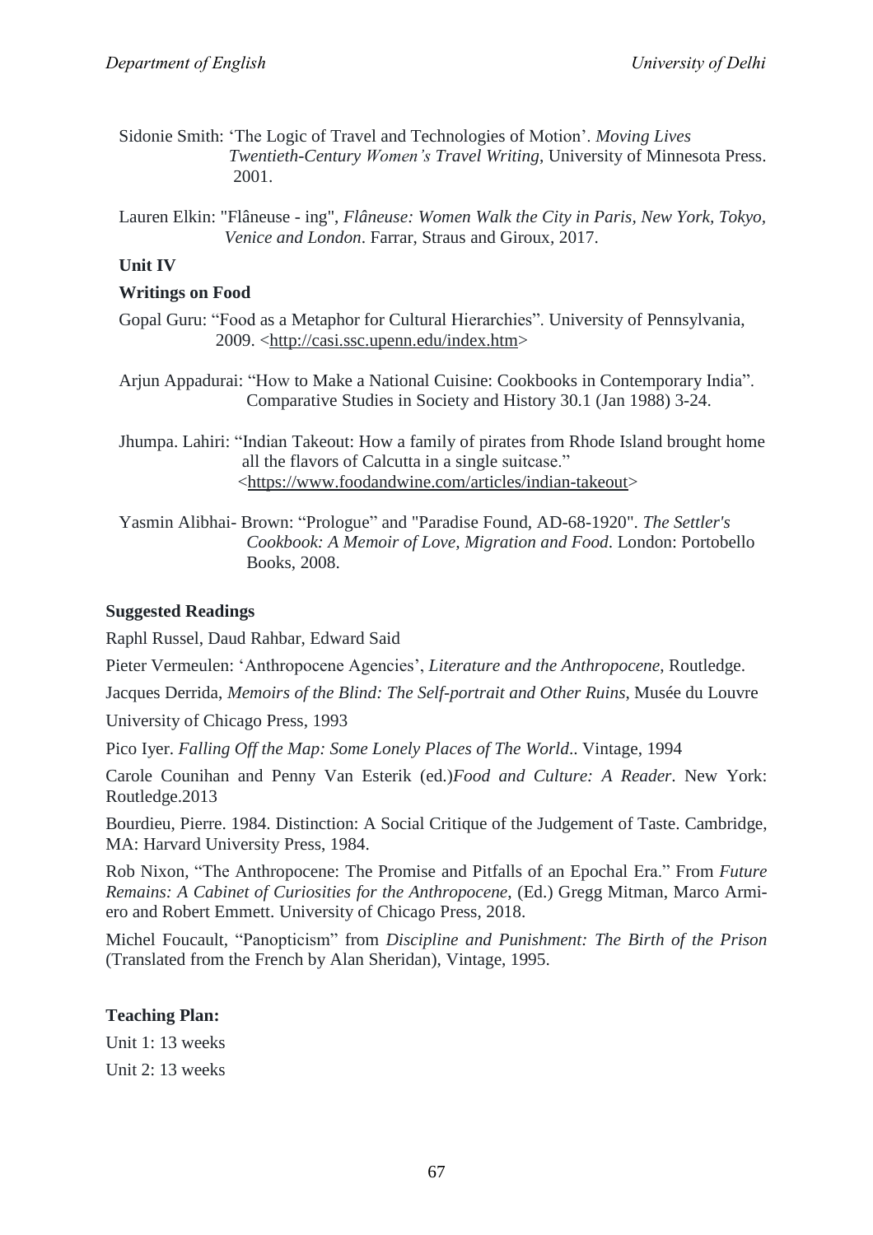- Sidonie Smith: ‗The Logic of Travel and Technologies of Motion'. *Moving Lives Twentieth-Century Women's Travel Writing*, University of Minnesota Press. 2001.
- Lauren Elkin: "Flâneuse ing", *Flâneuse: Women Walk the City in Paris, New York, Tokyo, Venice and London*. Farrar, Straus and Giroux*,* 2017.

## **Unit IV**

## **Writings on Food**

- Gopal Guru: "Food as a Metaphor for Cultural Hierarchies". University of Pennsylvania, 2009. [<http://casi.ssc.upenn.edu/index.htm>](http://casi.ssc.upenn.edu/index.htm)
- Arjun Appadurai: "How to Make a National Cuisine: Cookbooks in Contemporary India". Comparative Studies in Society and History 30.1 (Jan 1988) 3-24.

Jhumpa. Lahiri: "Indian Takeout: How a family of pirates from Rhode Island brought home all the flavors of Calcutta in a single suitcase." [<https://www.foodandwine.com/articles/indian-takeout>](https://www.foodandwine.com/articles/indian-takeout)

Yasmin Alibhai- Brown: "Prologue" and "Paradise Found, AD-68-1920". *The Settler's Cookbook: A Memoir of Love, Migration and Food*. London: Portobello Books, 2008.

## **Suggested Readings**

Raphl Russel, Daud Rahbar, Edward Said

Pieter Vermeulen: ‗Anthropocene Agencies', *Literature and the Anthropocene*, Routledge.

Jacques Derrida, *Memoirs of the Blind: The Self-portrait and Other Ruins*, Musée du Louvre

University of Chicago Press, 1993

Pico Iyer. *Falling Off the Map: Some Lonely Places of The World*.. Vintage, 1994

Carole Counihan and Penny Van Esterik (ed.)*Food and Culture: A Reader*. New York: Routledge.2013

Bourdieu, Pierre. 1984. Distinction: A Social Critique of the Judgement of Taste. Cambridge, MA: Harvard University Press, 1984.

Rob Nixon, "The Anthropocene: The Promise and Pitfalls of an Epochal Era." From *Future Remains: A Cabinet of Curiosities for the Anthropocene*, (Ed.) Gregg Mitman, Marco Armiero and Robert Emmett. University of Chicago Press, 2018.

Michel Foucault, ―Panopticism‖ from *Discipline and Punishment: The Birth of the Prison* (Translated from the French by Alan Sheridan), Vintage, 1995.

## **Teaching Plan:**

Unit 1: 13 weeks Unit 2: 13 weeks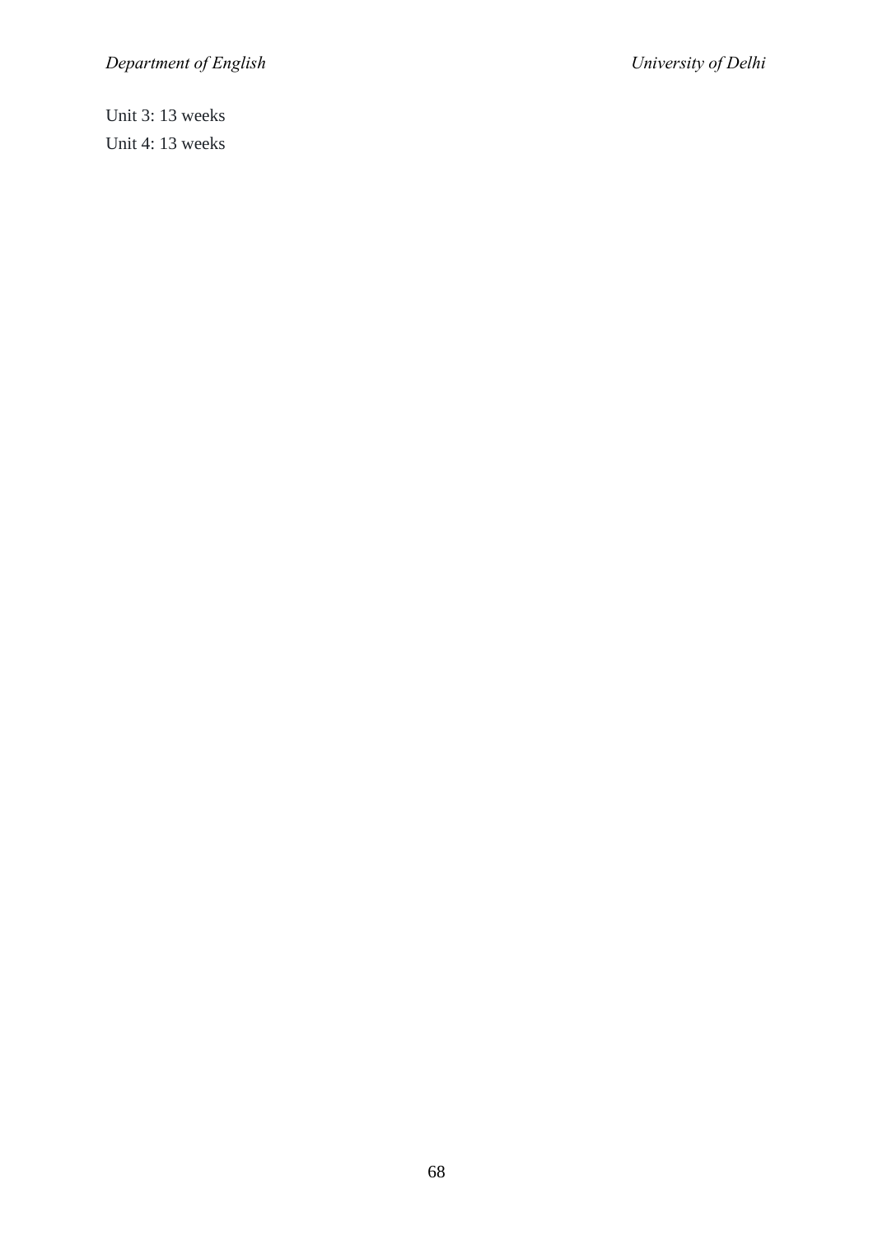Unit 3: 13 weeks Unit 4: 13 weeks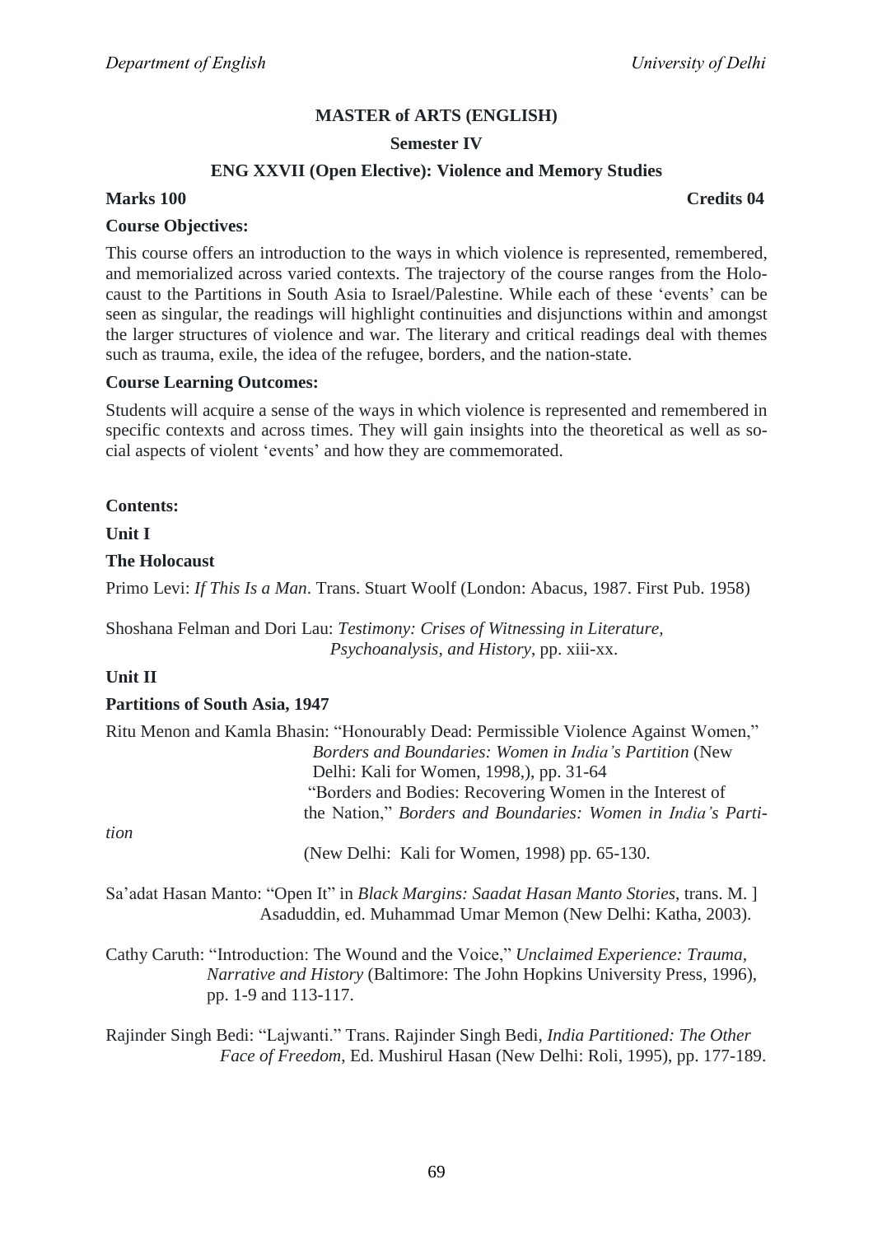#### **Semester IV**

#### **ENG XXVII (Open Elective): Violence and Memory Studies**

## **Marks 100 Credits 04**

#### **Course Objectives:**

This course offers an introduction to the ways in which violence is represented, remembered, and memorialized across varied contexts. The trajectory of the course ranges from the Holocaust to the Partitions in South Asia to Israel/Palestine. While each of these 'events' can be seen as singular, the readings will highlight continuities and disjunctions within and amongst the larger structures of violence and war. The literary and critical readings deal with themes such as trauma, exile, the idea of the refugee, borders, and the nation-state.

#### **Course Learning Outcomes:**

Students will acquire a sense of the ways in which violence is represented and remembered in specific contexts and across times. They will gain insights into the theoretical as well as social aspects of violent 'events' and how they are commemorated.

**Contents:**

**Unit I**

#### **The Holocaust**

Primo Levi: *If This Is a Man*. Trans. Stuart Woolf (London: Abacus, 1987. First Pub. 1958)

Shoshana Felman and Dori Lau: *Testimony: Crises of Witnessing in Literature, Psychoanalysis, and History*, pp. xiii-xx.

#### **Unit II**

#### **Partitions of South Asia, 1947**

|      | Ritu Menon and Kamla Bhasin: "Honourably Dead: Permissible Violence Against Women," |
|------|-------------------------------------------------------------------------------------|
|      | Borders and Boundaries: Women in India's Partition (New                             |
|      | Delhi: Kali for Women, 1998, pp. 31-64                                              |
|      | "Borders and Bodies: Recovering Women in the Interest of                            |
|      | the Nation," Borders and Boundaries: Women in India's Parti-                        |
| tion |                                                                                     |
|      | (New Delhi: Kali for Women, 1998) pp. 65-130.                                       |

Sa'adat Hasan Manto: "Open It" in *Black Margins: Saadat Hasan Manto Stories*, trans. M. ] Asaduddin, ed. Muhammad Umar Memon (New Delhi: Katha, 2003).

Cathy Caruth: "Introduction: The Wound and the Voice," Unclaimed Experience: Trauma,  *Narrative and History* (Baltimore: The John Hopkins University Press, 1996), pp. 1-9 and 113-117.

Rajinder Singh Bedi: ―Lajwanti.‖ Trans. Rajinder Singh Bedi, *India Partitioned: The Other Face of Freedom*, Ed. Mushirul Hasan (New Delhi: Roli, 1995), pp. 177-189.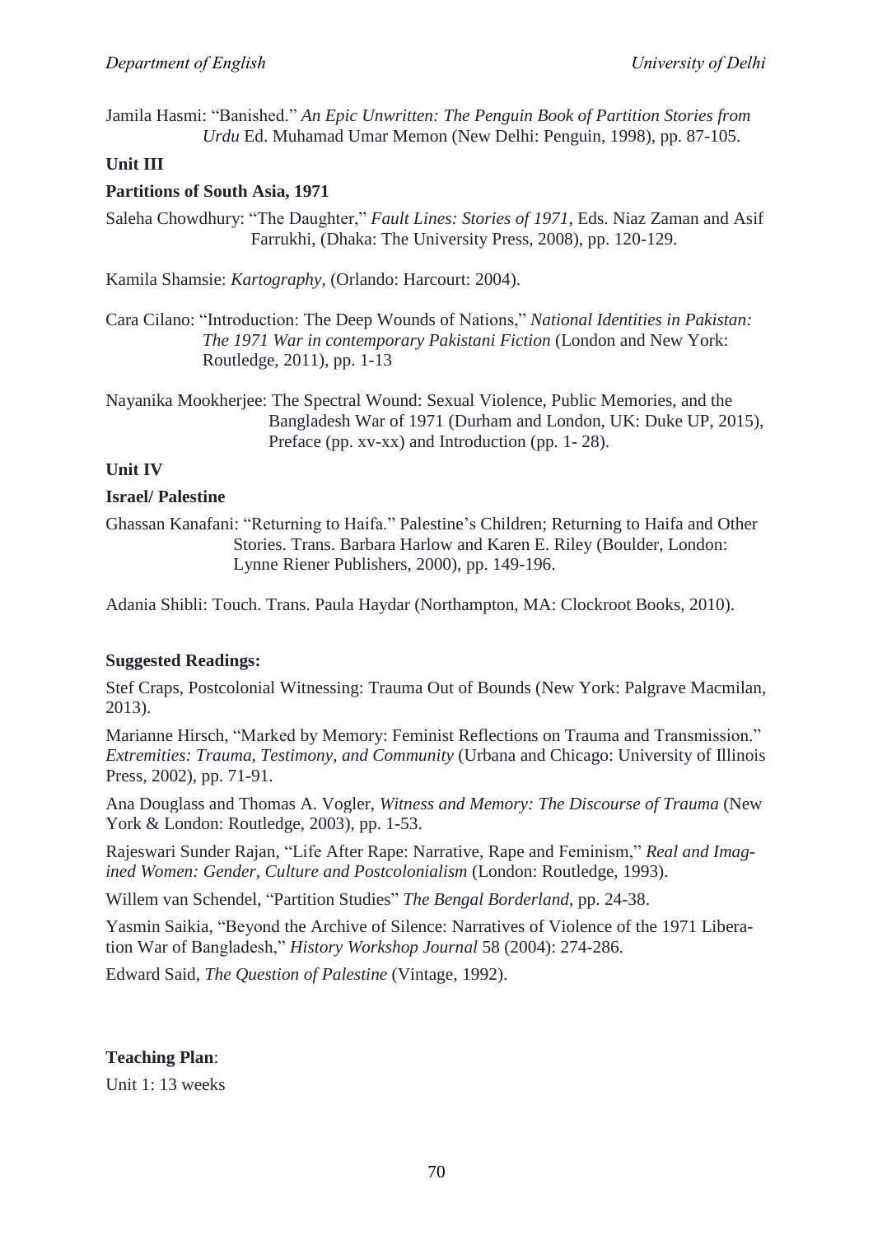Jamila Hasmi: ―Banished.‖ *An Epic Unwritten: The Penguin Book of Partition Stories from Urdu* Ed. Muhamad Umar Memon (New Delhi: Penguin, 1998), pp. 87-105.

## **Unit III**

## **Partitions of South Asia, 1971**

Saleha Chowdhury: "The Daughter," *Fault Lines: Stories of 1971*, Eds. Niaz Zaman and Asif Farrukhi, (Dhaka: The University Press, 2008), pp. 120-129.

Kamila Shamsie: *Kartography*, (Orlando: Harcourt: 2004).

Cara Cilano: "Introduction: The Deep Wounds of Nations," *National Identities in Pakistan: The 1971 War in contemporary Pakistani Fiction* (London and New York: Routledge, 2011), pp. 1-13

Nayanika Mookherjee: The Spectral Wound: Sexual Violence, Public Memories, and the Bangladesh War of 1971 (Durham and London, UK: Duke UP, 2015), Preface (pp. xv-xx) and Introduction (pp. 1- 28).

## **Unit IV**

## **Israel/ Palestine**

Ghassan Kanafani: "Returning to Haifa." Palestine's Children; Returning to Haifa and Other Stories. Trans. Barbara Harlow and Karen E. Riley (Boulder, London: Lynne Riener Publishers, 2000), pp. 149-196.

Adania Shibli: Touch. Trans. Paula Haydar (Northampton, MA: Clockroot Books, 2010).

#### **Suggested Readings:**

Stef Craps, Postcolonial Witnessing: Trauma Out of Bounds (New York: Palgrave Macmilan, 2013).

Marianne Hirsch, "Marked by Memory: Feminist Reflections on Trauma and Transmission." *Extremities: Trauma, Testimony, and Community* (Urbana and Chicago: University of Illinois Press, 2002), pp. 71-91.

Ana Douglass and Thomas A. Vogler, *Witness and Memory: The Discourse of Trauma* (New York & London: Routledge, 2003), pp. 1-53.

Rajeswari Sunder Rajan, "Life After Rape: Narrative, Rape and Feminism," Real and Imag*ined Women: Gender, Culture and Postcolonialism* (London: Routledge, 1993).

Willem van Schendel, "Partition Studies" The Bengal Borderland, pp. 24-38.

Yasmin Saikia, "Beyond the Archive of Silence: Narratives of Violence of the 1971 Liberation War of Bangladesh," *History Workshop Journal* 58 (2004): 274-286.

Edward Said, *The Question of Palestine* (Vintage, 1992).

## **Teaching Plan**:

Unit 1: 13 weeks